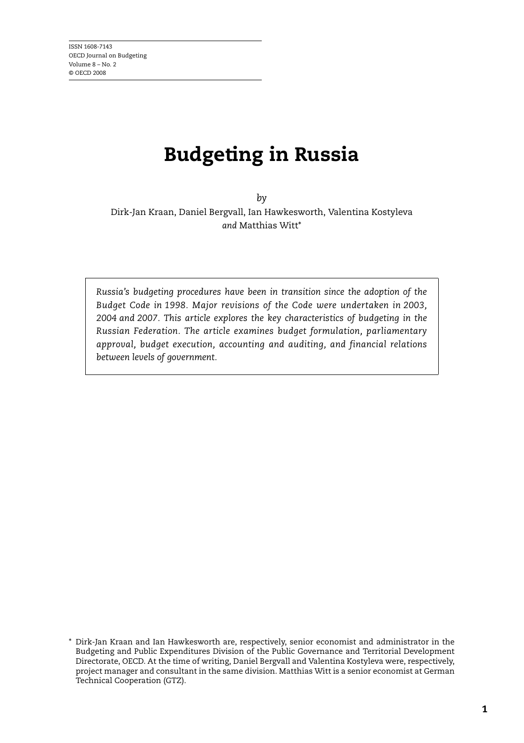# **Budgeting in Russia**

*by* Dirk-Jan Kraan, Daniel Bergvall, Ian Hawkesworth, Valentina Kostyleva *and* Matthias Witt\*

*Russia's budgeting procedures have been in transition since the adoption of the Budget Code in 1998. Major revisions of the Code were undertaken in 2003, 2004 and 2007. This article explores the key characteristics of budgeting in the Russian Federation. The article examines budget formulation, parliamentary approval, budget execution, accounting and auditing, and financial relations between levels of government.*

<sup>\*</sup> Dirk-Jan Kraan and Ian Hawkesworth are, respectively, senior economist and administrator in the Budgeting and Public Expenditures Division of the Public Governance and Territorial Development Directorate, OECD. At the time of writing, Daniel Bergvall and Valentina Kostyleva were, respectively, project manager and consultant in the same division. Matthias Witt is a senior economist at German Technical Cooperation (GTZ).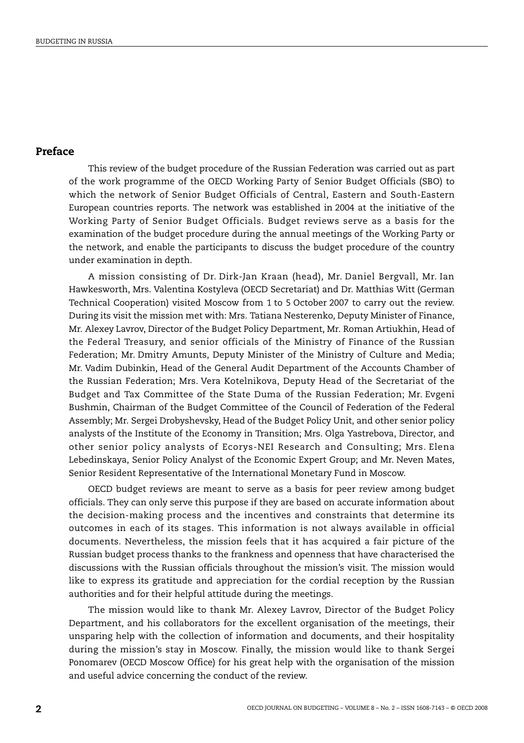## **Preface**

This review of the budget procedure of the Russian Federation was carried out as part of the work programme of the OECD Working Party of Senior Budget Officials (SBO) to which the network of Senior Budget Officials of Central, Eastern and South-Eastern European countries reports. The network was established in 2004 at the initiative of the Working Party of Senior Budget Officials. Budget reviews serve as a basis for the examination of the budget procedure during the annual meetings of the Working Party or the network, and enable the participants to discuss the budget procedure of the country under examination in depth.

A mission consisting of Dr. Dirk-Jan Kraan (head), Mr. Daniel Bergvall, Mr. Ian Hawkesworth, Mrs. Valentina Kostyleva (OECD Secretariat) and Dr. Matthias Witt (German Technical Cooperation) visited Moscow from 1 to 5 October 2007 to carry out the review. During its visit the mission met with: Mrs. Tatiana Nesterenko, Deputy Minister of Finance, Mr. Alexey Lavrov, Director of the Budget Policy Department, Mr. Roman Artiukhin, Head of the Federal Treasury, and senior officials of the Ministry of Finance of the Russian Federation; Mr. Dmitry Amunts, Deputy Minister of the Ministry of Culture and Media; Mr. Vadim Dubinkin, Head of the General Audit Department of the Accounts Chamber of the Russian Federation; Mrs. Vera Kotelnikova, Deputy Head of the Secretariat of the Budget and Tax Committee of the State Duma of the Russian Federation; Mr. Evgeni Bushmin, Chairman of the Budget Committee of the Council of Federation of the Federal Assembly; Mr. Sergei Drobyshevsky, Head of the Budget Policy Unit, and other senior policy analysts of the Institute of the Economy in Transition; Mrs. Olga Yastrebova, Director, and other senior policy analysts of Ecorys-NEI Research and Consulting; Mrs. Elena Lebedinskaya, Senior Policy Analyst of the Economic Expert Group; and Mr. Neven Mates, Senior Resident Representative of the International Monetary Fund in Moscow.

OECD budget reviews are meant to serve as a basis for peer review among budget officials. They can only serve this purpose if they are based on accurate information about the decision-making process and the incentives and constraints that determine its outcomes in each of its stages. This information is not always available in official documents. Nevertheless, the mission feels that it has acquired a fair picture of the Russian budget process thanks to the frankness and openness that have characterised the discussions with the Russian officials throughout the mission's visit. The mission would like to express its gratitude and appreciation for the cordial reception by the Russian authorities and for their helpful attitude during the meetings.

The mission would like to thank Mr. Alexey Lavrov, Director of the Budget Policy Department, and his collaborators for the excellent organisation of the meetings, their unsparing help with the collection of information and documents, and their hospitality during the mission's stay in Moscow. Finally, the mission would like to thank Sergei Ponomarev (OECD Moscow Office) for his great help with the organisation of the mission and useful advice concerning the conduct of the review.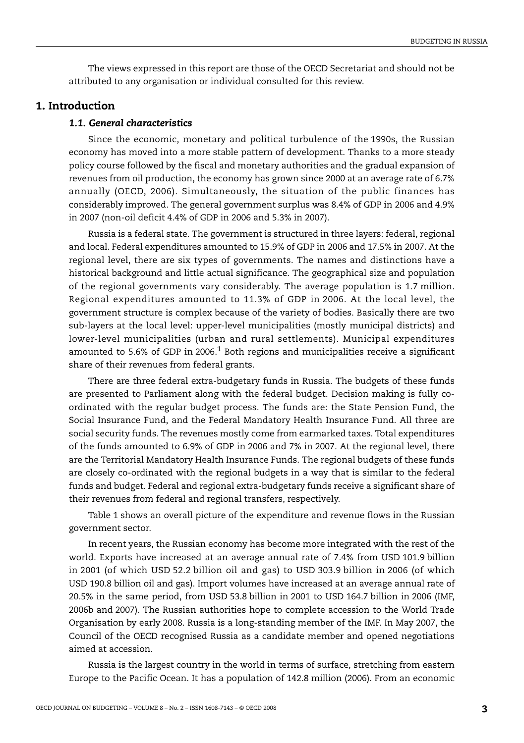The views expressed in this report are those of the OECD Secretariat and should not be attributed to any organisation or individual consulted for this review.

## **1. Introduction**

## *1.1. General characteristics*

Since the economic, monetary and political turbulence of the 1990s, the Russian economy has moved into a more stable pattern of development. Thanks to a more steady policy course followed by the fiscal and monetary authorities and the gradual expansion of revenues from oil production, the economy has grown since 2000 at an average rate of 6.7% annually (OECD, 2006). Simultaneously, the situation of the public finances has considerably improved. The general government surplus was 8.4% of GDP in 2006 and 4.9% in 2007 (non-oil deficit 4.4% of GDP in 2006 and 5.3% in 2007).

Russia is a federal state. The government is structured in three layers: federal, regional and local. Federal expenditures amounted to 15.9% of GDP in 2006 and 17.5% in 2007. At the regional level, there are six types of governments. The names and distinctions have a historical background and little actual significance. The geographical size and population of the regional governments vary considerably. The average population is 1.7 million. Regional expenditures amounted to 11.3% of GDP in 2006. At the local level, the government structure is complex because of the variety of bodies. Basically there are two sub-layers at the local level: upper-level municipalities (mostly municipal districts) and lower-level municipalities (urban and rural settlements). Municipal expenditures amounted to 5.6% of GDP in 2006.<sup>[1](#page-53-0)</sup> Both regions and municipalities receive a significant share of their revenues from federal grants.

There are three federal extra-budgetary funds in Russia. The budgets of these funds are presented to Parliament along with the federal budget. Decision making is fully coordinated with the regular budget process. The funds are: the State Pension Fund, the Social Insurance Fund, and the Federal Mandatory Health Insurance Fund. All three are social security funds. The revenues mostly come from earmarked taxes. Total expenditures of the funds amounted to 6.9% of GDP in 2006 and 7% in 2007. At the regional level, there are the Territorial Mandatory Health Insurance Funds. The regional budgets of these funds are closely co-ordinated with the regional budgets in a way that is similar to the federal funds and budget. Federal and regional extra-budgetary funds receive a significant share of their revenues from federal and regional transfers, respectively.

[Table 1](#page-3-0) shows an overall picture of the expenditure and revenue flows in the Russian government sector.

In recent years, the Russian economy has become more integrated with the rest of the world. Exports have increased at an average annual rate of 7.4% from USD 101.9 billion in 2001 (of which USD 52.2 billion oil and gas) to USD 303.9 billion in 2006 (of which USD 190.8 billion oil and gas). Import volumes have increased at an average annual rate of 20.5% in the same period, from USD 53.8 billion in 2001 to USD 164.7 billion in 2006 (IMF, 2006b and 2007). The Russian authorities hope to complete accession to the World Trade Organisation by early 2008. Russia is a long-standing member of the IMF. In May 2007, the Council of the OECD recognised Russia as a candidate member and opened negotiations aimed at accession.

Russia is the largest country in the world in terms of surface, stretching from eastern Europe to the Pacific Ocean. It has a population of 142.8 million (2006). From an economic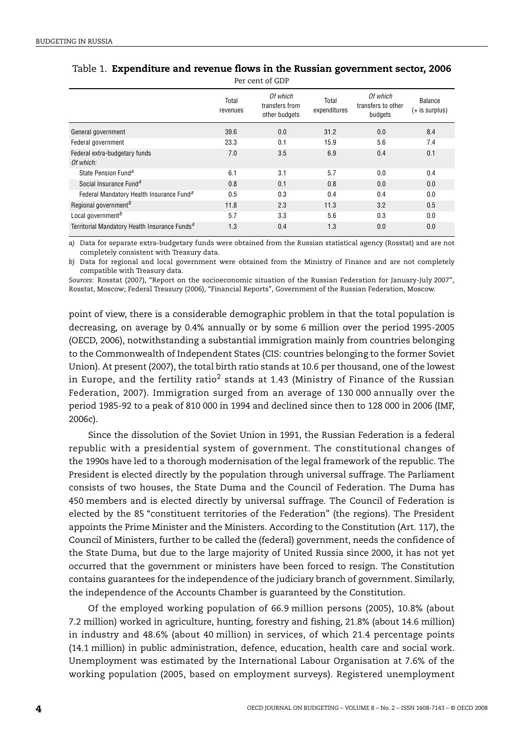|                                                           | Total<br>revenues | Of which<br>transfers from<br>other budgets | Total<br>expenditures | Of which<br>transfers to other<br>budgets | Balance<br>$(+ is surplus)$ |
|-----------------------------------------------------------|-------------------|---------------------------------------------|-----------------------|-------------------------------------------|-----------------------------|
| General government                                        | 39.6              | 0.0                                         | 31.2                  | 0.0                                       | 8.4                         |
| Federal government                                        | 23.3              | 0.1                                         | 15.9                  | 5.6                                       | 7.4                         |
| Federal extra-budgetary funds<br>Of which:                | 7.0               | 3.5                                         | 6.9                   | 0.4                                       | 0.1                         |
| State Pension Fund <sup>a</sup>                           | 6.1               | 3.1                                         | 5.7                   | 0.0                                       | 0.4                         |
| Social Insurance Fund <sup>a</sup>                        | 0.8               | 0.1                                         | 0.8                   | 0.0                                       | 0.0                         |
| Federal Mandatory Health Insurance Fund <sup>a</sup>      | 0.5               | 0.3                                         | 0.4                   | 0.4                                       | 0.0                         |
| Regional government <sup>b</sup>                          | 11.8              | 2.3                                         | 11.3                  | 3.2                                       | 0.5                         |
| Local government <sup>b</sup>                             | 5.7               | 3.3                                         | 5.6                   | 0.3                                       | 0.0                         |
| Territorial Mandatory Health Insurance Funds <sup>a</sup> | 1.3               | 0.4                                         | 1.3                   | 0.0                                       | 0.0                         |

#### <span id="page-3-0"></span>Table 1. **Expenditure and revenue flows in the Russian government sector, 2006** Per cent of GDP

<span id="page-3-1"></span>*a)* Data for separate extra-budgetary funds were obtained from the Russian statistical agency (Rosstat) and are not completely consistent with Treasury data.

<span id="page-3-2"></span>*b)* Data for regional and local government were obtained from the Ministry of Finance and are not completely compatible with Treasury data.

*Sources:* Rosstat (2007), "Report on the socioeconomic situation of the Russian Federation for January-July 2007", Rosstat, Moscow; Federal Treasury (2006), "Financial Reports", Government of the Russian Federation, Moscow.

point of view, there is a considerable demographic problem in that the total population is decreasing, on average by 0.4% annually or by some 6 million over the period 1995-2005 (OECD, 2006), notwithstanding a substantial immigration mainly from countries belonging to the Commonwealth of Independent States (CIS: countries belonging to the former Soviet Union). At present (2007), the total birth ratio stands at 10.6 per thousand, one of the lowest in Europe, and the fertility ratio<sup>[2](#page-53-1)</sup> stands at 1.43 (Ministry of Finance of the Russian Federation, 2007). Immigration surged from an average of 130 000 annually over the period 1985-92 to a peak of 810 000 in 1994 and declined since then to 128 000 in 2006 (IMF, 2006c).

Since the dissolution of the Soviet Union in 1991, the Russian Federation is a federal republic with a presidential system of government. The constitutional changes of the 1990s have led to a thorough modernisation of the legal framework of the republic. The President is elected directly by the population through universal suffrage. The Parliament consists of two houses, the State Duma and the Council of Federation. The Duma has 450 members and is elected directly by universal suffrage. The Council of Federation is elected by the 85 "constituent territories of the Federation" (the regions). The President appoints the Prime Minister and the Ministers. According to the Constitution (Art. 117), the Council of Ministers, further to be called the (federal) government, needs the confidence of the State Duma, but due to the large majority of United Russia since 2000, it has not yet occurred that the government or ministers have been forced to resign. The Constitution contains guarantees for the independence of the judiciary branch of government. Similarly, the independence of the Accounts Chamber is guaranteed by the Constitution.

Of the employed working population of 66.9 million persons (2005), 10.8% (about 7.2 million) worked in agriculture, hunting, forestry and fishing, 21.8% (about 14.6 million) in industry and 48.6% (about 40 million) in services, of which 21.4 percentage points (14.1 million) in public administration, defence, education, health care and social work. Unemployment was estimated by the International Labour Organisation at 7.6% of the working population (2005, based on employment surveys). Registered unemployment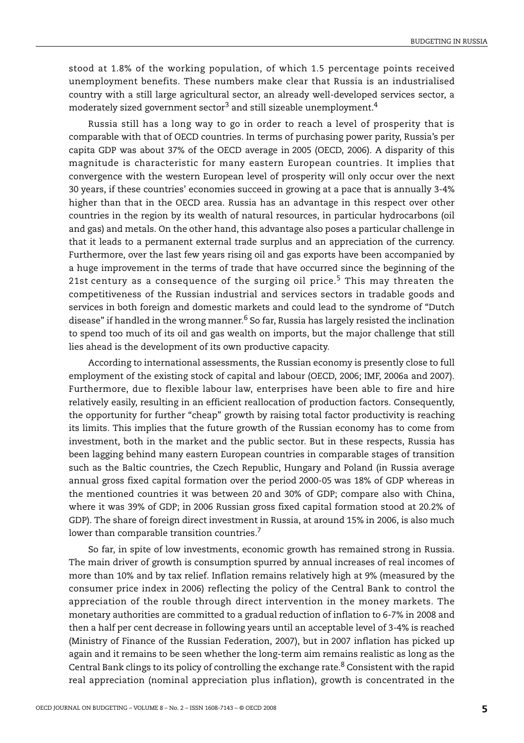stood at 1.8% of the working population, of which 1.5 percentage points received unemployment benefits. These numbers make clear that Russia is an industrialised country with a still large agricultural sector, an already well-developed services sector, a moderately sized government sector<sup>3</sup> and still sizeable unemployment.<sup>[4](#page-53-3)</sup>

Russia still has a long way to go in order to reach a level of prosperity that is comparable with that of OECD countries. In terms of purchasing power parity, Russia's per capita GDP was about 37% of the OECD average in 2005 (OECD, 2006). A disparity of this magnitude is characteristic for many eastern European countries. It implies that convergence with the western European level of prosperity will only occur over the next 30 years, if these countries' economies succeed in growing at a pace that is annually 3-4% higher than that in the OECD area. Russia has an advantage in this respect over other countries in the region by its wealth of natural resources, in particular hydrocarbons (oil and gas) and metals. On the other hand, this advantage also poses a particular challenge in that it leads to a permanent external trade surplus and an appreciation of the currency. Furthermore, over the last few years rising oil and gas exports have been accompanied by a huge improvement in the terms of trade that have occurred since the beginning of the 21st century as a consequence of the surging oil price.<sup>5</sup> This may threaten the competitiveness of the Russian industrial and services sectors in tradable goods and services in both foreign and domestic markets and could lead to the syndrome of "Dutch disease" if handled in the wrong manner.<sup>6</sup> So far, Russia has largely resisted the inclination to spend too much of its oil and gas wealth on imports, but the major challenge that still lies ahead is the development of its own productive capacity.

According to international assessments, the Russian economy is presently close to full employment of the existing stock of capital and labour (OECD, 2006; IMF, 2006a and 2007). Furthermore, due to flexible labour law, enterprises have been able to fire and hire relatively easily, resulting in an efficient reallocation of production factors. Consequently, the opportunity for further "cheap" growth by raising total factor productivity is reaching its limits. This implies that the future growth of the Russian economy has to come from investment, both in the market and the public sector. But in these respects, Russia has been lagging behind many eastern European countries in comparable stages of transition such as the Baltic countries, the Czech Republic, Hungary and Poland (in Russia average annual gross fixed capital formation over the period 2000-05 was 18% of GDP whereas in the mentioned countries it was between 20 and 30% of GDP; compare also with China, where it was 39% of GDP; in 2006 Russian gross fixed capital formation stood at 20.2% of GDP). The share of foreign direct investment in Russia, at around 15% in 2006, is also much lower than comparable transition countries.<sup>[7](#page-53-6)</sup>

So far, in spite of low investments, economic growth has remained strong in Russia. The main driver of growth is consumption spurred by annual increases of real incomes of more than 10% and by tax relief. Inflation remains relatively high at 9% (measured by the consumer price index in 2006) reflecting the policy of the Central Bank to control the appreciation of the rouble through direct intervention in the money markets. The monetary authorities are committed to a gradual reduction of inflation to 6-7% in 2008 and then a half per cent decrease in following years until an acceptable level of 3-4% is reached (Ministry of Finance of the Russian Federation, 2007), but in 2007 inflation has picked up again and it remains to be seen whether the long-term aim remains realistic as long as the Central Bank clings to its policy of controlling the exchange rate. $8$  Consistent with the rapid real appreciation (nominal appreciation plus inflation), growth is concentrated in the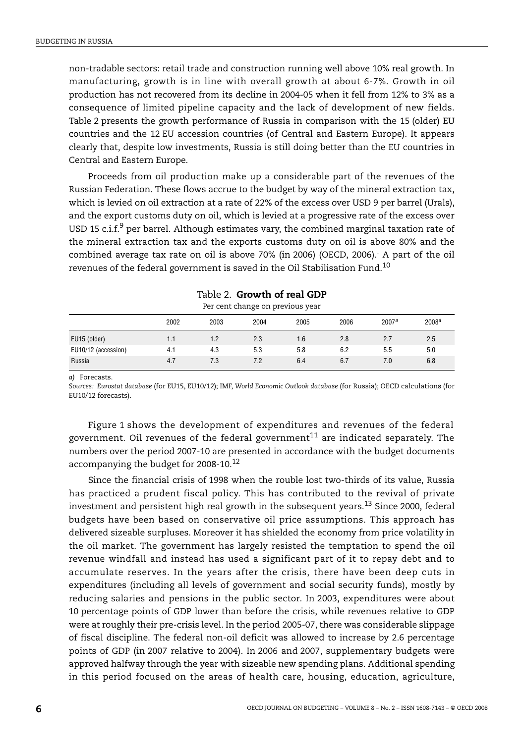non-tradable sectors: retail trade and construction running well above 10% real growth. In manufacturing, growth is in line with overall growth at about 6-7%. Growth in oil production has not recovered from its decline in 2004-05 when it fell from 12% to 3% as a consequence of limited pipeline capacity and the lack of development of new fields. [Table 2](#page-5-1) presents the growth performance of Russia in comparison with the 15 (older) EU countries and the 12 EU accession countries (of Central and Eastern Europe). It appears clearly that, despite low investments, Russia is still doing better than the EU countries in Central and Eastern Europe.

Proceeds from oil production make up a considerable part of the revenues of the Russian Federation. These flows accrue to the budget by way of the mineral extraction tax, which is levied on oil extraction at a rate of 22% of the excess over USD 9 per barrel (Urals), and the export customs duty on oil, which is levied at a progressive rate of the excess over USD 15 c.i.f.<sup>[9](#page-54-1)</sup> per barrel. Although estimates vary, the combined marginal taxation rate of the mineral extraction tax and the exports customs duty on oil is above 80% and the combined average tax rate on oil is above 70% (in 2006) (OECD, 2006).. A part of the oil revenues of the federal government is saved in the Oil Stabilisation Fund.<sup>[10](#page-54-2)</sup>

<span id="page-5-1"></span>

| Fer cent change on previous year |      |      |      |      |      |                   |                   |
|----------------------------------|------|------|------|------|------|-------------------|-------------------|
|                                  | 2002 | 2003 | 2004 | 2005 | 2006 | 2007 <sup>a</sup> | 2008 <sup>a</sup> |
| EU15 (older)                     | 1.1  | 1.2  | 2.3  | 1.6  | 2.8  | 2.7               | 2.5               |
| EU10/12 (accession)              | 4.1  | 4.3  | 5.3  | 5.8  | 6.2  | 5.5               | 5.0               |
| Russia                           | 4.7  | 7.3  | 7.2  | 6.4  | 6.7  | 7.0               | 6.8               |

| Table 2. <b>Growth of real GDP</b> |  |  |
|------------------------------------|--|--|
| Dor cont change on provious your   |  |  |

<span id="page-5-0"></span>*a)* Forecasts.

*Sources: Eurostat database* (for EU15, EU10/12); IMF, *World Economic Outlook database* (for Russia); OECD calculations (for EU10/12 forecasts).

[Figure 1](#page-6-0) shows the development of expenditures and revenues of the federal government. Oil revenues of the federal government $^{11}$  $^{11}$  $^{11}$  are indicated separately. The numbers over the period 2007-10 are presented in accordance with the budget documents accompanying the budget for 2008-10.[12](#page-54-4)

Since the financial crisis of 1998 when the rouble lost two-thirds of its value, Russia has practiced a prudent fiscal policy. This has contributed to the revival of private investment and persistent high real growth in the subsequent years.[13](#page-54-5) Since 2000, federal budgets have been based on conservative oil price assumptions. This approach has delivered sizeable surpluses. Moreover it has shielded the economy from price volatility in the oil market. The government has largely resisted the temptation to spend the oil revenue windfall and instead has used a significant part of it to repay debt and to accumulate reserves. In the years after the crisis, there have been deep cuts in expenditures (including all levels of government and social security funds), mostly by reducing salaries and pensions in the public sector. In 2003, expenditures were about 10 percentage points of GDP lower than before the crisis, while revenues relative to GDP were at roughly their pre-crisis level. In the period 2005-07, there was considerable slippage of fiscal discipline. The federal non-oil deficit was allowed to increase by 2.6 percentage points of GDP (in 2007 relative to 2004). In 2006 and 2007, supplementary budgets were approved halfway through the year with sizeable new spending plans. Additional spending in this period focused on the areas of health care, housing, education, agriculture,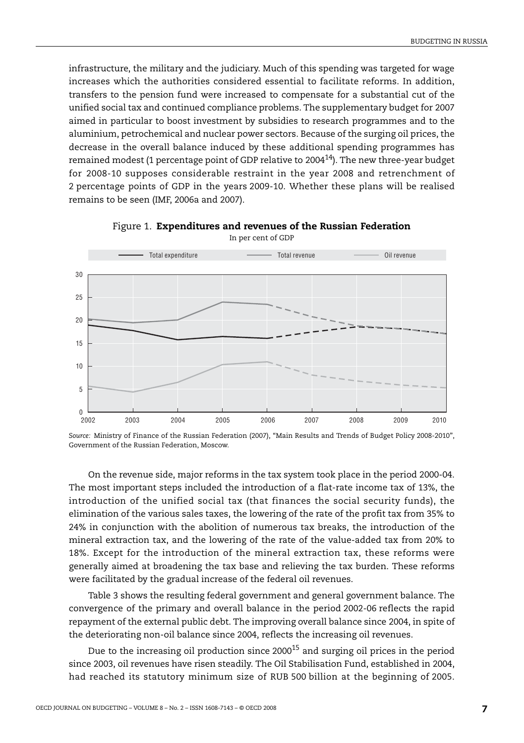infrastructure, the military and the judiciary. Much of this spending was targeted for wage increases which the authorities considered essential to facilitate reforms. In addition, transfers to the pension fund were increased to compensate for a substantial cut of the unified social tax and continued compliance problems. The supplementary budget for 2007 aimed in particular to boost investment by subsidies to research programmes and to the aluminium, petrochemical and nuclear power sectors. Because of the surging oil prices, the decrease in the overall balance induced by these additional spending programmes has remained modest (1 percentage point of GDP relative to 200[414](#page-54-6)). The new three-year budget for 2008-10 supposes considerable restraint in the year 2008 and retrenchment of 2 percentage points of GDP in the years 2009-10. Whether these plans will be realised remains to be seen (IMF, 2006a and 2007).

<span id="page-6-0"></span>

Figure 1. **Expenditures and revenues of the Russian Federation** In per cent of GDP

On the revenue side, major reforms in the tax system took place in the period 2000-04. The most important steps included the introduction of a flat-rate income tax of 13%, the introduction of the unified social tax (that finances the social security funds), the elimination of the various sales taxes, the lowering of the rate of the profit tax from 35% to 24% in conjunction with the abolition of numerous tax breaks, the introduction of the mineral extraction tax, and the lowering of the rate of the value-added tax from 20% to 18%. Except for the introduction of the mineral extraction tax, these reforms were generally aimed at broadening the tax base and relieving the tax burden. These reforms were facilitated by the gradual increase of the federal oil revenues.

[Table 3](#page-7-0) shows the resulting federal government and general government balance. The convergence of the primary and overall balance in the period 2002-06 reflects the rapid repayment of the external public debt. The improving overall balance since 2004, in spite of the deteriorating non-oil balance since 2004, reflects the increasing oil revenues.

Due to the increasing oil production since 2000<sup>15</sup> and surging oil prices in the period since 2003, oil revenues have risen steadily. The Oil Stabilisation Fund, established in 2004, had reached its statutory minimum size of RUB 500 billion at the beginning of 2005.

*Source:* Ministry of Finance of the Russian Federation (2007), "Main Results and Trends of Budget Policy 2008-2010", Government of the Russian Federation, Moscow.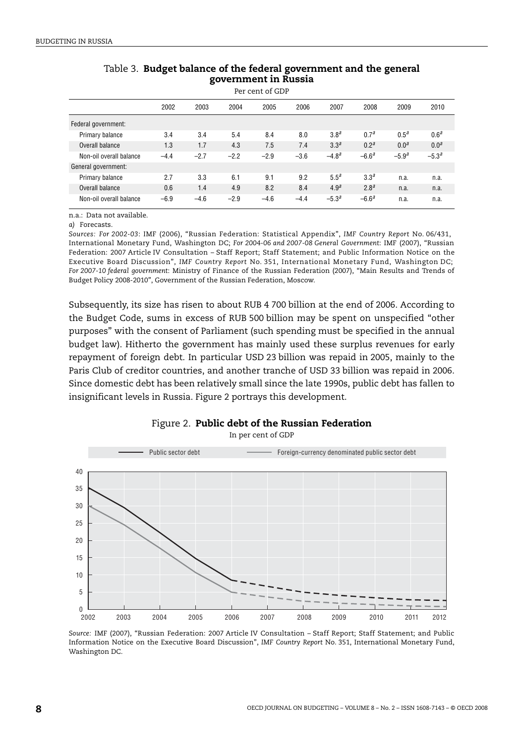<span id="page-7-0"></span>

| Per cent of GDP         |        |        |        |        |        |                  |                  |                  |                  |
|-------------------------|--------|--------|--------|--------|--------|------------------|------------------|------------------|------------------|
|                         | 2002   | 2003   | 2004   | 2005   | 2006   | 2007             | 2008             | 2009             | 2010             |
| Federal government:     |        |        |        |        |        |                  |                  |                  |                  |
| Primary balance         | 3.4    | 3.4    | 5.4    | 8.4    | 8.0    | 3.8 <sup>a</sup> | 0.7 <sup>a</sup> | $0.5^{\circ}$    | 0.6 <sup>a</sup> |
| Overall balance         | 1.3    | 1.7    | 4.3    | 7.5    | 7.4    | 3.3 <sup>a</sup> | 0.2 <sup>a</sup> | 0.0 <sup>a</sup> | 0.0 <sup>a</sup> |
| Non-oil overall balance | $-4.4$ | $-2.7$ | $-2.2$ | $-2.9$ | $-3.6$ | $-4.8a$          | $-6.6a$          | $-5.9^{a}$       | $-5.3^{a}$       |
| General government:     |        |        |        |        |        |                  |                  |                  |                  |
| Primary balance         | 2.7    | 3.3    | 6.1    | 9.1    | 9.2    | 5.5 <sup>a</sup> | 3.3 <sup>a</sup> | n.a.             | n.a.             |
| Overall balance         | 0.6    | 1.4    | 4.9    | 8.2    | 8.4    | 4.9 <sup>a</sup> | 2.8 <sup>a</sup> | n.a.             | n.a.             |
| Non-oil overall balance | $-6.9$ | $-4.6$ | $-2.9$ | $-4.6$ | $-4.4$ | $-5.3^{a}$       | $-6.6^{a}$       | n.a.             | n.a.             |

## Table 3. **Budget balance of the federal government and the general government in Russia**

n.a.: Data not available.

<span id="page-7-1"></span>*a)* Forecasts.

*Sources: For 2002-03*: IMF (2006), "Russian Federation: Statistical Appendix", *IMF Country Report* No. 06/431, International Monetary Fund, Washington DC; *For 2004-06 and 2007-08 General Government*: IMF (2007), "Russian Federation: 2007 Article IV Consultation – Staff Report; Staff Statement; and Public Information Notice on the Executive Board Discussion", *IMF Country Report* No. 351, International Monetary Fund, Washington DC; *For 2007-10 federal government*: Ministry of Finance of the Russian Federation (2007), "Main Results and Trends of Budget Policy 2008-2010", Government of the Russian Federation, Moscow.

Subsequently, its size has risen to about RUB 4 700 billion at the end of 2006. According to the Budget Code, sums in excess of RUB 500 billion may be spent on unspecified "other purposes" with the consent of Parliament (such spending must be specified in the annual budget law). Hitherto the government has mainly used these surplus revenues for early repayment of foreign debt. In particular USD 23 billion was repaid in 2005, mainly to the Paris Club of creditor countries, and another tranche of USD 33 billion was repaid in 2006. Since domestic debt has been relatively small since the late 1990s, public debt has fallen to insignificant levels in Russia. [Figure 2](#page-7-2) portrays this development.

<span id="page-7-2"></span>

## Figure 2. **Public debt of the Russian Federation**

In per cent of GDP

*Source:* IMF (2007), "Russian Federation: 2007 Article IV Consultation – Staff Report; Staff Statement; and Public Information Notice on the Executive Board Discussion", *IMF Country Report* No. 351, International Monetary Fund, Washington DC.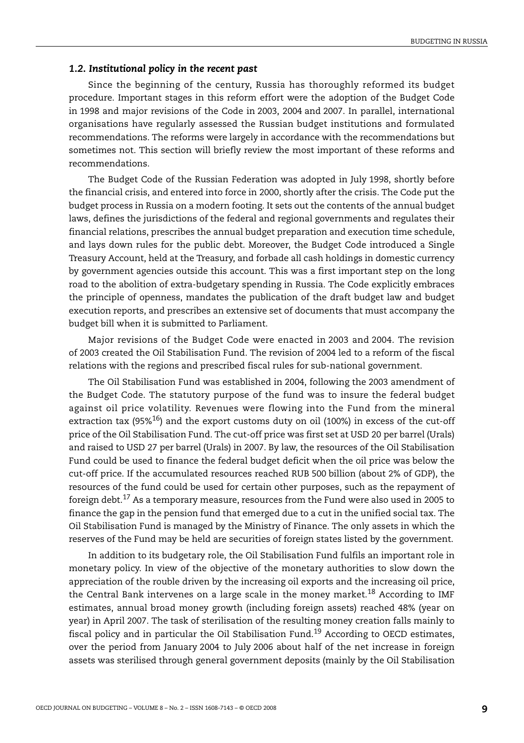#### *1.2. Institutional policy in the recent past*

Since the beginning of the century, Russia has thoroughly reformed its budget procedure. Important stages in this reform effort were the adoption of the Budget Code in 1998 and major revisions of the Code in 2003, 2004 and 2007. In parallel, international organisations have regularly assessed the Russian budget institutions and formulated recommendations. The reforms were largely in accordance with the recommendations but sometimes not. This section will briefly review the most important of these reforms and recommendations.

The Budget Code of the Russian Federation was adopted in July 1998, shortly before the financial crisis, and entered into force in 2000, shortly after the crisis. The Code put the budget process in Russia on a modern footing. It sets out the contents of the annual budget laws, defines the jurisdictions of the federal and regional governments and regulates their financial relations, prescribes the annual budget preparation and execution time schedule, and lays down rules for the public debt. Moreover, the Budget Code introduced a Single Treasury Account, held at the Treasury, and forbade all cash holdings in domestic currency by government agencies outside this account. This was a first important step on the long road to the abolition of extra-budgetary spending in Russia. The Code explicitly embraces the principle of openness, mandates the publication of the draft budget law and budget execution reports, and prescribes an extensive set of documents that must accompany the budget bill when it is submitted to Parliament.

Major revisions of the Budget Code were enacted in 2003 and 2004. The revision of 2003 created the Oil Stabilisation Fund. The revision of 2004 led to a reform of the fiscal relations with the regions and prescribed fiscal rules for sub-national government.

The Oil Stabilisation Fund was established in 2004, following the 2003 amendment of the Budget Code. The statutory purpose of the fund was to insure the federal budget against oil price volatility. Revenues were flowing into the Fund from the mineral extraction tax  $(95\%)^{16}$  and the export customs duty on oil (100%) in excess of the cut-off price of the Oil Stabilisation Fund. The cut-off price was first set at USD 20 per barrel (Urals) and raised to USD 27 per barrel (Urals) in 2007. By law, the resources of the Oil Stabilisation Fund could be used to finance the federal budget deficit when the oil price was below the cut-off price. If the accumulated resources reached RUB 500 billion (about 2% of GDP), the resources of the fund could be used for certain other purposes, such as the repayment of foreign debt[.17](#page-54-9) As a temporary measure, resources from the Fund were also used in 2005 to finance the gap in the pension fund that emerged due to a cut in the unified social tax. The Oil Stabilisation Fund is managed by the Ministry of Finance. The only assets in which the reserves of the Fund may be held are securities of foreign states listed by the government.

In addition to its budgetary role, the Oil Stabilisation Fund fulfils an important role in monetary policy. In view of the objective of the monetary authorities to slow down the appreciation of the rouble driven by the increasing oil exports and the increasing oil price, the Central Bank intervenes on a large scale in the money market.<sup>[18](#page-54-10)</sup> According to IMF estimates, annual broad money growth (including foreign assets) reached 48% (year on year) in April 2007. The task of sterilisation of the resulting money creation falls mainly to fiscal policy and in particular the Oil Stabilisation Fund.[19](#page-54-11) According to OECD estimates, over the period from January 2004 to July 2006 about half of the net increase in foreign assets was sterilised through general government deposits (mainly by the Oil Stabilisation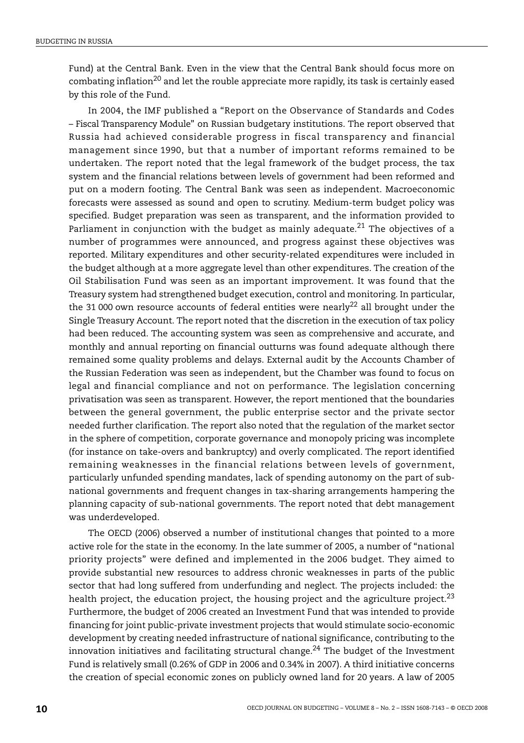Fund) at the Central Bank. Even in the view that the Central Bank should focus more on combating inflation<sup>20</sup> and let the rouble appreciate more rapidly, its task is certainly eased by this role of the Fund.

In 2004, the IMF published a "Report on the Observance of Standards and Codes – Fiscal Transparency Module" on Russian budgetary institutions. The report observed that Russia had achieved considerable progress in fiscal transparency and financial management since 1990, but that a number of important reforms remained to be undertaken. The report noted that the legal framework of the budget process, the tax system and the financial relations between levels of government had been reformed and put on a modern footing. The Central Bank was seen as independent. Macroeconomic forecasts were assessed as sound and open to scrutiny. Medium-term budget policy was specified. Budget preparation was seen as transparent, and the information provided to Parliament in conjunction with the budget as mainly adequate.<sup>21</sup> The objectives of a number of programmes were announced, and progress against these objectives was reported. Military expenditures and other security-related expenditures were included in the budget although at a more aggregate level than other expenditures. The creation of the Oil Stabilisation Fund was seen as an important improvement. It was found that the Treasury system had strengthened budget execution, control and monitoring. In particular, the 31 000 own resource accounts of federal entities were nearly<sup>22</sup> all brought under the Single Treasury Account. The report noted that the discretion in the execution of tax policy had been reduced. The accounting system was seen as comprehensive and accurate, and monthly and annual reporting on financial outturns was found adequate although there remained some quality problems and delays. External audit by the Accounts Chamber of the Russian Federation was seen as independent, but the Chamber was found to focus on legal and financial compliance and not on performance. The legislation concerning privatisation was seen as transparent. However, the report mentioned that the boundaries between the general government, the public enterprise sector and the private sector needed further clarification. The report also noted that the regulation of the market sector in the sphere of competition, corporate governance and monopoly pricing was incomplete (for instance on take-overs and bankruptcy) and overly complicated. The report identified remaining weaknesses in the financial relations between levels of government, particularly unfunded spending mandates, lack of spending autonomy on the part of subnational governments and frequent changes in tax-sharing arrangements hampering the planning capacity of sub-national governments. The report noted that debt management was underdeveloped.

The OECD (2006) observed a number of institutional changes that pointed to a more active role for the state in the economy. In the late summer of 2005, a number of "national priority projects" were defined and implemented in the 2006 budget. They aimed to provide substantial new resources to address chronic weaknesses in parts of the public sector that had long suffered from underfunding and neglect. The projects included: the health project, the education project, the housing project and the agriculture project.<sup>[23](#page-54-15)</sup> Furthermore, the budget of 2006 created an Investment Fund that was intended to provide financing for joint public-private investment projects that would stimulate socio-economic development by creating needed infrastructure of national significance, contributing to the innovation initiatives and facilitating structural change. $^{24}$  The budget of the Investment Fund is relatively small (0.26% of GDP in 2006 and 0.34% in 2007). A third initiative concerns the creation of special economic zones on publicly owned land for 20 years. A law of 2005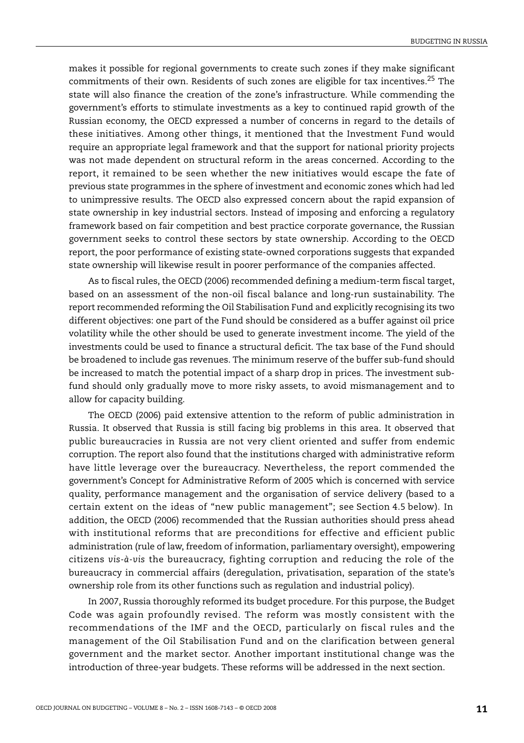makes it possible for regional governments to create such zones if they make significant commitments of their own. Residents of such zones are eligible for tax incentives.<sup>25</sup> The state will also finance the creation of the zone's infrastructure. While commending the government's efforts to stimulate investments as a key to continued rapid growth of the Russian economy, the OECD expressed a number of concerns in regard to the details of these initiatives. Among other things, it mentioned that the Investment Fund would require an appropriate legal framework and that the support for national priority projects was not made dependent on structural reform in the areas concerned. According to the report, it remained to be seen whether the new initiatives would escape the fate of previous state programmes in the sphere of investment and economic zones which had led to unimpressive results. The OECD also expressed concern about the rapid expansion of state ownership in key industrial sectors. Instead of imposing and enforcing a regulatory framework based on fair competition and best practice corporate governance, the Russian government seeks to control these sectors by state ownership. According to the OECD report, the poor performance of existing state-owned corporations suggests that expanded state ownership will likewise result in poorer performance of the companies affected.

As to fiscal rules, the OECD (2006) recommended defining a medium-term fiscal target, based on an assessment of the non-oil fiscal balance and long-run sustainability. The report recommended reforming the Oil Stabilisation Fund and explicitly recognising its two different objectives: one part of the Fund should be considered as a buffer against oil price volatility while the other should be used to generate investment income. The yield of the investments could be used to finance a structural deficit. The tax base of the Fund should be broadened to include gas revenues. The minimum reserve of the buffer sub-fund should be increased to match the potential impact of a sharp drop in prices. The investment subfund should only gradually move to more risky assets, to avoid mismanagement and to allow for capacity building.

The OECD (2006) paid extensive attention to the reform of public administration in Russia. It observed that Russia is still facing big problems in this area. It observed that public bureaucracies in Russia are not very client oriented and suffer from endemic corruption. The report also found that the institutions charged with administrative reform have little leverage over the bureaucracy. Nevertheless, the report commended the government's Concept for Administrative Reform of 2005 which is concerned with service quality, performance management and the organisation of service delivery (based to a certain extent on the ideas of "new public management"; see Section 4.5 below). In addition, the OECD (2006) recommended that the Russian authorities should press ahead with institutional reforms that are preconditions for effective and efficient public administration (rule of law, freedom of information, parliamentary oversight), empowering citizens *vis-à-vis* the bureaucracy, fighting corruption and reducing the role of the bureaucracy in commercial affairs (deregulation, privatisation, separation of the state's ownership role from its other functions such as regulation and industrial policy).

In 2007, Russia thoroughly reformed its budget procedure. For this purpose, the Budget Code was again profoundly revised. The reform was mostly consistent with the recommendations of the IMF and the OECD, particularly on fiscal rules and the management of the Oil Stabilisation Fund and on the clarification between general government and the market sector. Another important institutional change was the introduction of three-year budgets. These reforms will be addressed in the next section.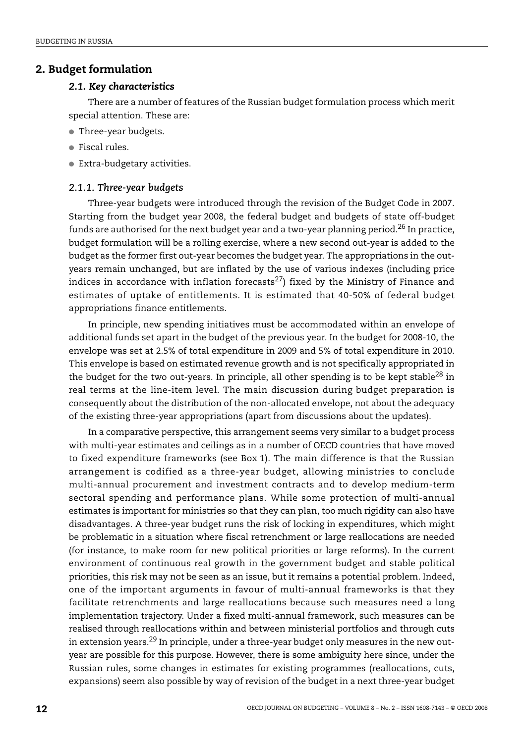## **2. Budget formulation**

#### *2.1. Key characteristics*

There are a number of features of the Russian budget formulation process which merit special attention. These are:

- Three-year budgets.
- Fiscal rules.
- Extra-budgetary activities.

#### *2.1.1. Three-year budgets*

Three-year budgets were introduced through the revision of the Budget Code in 2007. Starting from the budget year 2008, the federal budget and budgets of state off-budget funds are authorised for the next budget year and a two-year planning period.<sup>26</sup> In practice, budget formulation will be a rolling exercise, where a new second out-year is added to the budget as the former first out-year becomes the budget year. The appropriations in the outyears remain unchanged, but are inflated by the use of various indexes (including price indices in accordance with inflation forecasts<sup>[27](#page-54-19)</sup>) fixed by the Ministry of Finance and estimates of uptake of entitlements. It is estimated that 40-50% of federal budget appropriations finance entitlements.

In principle, new spending initiatives must be accommodated within an envelope of additional funds set apart in the budget of the previous year. In the budget for 2008-10, the envelope was set at 2.5% of total expenditure in 2009 and 5% of total expenditure in 2010. This envelope is based on estimated revenue growth and is not specifically appropriated in the budget for the two out-years. In principle, all other spending is to be kept stable<sup>28</sup> in real terms at the line-item level. The main discussion during budget preparation is consequently about the distribution of the non-allocated envelope, not about the adequacy of the existing three-year appropriations (apart from discussions about the updates).

In a comparative perspective, this arrangement seems very similar to a budget process with multi-year estimates and ceilings as in a number of OECD countries that have moved to fixed expenditure frameworks (see [Box 1\)](#page-12-0). The main difference is that the Russian arrangement is codified as a three-year budget, allowing ministries to conclude multi-annual procurement and investment contracts and to develop medium-term sectoral spending and performance plans. While some protection of multi-annual estimates is important for ministries so that they can plan, too much rigidity can also have disadvantages. A three-year budget runs the risk of locking in expenditures, which might be problematic in a situation where fiscal retrenchment or large reallocations are needed (for instance, to make room for new political priorities or large reforms). In the current environment of continuous real growth in the government budget and stable political priorities, this risk may not be seen as an issue, but it remains a potential problem. Indeed, one of the important arguments in favour of multi-annual frameworks is that they facilitate retrenchments and large reallocations because such measures need a long implementation trajectory. Under a fixed multi-annual framework, such measures can be realised through reallocations within and between ministerial portfolios and through cuts in extension years[.29](#page-55-0) In principle, under a three-year budget only measures in the new outyear are possible for this purpose. However, there is some ambiguity here since, under the Russian rules, some changes in estimates for existing programmes (reallocations, cuts, expansions) seem also possible by way of revision of the budget in a next three-year budget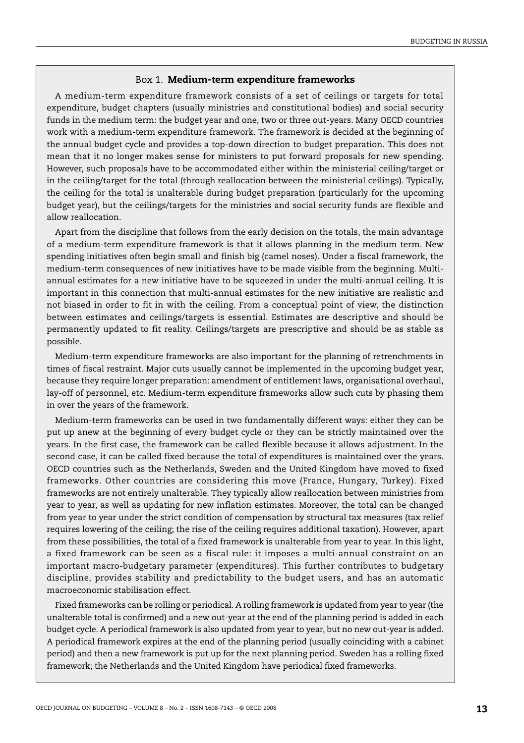### Box 1. **Medium-term expenditure frameworks**

<span id="page-12-0"></span>A medium-term expenditure framework consists of a set of ceilings or targets for total expenditure, budget chapters (usually ministries and constitutional bodies) and social security funds in the medium term: the budget year and one, two or three out-years. Many OECD countries work with a medium-term expenditure framework. The framework is decided at the beginning of the annual budget cycle and provides a top-down direction to budget preparation. This does not mean that it no longer makes sense for ministers to put forward proposals for new spending. However, such proposals have to be accommodated either within the ministerial ceiling/target or in the ceiling/target for the total (through reallocation between the ministerial ceilings). Typically, the ceiling for the total is unalterable during budget preparation (particularly for the upcoming budget year), but the ceilings/targets for the ministries and social security funds are flexible and allow reallocation.

Apart from the discipline that follows from the early decision on the totals, the main advantage of a medium-term expenditure framework is that it allows planning in the medium term. New spending initiatives often begin small and finish big (camel noses). Under a fiscal framework, the medium-term consequences of new initiatives have to be made visible from the beginning. Multiannual estimates for a new initiative have to be squeezed in under the multi-annual ceiling. It is important in this connection that multi-annual estimates for the new initiative are realistic and not biased in order to fit in with the ceiling. From a conceptual point of view, the distinction between estimates and ceilings/targets is essential. Estimates are descriptive and should be permanently updated to fit reality. Ceilings/targets are prescriptive and should be as stable as possible.

Medium-term expenditure frameworks are also important for the planning of retrenchments in times of fiscal restraint. Major cuts usually cannot be implemented in the upcoming budget year, because they require longer preparation: amendment of entitlement laws, organisational overhaul, lay-off of personnel, etc. Medium-term expenditure frameworks allow such cuts by phasing them in over the years of the framework.

Medium-term frameworks can be used in two fundamentally different ways: either they can be put up anew at the beginning of every budget cycle or they can be strictly maintained over the years. In the first case, the framework can be called flexible because it allows adjustment. In the second case, it can be called fixed because the total of expenditures is maintained over the years. OECD countries such as the Netherlands, Sweden and the United Kingdom have moved to fixed frameworks. Other countries are considering this move (France, Hungary, Turkey). Fixed frameworks are not entirely unalterable. They typically allow reallocation between ministries from year to year, as well as updating for new inflation estimates. Moreover, the total can be changed from year to year under the strict condition of compensation by structural tax measures (tax relief requires lowering of the ceiling; the rise of the ceiling requires additional taxation). However, apart from these possibilities, the total of a fixed framework is unalterable from year to year. In this light, a fixed framework can be seen as a fiscal rule: it imposes a multi-annual constraint on an important macro-budgetary parameter (expenditures). This further contributes to budgetary discipline, provides stability and predictability to the budget users, and has an automatic macroeconomic stabilisation effect.

Fixed frameworks can be rolling or periodical. A rolling framework is updated from year to year (the unalterable total is confirmed) and a new out-year at the end of the planning period is added in each budget cycle. A periodical framework is also updated from year to year, but no new out-year is added. A periodical framework expires at the end of the planning period (usually coinciding with a cabinet period) and then a new framework is put up for the next planning period. Sweden has a rolling fixed framework; the Netherlands and the United Kingdom have periodical fixed frameworks.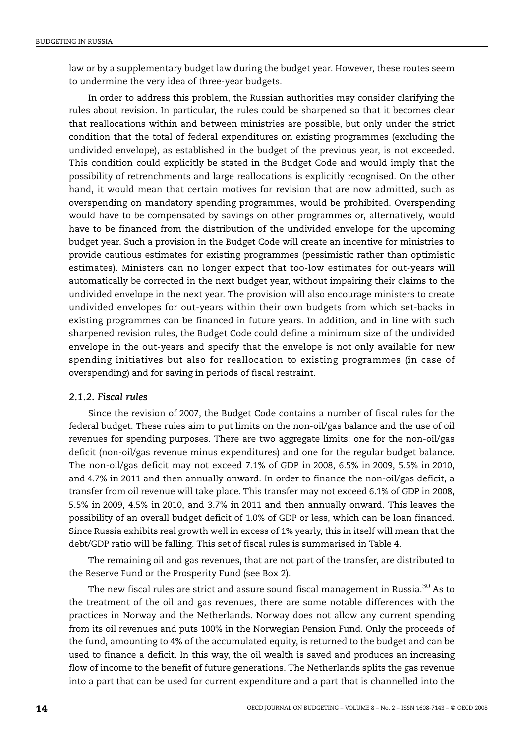law or by a supplementary budget law during the budget year. However, these routes seem to undermine the very idea of three-year budgets.

In order to address this problem, the Russian authorities may consider clarifying the rules about revision. In particular, the rules could be sharpened so that it becomes clear that reallocations within and between ministries are possible, but only under the strict condition that the total of federal expenditures on existing programmes (excluding the undivided envelope), as established in the budget of the previous year, is not exceeded. This condition could explicitly be stated in the Budget Code and would imply that the possibility of retrenchments and large reallocations is explicitly recognised. On the other hand, it would mean that certain motives for revision that are now admitted, such as overspending on mandatory spending programmes, would be prohibited. Overspending would have to be compensated by savings on other programmes or, alternatively, would have to be financed from the distribution of the undivided envelope for the upcoming budget year. Such a provision in the Budget Code will create an incentive for ministries to provide cautious estimates for existing programmes (pessimistic rather than optimistic estimates). Ministers can no longer expect that too-low estimates for out-years will automatically be corrected in the next budget year, without impairing their claims to the undivided envelope in the next year. The provision will also encourage ministers to create undivided envelopes for out-years within their own budgets from which set-backs in existing programmes can be financed in future years. In addition, and in line with such sharpened revision rules, the Budget Code could define a minimum size of the undivided envelope in the out-years and specify that the envelope is not only available for new spending initiatives but also for reallocation to existing programmes (in case of overspending) and for saving in periods of fiscal restraint.

#### *2.1.2. Fiscal rules*

Since the revision of 2007, the Budget Code contains a number of fiscal rules for the federal budget. These rules aim to put limits on the non-oil/gas balance and the use of oil revenues for spending purposes. There are two aggregate limits: one for the non-oil/gas deficit (non-oil/gas revenue minus expenditures) and one for the regular budget balance. The non-oil/gas deficit may not exceed 7.1% of GDP in 2008, 6.5% in 2009, 5.5% in 2010, and 4.7% in 2011 and then annually onward. In order to finance the non-oil/gas deficit, a transfer from oil revenue will take place. This transfer may not exceed 6.1% of GDP in 2008, 5.5% in 2009, 4.5% in 2010, and 3.7% in 2011 and then annually onward. This leaves the possibility of an overall budget deficit of 1.0% of GDP or less, which can be loan financed. Since Russia exhibits real growth well in excess of 1% yearly, this in itself will mean that the debt/GDP ratio will be falling. This set of fiscal rules is summarised in [Table 4](#page-14-1).

The remaining oil and gas revenues, that are not part of the transfer, are distributed to the Reserve Fund or the Prosperity Fund (see [Box 2\)](#page-14-0).

The new fiscal rules are strict and assure sound fiscal management in Russia.<sup>[30](#page-55-1)</sup> As to the treatment of the oil and gas revenues, there are some notable differences with the practices in Norway and the Netherlands. Norway does not allow any current spending from its oil revenues and puts 100% in the Norwegian Pension Fund. Only the proceeds of the fund, amounting to 4% of the accumulated equity, is returned to the budget and can be used to finance a deficit. In this way, the oil wealth is saved and produces an increasing flow of income to the benefit of future generations. The Netherlands splits the gas revenue into a part that can be used for current expenditure and a part that is channelled into the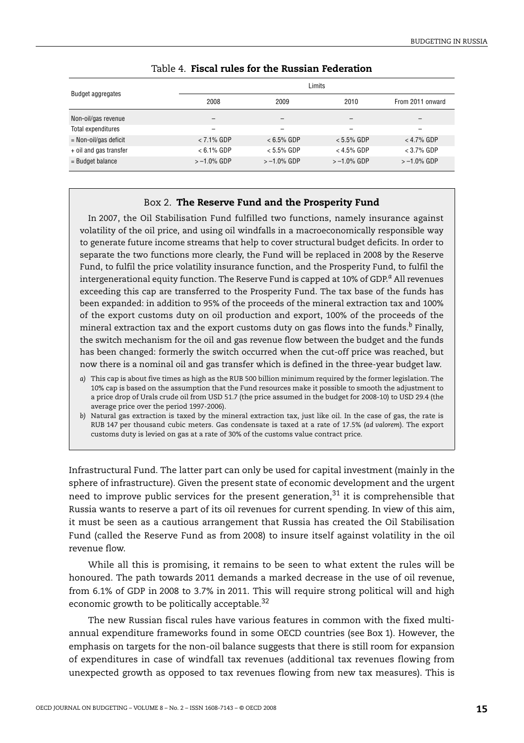<span id="page-14-1"></span>

| <b>Budget aggregates</b> | Limits         |                |                |                  |  |  |
|--------------------------|----------------|----------------|----------------|------------------|--|--|
|                          | 2008<br>2009   |                | 2010           | From 2011 onward |  |  |
| Non-oil/gas revenue      | -              | -              | -              |                  |  |  |
| Total expenditures       |                |                |                |                  |  |  |
| $=$ Non-oil/gas deficit  | $< 7.1\%$ GDP  | $< 6.5\%$ GDP  | $< 5.5\%$ GDP  | $<$ 4.7% GDP     |  |  |
| + oil and gas transfer   | $< 6.1\%$ GDP  | $< 5.5\%$ GDP  | $<$ 4.5% GDP   | $<$ 3.7% GDP     |  |  |
| $=$ Budget balance       | $> -1.0\%$ GDP | $> -1.0\%$ GDP | $> -1.0\%$ GDP | $> -1.0\%$ GDP   |  |  |

## Table 4. **Fiscal rules for the Russian Federation**

#### Box 2. **The Reserve Fund and the Prosperity Fund**

<span id="page-14-0"></span>In 2007, the Oil Stabilisation Fund fulfilled two functions, namely insurance against volatility of the oil price, and using oil windfalls in a macroeconomically responsible way to generate future income streams that help to cover structural budget deficits. In order to separate the two functions more clearly, the Fund will be replaced in 2008 by the Reserve Fund, to fulfil the price volatility insurance function, and the Prosperity Fund, to fulfil the intergenerational equity function. The Reserve Fund is capped at 10% of GDP.*[a](#page-14-2)* All revenues exceeding this cap are transferred to the Prosperity Fund. The tax base of the funds has been expanded: in addition to 95% of the proceeds of the mineral extraction tax and 100% of the export customs duty on oil production and export, 100% of the proceeds of the mineral extraction tax and the export customs duty on gas flows into the funds.*[b](#page-14-3)* Finally, the switch mechanism for the oil and gas revenue flow between the budget and the funds has been changed: formerly the switch occurred when the cut-off price was reached, but now there is a nominal oil and gas transfer which is defined in the three-year budget law.

<span id="page-14-2"></span>*a)* This cap is about five times as high as the RUB 500 billion minimum required by the former legislation. The 10% cap is based on the assumption that the Fund resources make it possible to smooth the adjustment to a price drop of Urals crude oil from USD 51.7 (the price assumed in the budget for 2008-10) to USD 29.4 (the average price over the period 1997-2006).

<span id="page-14-3"></span>*b)* Natural gas extraction is taxed by the mineral extraction tax, just like oil. In the case of gas, the rate is RUB 147 per thousand cubic meters. Gas condensate is taxed at a rate of 17.5% (*ad valorem*). The export customs duty is levied on gas at a rate of 30% of the customs value contract price.

Infrastructural Fund. The latter part can only be used for capital investment (mainly in the sphere of infrastructure). Given the present state of economic development and the urgent need to improve public services for the present generation, $31$  it is comprehensible that Russia wants to reserve a part of its oil revenues for current spending. In view of this aim, it must be seen as a cautious arrangement that Russia has created the Oil Stabilisation Fund (called the Reserve Fund as from 2008) to insure itself against volatility in the oil revenue flow.

While all this is promising, it remains to be seen to what extent the rules will be honoured. The path towards 2011 demands a marked decrease in the use of oil revenue, from 6.1% of GDP in 2008 to 3.7% in 2011. This will require strong political will and high economic growth to be politically acceptable.<sup>[32](#page-55-3)</sup>

The new Russian fiscal rules have various features in common with the fixed multiannual expenditure frameworks found in some OECD countries (see [Box 1](#page-12-0)). However, the emphasis on targets for the non-oil balance suggests that there is still room for expansion of expenditures in case of windfall tax revenues (additional tax revenues flowing from unexpected growth as opposed to tax revenues flowing from new tax measures). This is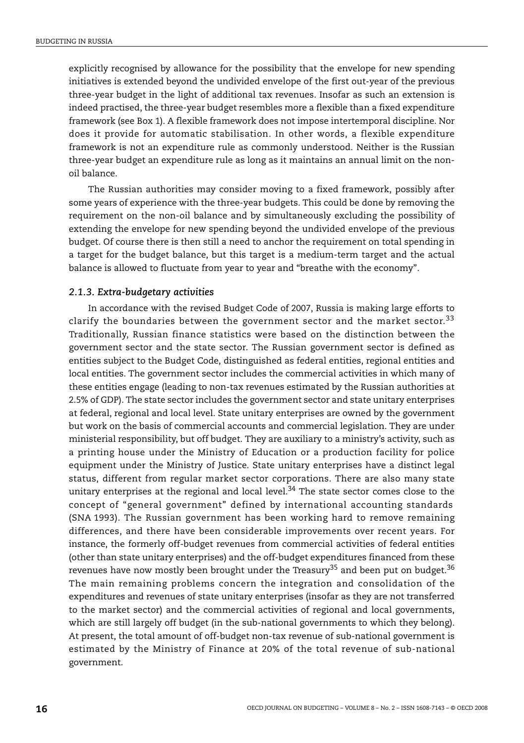explicitly recognised by allowance for the possibility that the envelope for new spending initiatives is extended beyond the undivided envelope of the first out-year of the previous three-year budget in the light of additional tax revenues. Insofar as such an extension is indeed practised, the three-year budget resembles more a flexible than a fixed expenditure framework (see [Box 1\)](#page-12-0). A flexible framework does not impose intertemporal discipline. Nor does it provide for automatic stabilisation. In other words, a flexible expenditure framework is not an expenditure rule as commonly understood. Neither is the Russian three-year budget an expenditure rule as long as it maintains an annual limit on the nonoil balance.

The Russian authorities may consider moving to a fixed framework, possibly after some years of experience with the three-year budgets. This could be done by removing the requirement on the non-oil balance and by simultaneously excluding the possibility of extending the envelope for new spending beyond the undivided envelope of the previous budget. Of course there is then still a need to anchor the requirement on total spending in a target for the budget balance, but this target is a medium-term target and the actual balance is allowed to fluctuate from year to year and "breathe with the economy".

#### *2.1.3. Extra-budgetary activities*

In accordance with the revised Budget Code of 2007, Russia is making large efforts to clarify the boundaries between the government sector and the market sector.<sup>[33](#page-55-4)</sup> Traditionally, Russian finance statistics were based on the distinction between the government sector and the state sector. The Russian government sector is defined as entities subject to the Budget Code, distinguished as federal entities, regional entities and local entities. The government sector includes the commercial activities in which many of these entities engage (leading to non-tax revenues estimated by the Russian authorities at 2.5% of GDP). The state sector includes the government sector and state unitary enterprises at federal, regional and local level. State unitary enterprises are owned by the government but work on the basis of commercial accounts and commercial legislation. They are under ministerial responsibility, but off budget. They are auxiliary to a ministry's activity, such as a printing house under the Ministry of Education or a production facility for police equipment under the Ministry of Justice. State unitary enterprises have a distinct legal status, different from regular market sector corporations. There are also many state unitary enterprises at the regional and local level.<sup>34</sup> The state sector comes close to the concept of "general government" defined by international accounting standards (SNA 1993). The Russian government has been working hard to remove remaining differences, and there have been considerable improvements over recent years. For instance, the formerly off-budget revenues from commercial activities of federal entities (other than state unitary enterprises) and the off-budget expenditures financed from these revenues have now mostly been brought under the Treasury<sup>35</sup> and been put on budget.<sup>[36](#page-55-7)</sup> The main remaining problems concern the integration and consolidation of the expenditures and revenues of state unitary enterprises (insofar as they are not transferred to the market sector) and the commercial activities of regional and local governments, which are still largely off budget (in the sub-national governments to which they belong). At present, the total amount of off-budget non-tax revenue of sub-national government is estimated by the Ministry of Finance at 20% of the total revenue of sub-national government.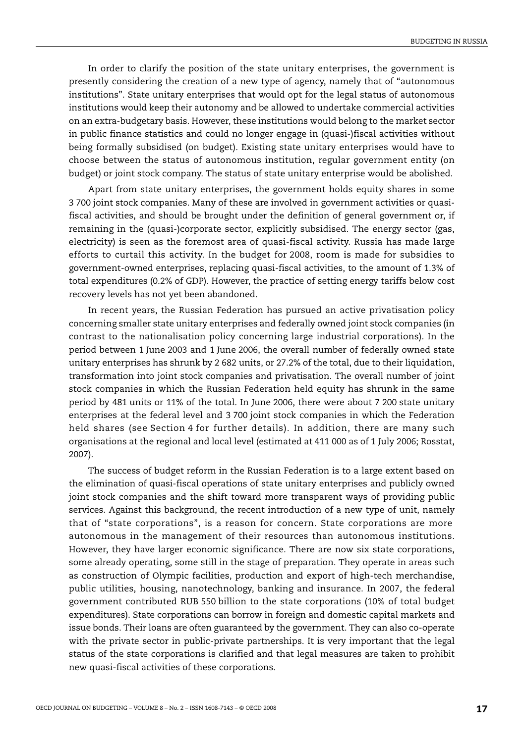In order to clarify the position of the state unitary enterprises, the government is presently considering the creation of a new type of agency, namely that of "autonomous institutions". State unitary enterprises that would opt for the legal status of autonomous institutions would keep their autonomy and be allowed to undertake commercial activities on an extra-budgetary basis. However, these institutions would belong to the market sector in public finance statistics and could no longer engage in (quasi-)fiscal activities without being formally subsidised (on budget). Existing state unitary enterprises would have to choose between the status of autonomous institution, regular government entity (on budget) or joint stock company. The status of state unitary enterprise would be abolished.

Apart from state unitary enterprises, the government holds equity shares in some 3 700 joint stock companies. Many of these are involved in government activities or quasifiscal activities, and should be brought under the definition of general government or, if remaining in the (quasi-)corporate sector, explicitly subsidised. The energy sector (gas, electricity) is seen as the foremost area of quasi-fiscal activity. Russia has made large efforts to curtail this activity. In the budget for 2008, room is made for subsidies to government-owned enterprises, replacing quasi-fiscal activities, to the amount of 1.3% of total expenditures (0.2% of GDP). However, the practice of setting energy tariffs below cost recovery levels has not yet been abandoned.

In recent years, the Russian Federation has pursued an active privatisation policy concerning smaller state unitary enterprises and federally owned joint stock companies (in contrast to the nationalisation policy concerning large industrial corporations). In the period between 1 June 2003 and 1 June 2006, the overall number of federally owned state unitary enterprises has shrunk by 2 682 units, or 27.2% of the total, due to their liquidation, transformation into joint stock companies and privatisation. The overall number of joint stock companies in which the Russian Federation held equity has shrunk in the same period by 481 units or 11% of the total. In June 2006, there were about 7 200 state unitary enterprises at the federal level and 3 700 joint stock companies in which the Federation held shares (see Section 4 for further details). In addition, there are many such organisations at the regional and local level (estimated at 411 000 as of 1 July 2006; Rosstat, 2007).

The success of budget reform in the Russian Federation is to a large extent based on the elimination of quasi-fiscal operations of state unitary enterprises and publicly owned joint stock companies and the shift toward more transparent ways of providing public services. Against this background, the recent introduction of a new type of unit, namely that of "state corporations", is a reason for concern. State corporations are more autonomous in the management of their resources than autonomous institutions. However, they have larger economic significance. There are now six state corporations, some already operating, some still in the stage of preparation. They operate in areas such as construction of Olympic facilities, production and export of high-tech merchandise, public utilities, housing, nanotechnology, banking and insurance. In 2007, the federal government contributed RUB 550 billion to the state corporations (10% of total budget expenditures). State corporations can borrow in foreign and domestic capital markets and issue bonds. Their loans are often guaranteed by the government. They can also co-operate with the private sector in public-private partnerships. It is very important that the legal status of the state corporations is clarified and that legal measures are taken to prohibit new quasi-fiscal activities of these corporations.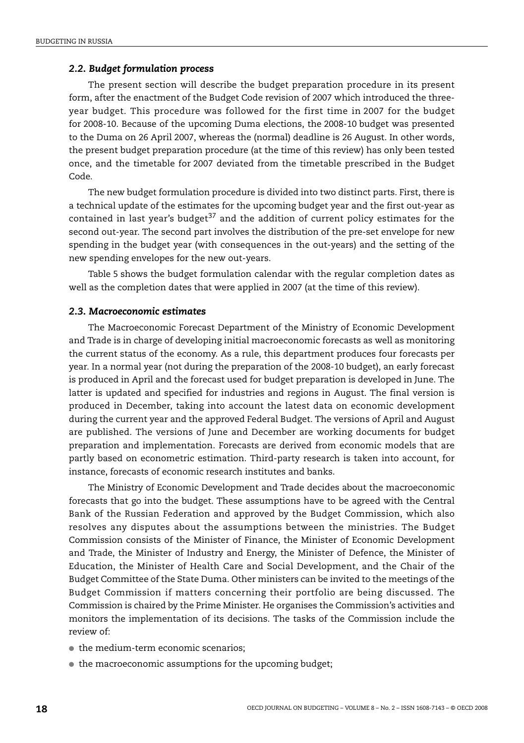#### *2.2. Budget formulation process*

The present section will describe the budget preparation procedure in its present form, after the enactment of the Budget Code revision of 2007 which introduced the threeyear budget. This procedure was followed for the first time in 2007 for the budget for 2008-10. Because of the upcoming Duma elections, the 2008-10 budget was presented to the Duma on 26 April 2007, whereas the (normal) deadline is 26 August. In other words, the present budget preparation procedure (at the time of this review) has only been tested once, and the timetable for 2007 deviated from the timetable prescribed in the Budget Code.

The new budget formulation procedure is divided into two distinct parts. First, there is a technical update of the estimates for the upcoming budget year and the first out-year as contained in last year's budget<sup>[37](#page-55-8)</sup> and the addition of current policy estimates for the second out-year. The second part involves the distribution of the pre-set envelope for new spending in the budget year (with consequences in the out-years) and the setting of the new spending envelopes for the new out-years.

[Table 5](#page-18-0) shows the budget formulation calendar with the regular completion dates as well as the completion dates that were applied in 2007 (at the time of this review).

## *2.3. Macroeconomic estimates*

The Macroeconomic Forecast Department of the Ministry of Economic Development and Trade is in charge of developing initial macroeconomic forecasts as well as monitoring the current status of the economy. As a rule, this department produces four forecasts per year. In a normal year (not during the preparation of the 2008-10 budget), an early forecast is produced in April and the forecast used for budget preparation is developed in June. The latter is updated and specified for industries and regions in August. The final version is produced in December, taking into account the latest data on economic development during the current year and the approved Federal Budget. The versions of April and August are published. The versions of June and December are working documents for budget preparation and implementation. Forecasts are derived from economic models that are partly based on econometric estimation. Third-party research is taken into account, for instance, forecasts of economic research institutes and banks.

The Ministry of Economic Development and Trade decides about the macroeconomic forecasts that go into the budget. These assumptions have to be agreed with the Central Bank of the Russian Federation and approved by the Budget Commission, which also resolves any disputes about the assumptions between the ministries. The Budget Commission consists of the Minister of Finance, the Minister of Economic Development and Trade, the Minister of Industry and Energy, the Minister of Defence, the Minister of Education, the Minister of Health Care and Social Development, and the Chair of the Budget Committee of the State Duma. Other ministers can be invited to the meetings of the Budget Commission if matters concerning their portfolio are being discussed. The Commission is chaired by the Prime Minister. He organises the Commission's activities and monitors the implementation of its decisions. The tasks of the Commission include the review of:

- the medium-term economic scenarios;
- the macroeconomic assumptions for the upcoming budget;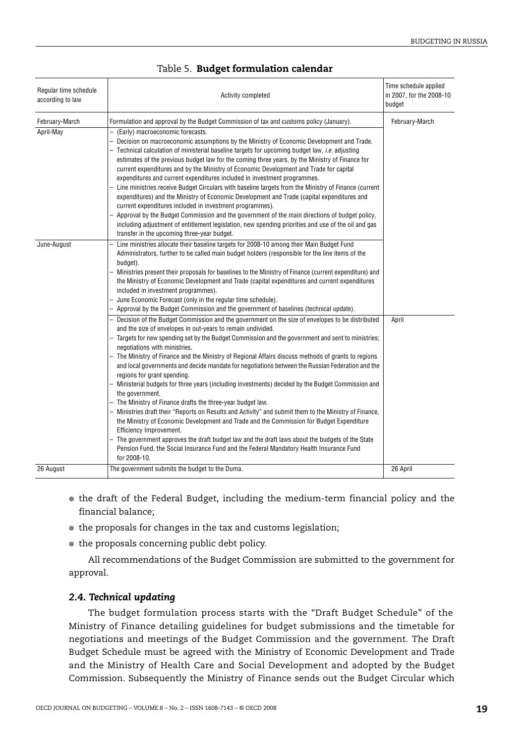<span id="page-18-0"></span>

| Regular time schedule<br>according to law | Activity completed                                                                                                                                                                                                                                                                                                                                                                                                                                                                                                                                                                                                                                                                                                                                                                                                                                                                                                                                                                                                                                                                                                                                                                | Time schedule applied<br>in 2007, for the 2008-10<br>budget |
|-------------------------------------------|-----------------------------------------------------------------------------------------------------------------------------------------------------------------------------------------------------------------------------------------------------------------------------------------------------------------------------------------------------------------------------------------------------------------------------------------------------------------------------------------------------------------------------------------------------------------------------------------------------------------------------------------------------------------------------------------------------------------------------------------------------------------------------------------------------------------------------------------------------------------------------------------------------------------------------------------------------------------------------------------------------------------------------------------------------------------------------------------------------------------------------------------------------------------------------------|-------------------------------------------------------------|
| February-March                            | Formulation and approval by the Budget Commission of tax and customs policy (January).                                                                                                                                                                                                                                                                                                                                                                                                                                                                                                                                                                                                                                                                                                                                                                                                                                                                                                                                                                                                                                                                                            | February-March                                              |
| April-May                                 | (Early) macroeconomic forecasts.<br>Decision on macroeconomic assumptions by the Ministry of Economic Development and Trade.<br>$-$ Technical calculation of ministerial baseline targets for upcoming budget law, <i>i.e.</i> adjusting<br>estimates of the previous budget law for the coming three years, by the Ministry of Finance for<br>current expenditures and by the Ministry of Economic Development and Trade for capital<br>expenditures and current expenditures included in investment programmes.<br>Line ministries receive Budget Circulars with baseline targets from the Ministry of Finance (current<br>expenditures) and the Ministry of Economic Development and Trade (capital expenditures and<br>current expenditures included in investment programmes).<br>Approval by the Budget Commission and the government of the main directions of budget policy,<br>including adjustment of entitlement legislation, new spending priorities and use of the oil and gas<br>transfer in the upcoming three-year budget.                                                                                                                                        |                                                             |
| June-August                               | Line ministries allocate their baseline targets for 2008-10 among their Main Budget Fund<br>Administrators, further to be called main budget holders (responsible for the line items of the<br>budget).<br>Ministries present their proposals for baselines to the Ministry of Finance (current expenditure) and<br>the Ministry of Economic Development and Trade (capital expenditures and current expenditures<br>included in investment programmes).<br>June Economic Forecast (only in the regular time schedule).<br>- Approval by the Budget Commission and the government of baselines (technical update).                                                                                                                                                                                                                                                                                                                                                                                                                                                                                                                                                                |                                                             |
|                                           | - Decision of the Budget Commission and the government on the size of envelopes to be distributed<br>and the size of envelopes in out-years to remain undivided.<br>Targets for new spending set by the Budget Commission and the government and sent to ministries;<br>negotiations with ministries.<br>- The Ministry of Finance and the Ministry of Regional Affairs discuss methods of grants to regions<br>and local governments and decide mandate for negotiations between the Russian Federation and the<br>regions for grant spending.<br>Ministerial budgets for three years (including investments) decided by the Budget Commission and<br>the government.<br>- The Ministry of Finance drafts the three-year budget law.<br>Ministries draft their "Reports on Results and Activity" and submit them to the Ministry of Finance,<br>the Ministry of Economic Development and Trade and the Commission for Budget Expenditure<br>Efficiency Improvement.<br>The government approves the draft budget law and the draft laws about the budgets of the State<br>Pension Fund, the Social Insurance Fund and the Federal Mandatory Health Insurance Fund<br>for 2008-10. | April                                                       |
| 26 August                                 | The government submits the budget to the Duma.                                                                                                                                                                                                                                                                                                                                                                                                                                                                                                                                                                                                                                                                                                                                                                                                                                                                                                                                                                                                                                                                                                                                    | 26 April                                                    |

## Table 5. **Budget formulation calendar**

- the draft of the Federal Budget, including the medium-term financial policy and the financial balance;
- the proposals for changes in the tax and customs legislation;
- the proposals concerning public debt policy.

All recommendations of the Budget Commission are submitted to the government for approval.

## *2.4. Technical updating*

The budget formulation process starts with the "Draft Budget Schedule" of the Ministry of Finance detailing guidelines for budget submissions and the timetable for negotiations and meetings of the Budget Commission and the government. The Draft Budget Schedule must be agreed with the Ministry of Economic Development and Trade and the Ministry of Health Care and Social Development and adopted by the Budget Commission. Subsequently the Ministry of Finance sends out the Budget Circular which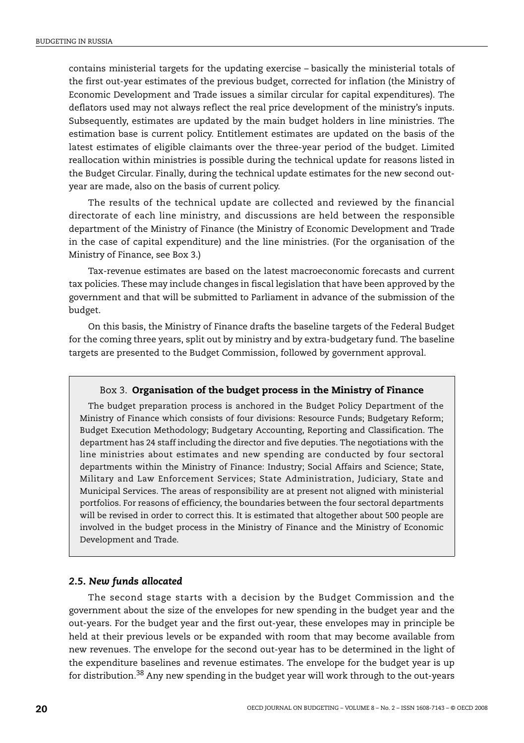contains ministerial targets for the updating exercise – basically the ministerial totals of the first out-year estimates of the previous budget, corrected for inflation (the Ministry of Economic Development and Trade issues a similar circular for capital expenditures). The deflators used may not always reflect the real price development of the ministry's inputs. Subsequently, estimates are updated by the main budget holders in line ministries. The estimation base is current policy. Entitlement estimates are updated on the basis of the latest estimates of eligible claimants over the three-year period of the budget. Limited reallocation within ministries is possible during the technical update for reasons listed in the Budget Circular. Finally, during the technical update estimates for the new second outyear are made, also on the basis of current policy.

The results of the technical update are collected and reviewed by the financial directorate of each line ministry, and discussions are held between the responsible department of the Ministry of Finance (the Ministry of Economic Development and Trade in the case of capital expenditure) and the line ministries. (For the organisation of the Ministry of Finance, see [Box 3](#page-19-0).)

Tax-revenue estimates are based on the latest macroeconomic forecasts and current tax policies. These may include changes in fiscal legislation that have been approved by the government and that will be submitted to Parliament in advance of the submission of the budget.

On this basis, the Ministry of Finance drafts the baseline targets of the Federal Budget for the coming three years, split out by ministry and by extra-budgetary fund. The baseline targets are presented to the Budget Commission, followed by government approval.

## Box 3. **Organisation of the budget process in the Ministry of Finance**

<span id="page-19-0"></span>The budget preparation process is anchored in the Budget Policy Department of the Ministry of Finance which consists of four divisions: Resource Funds; Budgetary Reform; Budget Execution Methodology; Budgetary Accounting, Reporting and Classification. The department has 24 staff including the director and five deputies. The negotiations with the line ministries about estimates and new spending are conducted by four sectoral departments within the Ministry of Finance: Industry; Social Affairs and Science; State, Military and Law Enforcement Services; State Administration, Judiciary, State and Municipal Services. The areas of responsibility are at present not aligned with ministerial portfolios. For reasons of efficiency, the boundaries between the four sectoral departments will be revised in order to correct this. It is estimated that altogether about 500 people are involved in the budget process in the Ministry of Finance and the Ministry of Economic Development and Trade.

## *2.5. New funds allocated*

The second stage starts with a decision by the Budget Commission and the government about the size of the envelopes for new spending in the budget year and the out-years. For the budget year and the first out-year, these envelopes may in principle be held at their previous levels or be expanded with room that may become available from new revenues. The envelope for the second out-year has to be determined in the light of the expenditure baselines and revenue estimates. The envelope for the budget year is up for distribution[.38](#page-55-9) Any new spending in the budget year will work through to the out-years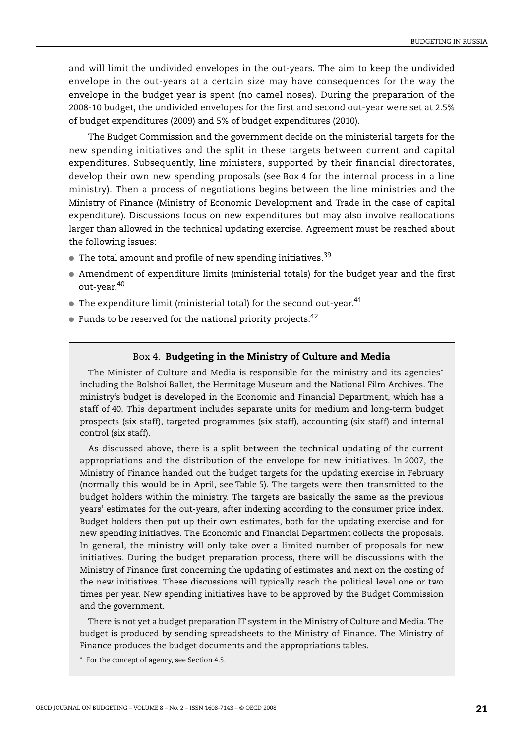and will limit the undivided envelopes in the out-years. The aim to keep the undivided envelope in the out-years at a certain size may have consequences for the way the envelope in the budget year is spent (no camel noses). During the preparation of the 2008-10 budget, the undivided envelopes for the first and second out-year were set at 2.5% of budget expenditures (2009) and 5% of budget expenditures (2010).

The Budget Commission and the government decide on the ministerial targets for the new spending initiatives and the split in these targets between current and capital expenditures. Subsequently, line ministers, supported by their financial directorates, develop their own new spending proposals (see [Box 4](#page-20-1) for the internal process in a line ministry). Then a process of negotiations begins between the line ministries and the Ministry of Finance (Ministry of Economic Development and Trade in the case of capital expenditure). Discussions focus on new expenditures but may also involve reallocations larger than allowed in the technical updating exercise. Agreement must be reached about the following issues:

- $\bullet$  The total amount and profile of new spending initiatives.<sup>[39](#page-55-10)</sup>
- Amendment of expenditure limits (ministerial totals) for the budget year and the first out-year.[40](#page-55-11)
- $\bullet$  The expenditure limit (ministerial total) for the second out-year.<sup>[41](#page-55-12)</sup>
- $\bullet$  Funds to be reserved for the national priority projects.<sup>42</sup>

## Box 4. **Budgeting in the Ministry of Culture and Media**

<span id="page-20-1"></span>The Minister of Culture and Media is responsible for the ministry and its agencies[\\*](#page-20-0) including the Bolshoi Ballet, the Hermitage Museum and the National Film Archives. The ministry's budget is developed in the Economic and Financial Department, which has a staff of 40. This department includes separate units for medium and long-term budget prospects (six staff), targeted programmes (six staff), accounting (six staff) and internal control (six staff).

As discussed above, there is a split between the technical updating of the current appropriations and the distribution of the envelope for new initiatives. In 2007, the Ministry of Finance handed out the budget targets for the updating exercise in February (normally this would be in April, see [Table 5](#page-18-0)). The targets were then transmitted to the budget holders within the ministry. The targets are basically the same as the previous years' estimates for the out-years, after indexing according to the consumer price index. Budget holders then put up their own estimates, both for the updating exercise and for new spending initiatives. The Economic and Financial Department collects the proposals. In general, the ministry will only take over a limited number of proposals for new initiatives. During the budget preparation process, there will be discussions with the Ministry of Finance first concerning the updating of estimates and next on the costing of the new initiatives. These discussions will typically reach the political level one or two times per year. New spending initiatives have to be approved by the Budget Commission and the government.

There is not yet a budget preparation IT system in the Ministry of Culture and Media. The budget is produced by sending spreadsheets to the Ministry of Finance. The Ministry of Finance produces the budget documents and the appropriations tables.

<span id="page-20-0"></span>\* For the concept of agency, see Section 4.5.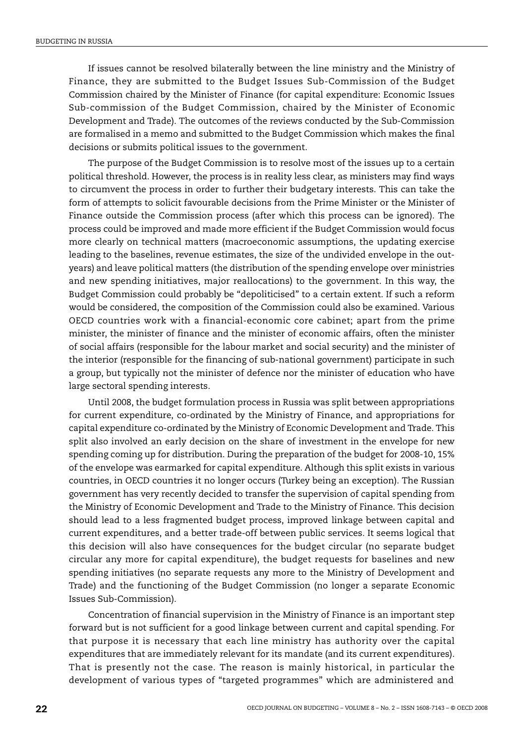If issues cannot be resolved bilaterally between the line ministry and the Ministry of Finance, they are submitted to the Budget Issues Sub-Commission of the Budget Commission chaired by the Minister of Finance (for capital expenditure: Economic Issues Sub-commission of the Budget Commission, chaired by the Minister of Economic Development and Trade). The outcomes of the reviews conducted by the Sub-Commission are formalised in a memo and submitted to the Budget Commission which makes the final decisions or submits political issues to the government.

The purpose of the Budget Commission is to resolve most of the issues up to a certain political threshold. However, the process is in reality less clear, as ministers may find ways to circumvent the process in order to further their budgetary interests. This can take the form of attempts to solicit favourable decisions from the Prime Minister or the Minister of Finance outside the Commission process (after which this process can be ignored). The process could be improved and made more efficient if the Budget Commission would focus more clearly on technical matters (macroeconomic assumptions, the updating exercise leading to the baselines, revenue estimates, the size of the undivided envelope in the outyears) and leave political matters (the distribution of the spending envelope over ministries and new spending initiatives, major reallocations) to the government. In this way, the Budget Commission could probably be "depoliticised" to a certain extent. If such a reform would be considered, the composition of the Commission could also be examined. Various OECD countries work with a financial-economic core cabinet; apart from the prime minister, the minister of finance and the minister of economic affairs, often the minister of social affairs (responsible for the labour market and social security) and the minister of the interior (responsible for the financing of sub-national government) participate in such a group, but typically not the minister of defence nor the minister of education who have large sectoral spending interests.

Until 2008, the budget formulation process in Russia was split between appropriations for current expenditure, co-ordinated by the Ministry of Finance, and appropriations for capital expenditure co-ordinated by the Ministry of Economic Development and Trade. This split also involved an early decision on the share of investment in the envelope for new spending coming up for distribution. During the preparation of the budget for 2008-10, 15% of the envelope was earmarked for capital expenditure. Although this split exists in various countries, in OECD countries it no longer occurs (Turkey being an exception). The Russian government has very recently decided to transfer the supervision of capital spending from the Ministry of Economic Development and Trade to the Ministry of Finance. This decision should lead to a less fragmented budget process, improved linkage between capital and current expenditures, and a better trade-off between public services. It seems logical that this decision will also have consequences for the budget circular (no separate budget circular any more for capital expenditure), the budget requests for baselines and new spending initiatives (no separate requests any more to the Ministry of Development and Trade) and the functioning of the Budget Commission (no longer a separate Economic Issues Sub-Commission).

Concentration of financial supervision in the Ministry of Finance is an important step forward but is not sufficient for a good linkage between current and capital spending. For that purpose it is necessary that each line ministry has authority over the capital expenditures that are immediately relevant for its mandate (and its current expenditures). That is presently not the case. The reason is mainly historical, in particular the development of various types of "targeted programmes" which are administered and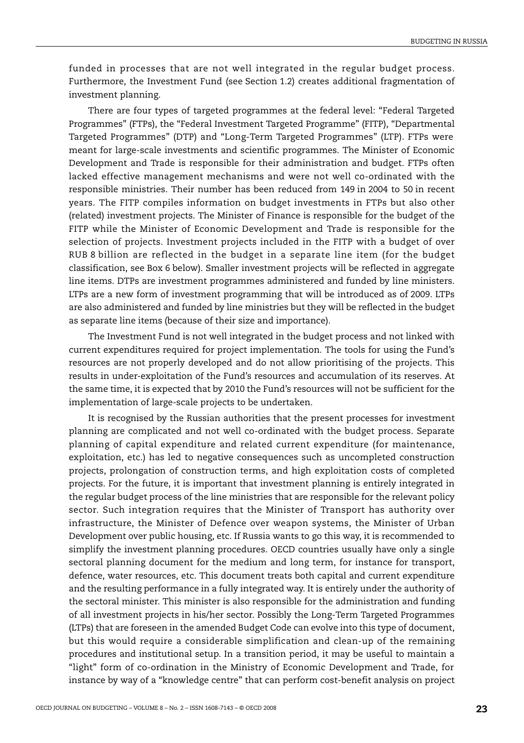funded in processes that are not well integrated in the regular budget process. Furthermore, the Investment Fund (see Section 1.2) creates additional fragmentation of investment planning.

There are four types of targeted programmes at the federal level: "Federal Targeted Programmes" (FTPs), the "Federal Investment Targeted Programme" (FITP), "Departmental Targeted Programmes" (DTP) and "Long-Term Targeted Programmes" (LTP). FTPs were meant for large-scale investments and scientific programmes. The Minister of Economic Development and Trade is responsible for their administration and budget. FTPs often lacked effective management mechanisms and were not well co-ordinated with the responsible ministries. Their number has been reduced from 149 in 2004 to 50 in recent years. The FITP compiles information on budget investments in FTPs but also other (related) investment projects. The Minister of Finance is responsible for the budget of the FITP while the Minister of Economic Development and Trade is responsible for the selection of projects. Investment projects included in the FITP with a budget of over RUB 8 billion are reflected in the budget in a separate line item (for the budget classification, see [Box 6](#page-31-0) below). Smaller investment projects will be reflected in aggregate line items. DTPs are investment programmes administered and funded by line ministers. LTPs are a new form of investment programming that will be introduced as of 2009. LTPs are also administered and funded by line ministries but they will be reflected in the budget as separate line items (because of their size and importance).

The Investment Fund is not well integrated in the budget process and not linked with current expenditures required for project implementation. The tools for using the Fund's resources are not properly developed and do not allow prioritising of the projects. This results in under-exploitation of the Fund's resources and accumulation of its reserves. At the same time, it is expected that by 2010 the Fund's resources will not be sufficient for the implementation of large-scale projects to be undertaken.

It is recognised by the Russian authorities that the present processes for investment planning are complicated and not well co-ordinated with the budget process. Separate planning of capital expenditure and related current expenditure (for maintenance, exploitation, etc.) has led to negative consequences such as uncompleted construction projects, prolongation of construction terms, and high exploitation costs of completed projects. For the future, it is important that investment planning is entirely integrated in the regular budget process of the line ministries that are responsible for the relevant policy sector. Such integration requires that the Minister of Transport has authority over infrastructure, the Minister of Defence over weapon systems, the Minister of Urban Development over public housing, etc. If Russia wants to go this way, it is recommended to simplify the investment planning procedures. OECD countries usually have only a single sectoral planning document for the medium and long term, for instance for transport, defence, water resources, etc. This document treats both capital and current expenditure and the resulting performance in a fully integrated way. It is entirely under the authority of the sectoral minister. This minister is also responsible for the administration and funding of all investment projects in his/her sector. Possibly the Long-Term Targeted Programmes (LTPs) that are foreseen in the amended Budget Code can evolve into this type of document, but this would require a considerable simplification and clean-up of the remaining procedures and institutional setup. In a transition period, it may be useful to maintain a "light" form of co-ordination in the Ministry of Economic Development and Trade, for instance by way of a "knowledge centre" that can perform cost-benefit analysis on project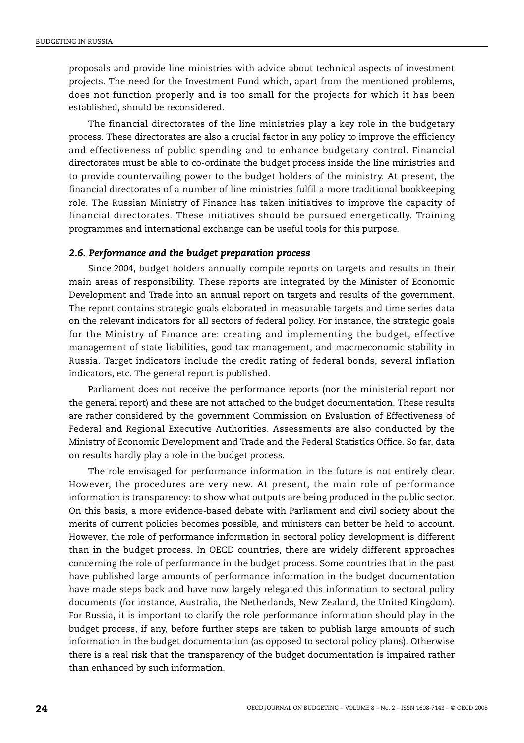proposals and provide line ministries with advice about technical aspects of investment projects. The need for the Investment Fund which, apart from the mentioned problems, does not function properly and is too small for the projects for which it has been established, should be reconsidered.

The financial directorates of the line ministries play a key role in the budgetary process. These directorates are also a crucial factor in any policy to improve the efficiency and effectiveness of public spending and to enhance budgetary control. Financial directorates must be able to co-ordinate the budget process inside the line ministries and to provide countervailing power to the budget holders of the ministry. At present, the financial directorates of a number of line ministries fulfil a more traditional bookkeeping role. The Russian Ministry of Finance has taken initiatives to improve the capacity of financial directorates. These initiatives should be pursued energetically. Training programmes and international exchange can be useful tools for this purpose.

## *2.6. Performance and the budget preparation process*

Since 2004, budget holders annually compile reports on targets and results in their main areas of responsibility. These reports are integrated by the Minister of Economic Development and Trade into an annual report on targets and results of the government. The report contains strategic goals elaborated in measurable targets and time series data on the relevant indicators for all sectors of federal policy. For instance, the strategic goals for the Ministry of Finance are: creating and implementing the budget, effective management of state liabilities, good tax management, and macroeconomic stability in Russia. Target indicators include the credit rating of federal bonds, several inflation indicators, etc. The general report is published.

Parliament does not receive the performance reports (nor the ministerial report nor the general report) and these are not attached to the budget documentation. These results are rather considered by the government Commission on Evaluation of Effectiveness of Federal and Regional Executive Authorities. Assessments are also conducted by the Ministry of Economic Development and Trade and the Federal Statistics Office. So far, data on results hardly play a role in the budget process.

The role envisaged for performance information in the future is not entirely clear. However, the procedures are very new. At present, the main role of performance information is transparency: to show what outputs are being produced in the public sector. On this basis, a more evidence-based debate with Parliament and civil society about the merits of current policies becomes possible, and ministers can better be held to account. However, the role of performance information in sectoral policy development is different than in the budget process. In OECD countries, there are widely different approaches concerning the role of performance in the budget process. Some countries that in the past have published large amounts of performance information in the budget documentation have made steps back and have now largely relegated this information to sectoral policy documents (for instance, Australia, the Netherlands, New Zealand, the United Kingdom). For Russia, it is important to clarify the role performance information should play in the budget process, if any, before further steps are taken to publish large amounts of such information in the budget documentation (as opposed to sectoral policy plans). Otherwise there is a real risk that the transparency of the budget documentation is impaired rather than enhanced by such information.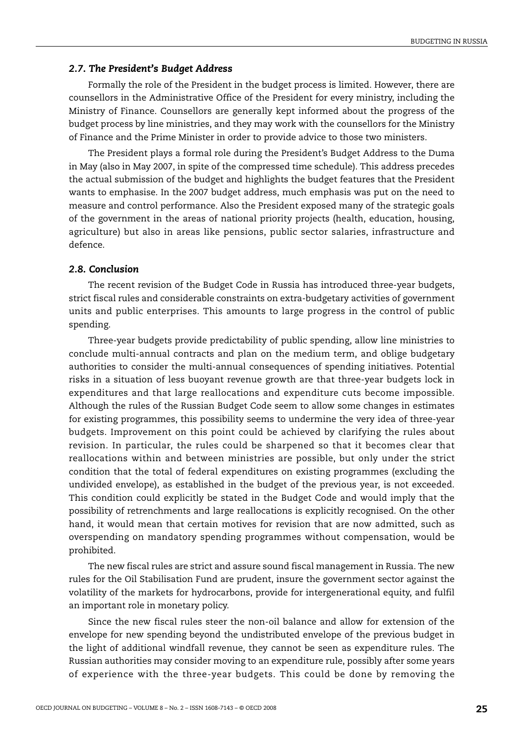#### *2.7. The President's Budget Address*

Formally the role of the President in the budget process is limited. However, there are counsellors in the Administrative Office of the President for every ministry, including the Ministry of Finance. Counsellors are generally kept informed about the progress of the budget process by line ministries, and they may work with the counsellors for the Ministry of Finance and the Prime Minister in order to provide advice to those two ministers.

The President plays a formal role during the President's Budget Address to the Duma in May (also in May 2007, in spite of the compressed time schedule). This address precedes the actual submission of the budget and highlights the budget features that the President wants to emphasise. In the 2007 budget address, much emphasis was put on the need to measure and control performance. Also the President exposed many of the strategic goals of the government in the areas of national priority projects (health, education, housing, agriculture) but also in areas like pensions, public sector salaries, infrastructure and defence.

## *2.8. Conclusion*

The recent revision of the Budget Code in Russia has introduced three-year budgets, strict fiscal rules and considerable constraints on extra-budgetary activities of government units and public enterprises. This amounts to large progress in the control of public spending.

Three-year budgets provide predictability of public spending, allow line ministries to conclude multi-annual contracts and plan on the medium term, and oblige budgetary authorities to consider the multi-annual consequences of spending initiatives. Potential risks in a situation of less buoyant revenue growth are that three-year budgets lock in expenditures and that large reallocations and expenditure cuts become impossible. Although the rules of the Russian Budget Code seem to allow some changes in estimates for existing programmes, this possibility seems to undermine the very idea of three-year budgets. Improvement on this point could be achieved by clarifying the rules about revision. In particular, the rules could be sharpened so that it becomes clear that reallocations within and between ministries are possible, but only under the strict condition that the total of federal expenditures on existing programmes (excluding the undivided envelope), as established in the budget of the previous year, is not exceeded. This condition could explicitly be stated in the Budget Code and would imply that the possibility of retrenchments and large reallocations is explicitly recognised. On the other hand, it would mean that certain motives for revision that are now admitted, such as overspending on mandatory spending programmes without compensation, would be prohibited.

The new fiscal rules are strict and assure sound fiscal management in Russia. The new rules for the Oil Stabilisation Fund are prudent, insure the government sector against the volatility of the markets for hydrocarbons, provide for intergenerational equity, and fulfil an important role in monetary policy.

Since the new fiscal rules steer the non-oil balance and allow for extension of the envelope for new spending beyond the undistributed envelope of the previous budget in the light of additional windfall revenue, they cannot be seen as expenditure rules. The Russian authorities may consider moving to an expenditure rule, possibly after some years of experience with the three-year budgets. This could be done by removing the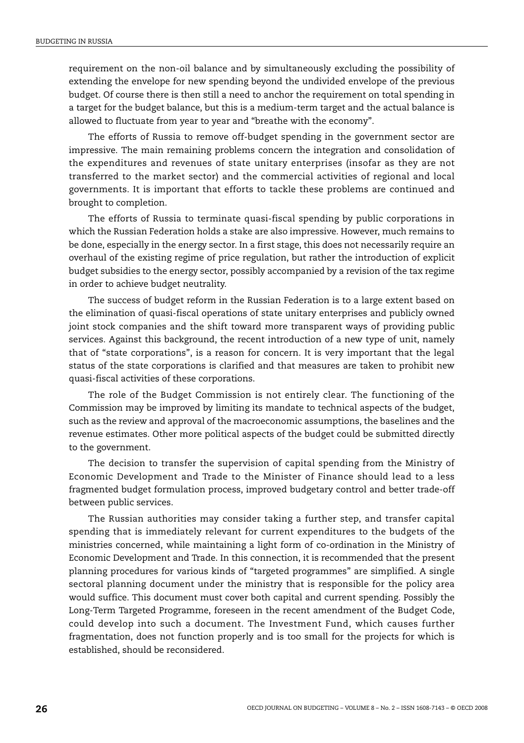requirement on the non-oil balance and by simultaneously excluding the possibility of extending the envelope for new spending beyond the undivided envelope of the previous budget. Of course there is then still a need to anchor the requirement on total spending in a target for the budget balance, but this is a medium-term target and the actual balance is allowed to fluctuate from year to year and "breathe with the economy".

The efforts of Russia to remove off-budget spending in the government sector are impressive. The main remaining problems concern the integration and consolidation of the expenditures and revenues of state unitary enterprises (insofar as they are not transferred to the market sector) and the commercial activities of regional and local governments. It is important that efforts to tackle these problems are continued and brought to completion.

The efforts of Russia to terminate quasi-fiscal spending by public corporations in which the Russian Federation holds a stake are also impressive. However, much remains to be done, especially in the energy sector. In a first stage, this does not necessarily require an overhaul of the existing regime of price regulation, but rather the introduction of explicit budget subsidies to the energy sector, possibly accompanied by a revision of the tax regime in order to achieve budget neutrality.

The success of budget reform in the Russian Federation is to a large extent based on the elimination of quasi-fiscal operations of state unitary enterprises and publicly owned joint stock companies and the shift toward more transparent ways of providing public services. Against this background, the recent introduction of a new type of unit, namely that of "state corporations", is a reason for concern. It is very important that the legal status of the state corporations is clarified and that measures are taken to prohibit new quasi-fiscal activities of these corporations.

The role of the Budget Commission is not entirely clear. The functioning of the Commission may be improved by limiting its mandate to technical aspects of the budget, such as the review and approval of the macroeconomic assumptions, the baselines and the revenue estimates. Other more political aspects of the budget could be submitted directly to the government.

The decision to transfer the supervision of capital spending from the Ministry of Economic Development and Trade to the Minister of Finance should lead to a less fragmented budget formulation process, improved budgetary control and better trade-off between public services.

The Russian authorities may consider taking a further step, and transfer capital spending that is immediately relevant for current expenditures to the budgets of the ministries concerned, while maintaining a light form of co-ordination in the Ministry of Economic Development and Trade. In this connection, it is recommended that the present planning procedures for various kinds of "targeted programmes" are simplified. A single sectoral planning document under the ministry that is responsible for the policy area would suffice. This document must cover both capital and current spending. Possibly the Long-Term Targeted Programme, foreseen in the recent amendment of the Budget Code, could develop into such a document. The Investment Fund, which causes further fragmentation, does not function properly and is too small for the projects for which is established, should be reconsidered.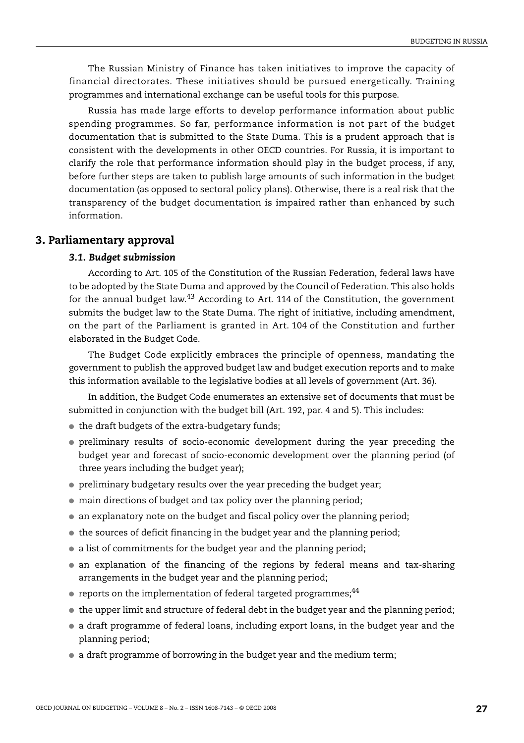The Russian Ministry of Finance has taken initiatives to improve the capacity of financial directorates. These initiatives should be pursued energetically. Training programmes and international exchange can be useful tools for this purpose.

Russia has made large efforts to develop performance information about public spending programmes. So far, performance information is not part of the budget documentation that is submitted to the State Duma. This is a prudent approach that is consistent with the developments in other OECD countries. For Russia, it is important to clarify the role that performance information should play in the budget process, if any, before further steps are taken to publish large amounts of such information in the budget documentation (as opposed to sectoral policy plans). Otherwise, there is a real risk that the transparency of the budget documentation is impaired rather than enhanced by such information.

## **3. Parliamentary approval**

## *3.1. Budget submission*

According to Art. 105 of the Constitution of the Russian Federation, federal laws have to be adopted by the State Duma and approved by the Council of Federation. This also holds for the annual budget law.<sup>[43](#page-55-14)</sup> According to Art. 114 of the Constitution, the government submits the budget law to the State Duma. The right of initiative, including amendment, on the part of the Parliament is granted in Art. 104 of the Constitution and further elaborated in the Budget Code.

The Budget Code explicitly embraces the principle of openness, mandating the government to publish the approved budget law and budget execution reports and to make this information available to the legislative bodies at all levels of government (Art. 36).

In addition, the Budget Code enumerates an extensive set of documents that must be submitted in conjunction with the budget bill (Art. 192, par. 4 and 5). This includes:

- the draft budgets of the extra-budgetary funds;
- preliminary results of socio-economic development during the year preceding the budget year and forecast of socio-economic development over the planning period (of three years including the budget year);
- preliminary budgetary results over the year preceding the budget year;
- $\bullet$  main directions of budget and tax policy over the planning period;
- an explanatory note on the budget and fiscal policy over the planning period;
- the sources of deficit financing in the budget year and the planning period;
- a list of commitments for the budget year and the planning period;
- an explanation of the financing of the regions by federal means and tax-sharing arrangements in the budget year and the planning period;
- $\bullet$  reports on the implementation of federal targeted programmes;<sup>[44](#page-55-15)</sup>
- the upper limit and structure of federal debt in the budget year and the planning period;
- a draft programme of federal loans, including export loans, in the budget year and the planning period;
- a draft programme of borrowing in the budget year and the medium term;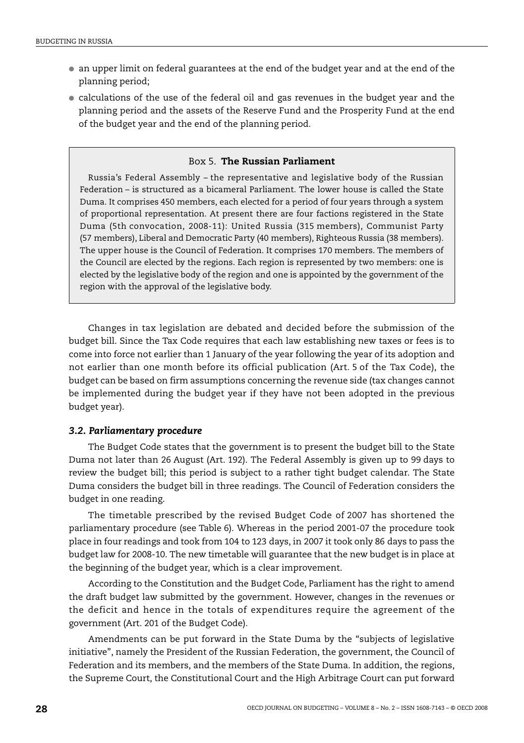- an upper limit on federal guarantees at the end of the budget year and at the end of the planning period;
- calculations of the use of the federal oil and gas revenues in the budget year and the planning period and the assets of the Reserve Fund and the Prosperity Fund at the end of the budget year and the end of the planning period.

## Box 5. **The Russian Parliament**

Russia's Federal Assembly – the representative and legislative body of the Russian Federation – is structured as a bicameral Parliament. The lower house is called the State Duma. It comprises 450 members, each elected for a period of four years through a system of proportional representation. At present there are four factions registered in the State Duma (5th convocation, 2008-11): United Russia (315 members), Communist Party (57 members), Liberal and Democratic Party (40 members), Righteous Russia (38 members). The upper house is the Council of Federation. It comprises 170 members. The members of the Council are elected by the regions. Each region is represented by two members: one is elected by the legislative body of the region and one is appointed by the government of the region with the approval of the legislative body.

Changes in tax legislation are debated and decided before the submission of the budget bill. Since the Tax Code requires that each law establishing new taxes or fees is to come into force not earlier than 1 January of the year following the year of its adoption and not earlier than one month before its official publication (Art. 5 of the Tax Code), the budget can be based on firm assumptions concerning the revenue side (tax changes cannot be implemented during the budget year if they have not been adopted in the previous budget year).

## *3.2. Parliamentary procedure*

The Budget Code states that the government is to present the budget bill to the State Duma not later than 26 August (Art. 192). The Federal Assembly is given up to 99 days to review the budget bill; this period is subject to a rather tight budget calendar. The State Duma considers the budget bill in three readings. The Council of Federation considers the budget in one reading.

The timetable prescribed by the revised Budget Code of 2007 has shortened the parliamentary procedure (see [Table 6](#page-28-0)). Whereas in the period 2001-07 the procedure took place in four readings and took from 104 to 123 days, in 2007 it took only 86 days to pass the budget law for 2008-10. The new timetable will guarantee that the new budget is in place at the beginning of the budget year, which is a clear improvement.

According to the Constitution and the Budget Code, Parliament has the right to amend the draft budget law submitted by the government. However, changes in the revenues or the deficit and hence in the totals of expenditures require the agreement of the government (Art. 201 of the Budget Code).

Amendments can be put forward in the State Duma by the "subjects of legislative initiative", namely the President of the Russian Federation, the government, the Council of Federation and its members, and the members of the State Duma. In addition, the regions, the Supreme Court, the Constitutional Court and the High Arbitrage Court can put forward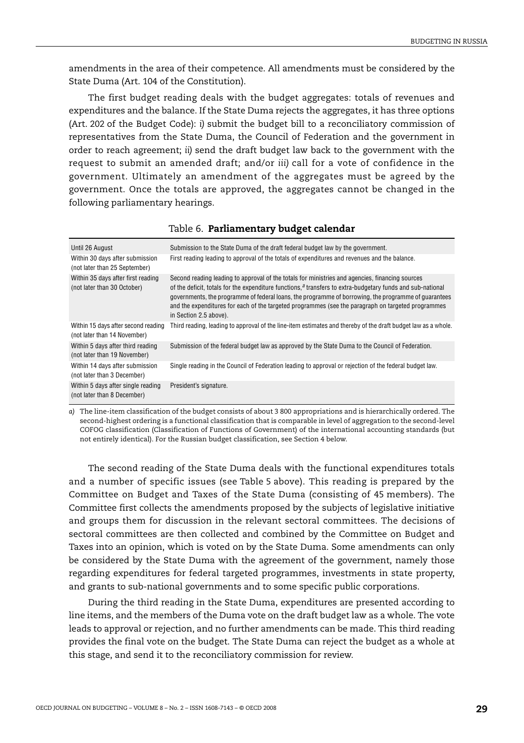amendments in the area of their competence. All amendments must be considered by the State Duma (Art. 104 of the Constitution).

The first budget reading deals with the budget aggregates: totals of revenues and expenditures and the balance. If the State Duma rejects the aggregates, it has three options (Art. 202 of the Budget Code): *i)* submit the budget bill to a reconciliatory commission of representatives from the State Duma, the Council of Federation and the government in order to reach agreement; *ii)* send the draft budget law back to the government with the request to submit an amended draft; and/or *iii)* call for a vote of confidence in the government. Ultimately an amendment of the aggregates must be agreed by the government. Once the totals are approved, the aggregates cannot be changed in the following parliamentary hearings.

<span id="page-28-0"></span>

| Until 26 August                                                     | Submission to the State Duma of the draft federal budget law by the government.                                                                                                                                                                                                                                                                                                                                                                          |
|---------------------------------------------------------------------|----------------------------------------------------------------------------------------------------------------------------------------------------------------------------------------------------------------------------------------------------------------------------------------------------------------------------------------------------------------------------------------------------------------------------------------------------------|
| Within 30 days after submission<br>(not later than 25 September)    | First reading leading to approval of the totals of expenditures and revenues and the balance.                                                                                                                                                                                                                                                                                                                                                            |
| Within 35 days after first reading<br>(not later than 30 October)   | Second reading leading to approval of the totals for ministries and agencies, financing sources<br>of the deficit, totals for the expenditure functions, $a$ transfers to extra-budgetary funds and sub-national<br>governments, the programme of federal loans, the programme of borrowing, the programme of guarantees<br>and the expenditures for each of the targeted programmes (see the paragraph on targeted programmes<br>in Section 2.5 above). |
| Within 15 days after second reading<br>(not later than 14 November) | Third reading, leading to approval of the line-item estimates and thereby of the draft budget law as a whole.                                                                                                                                                                                                                                                                                                                                            |
| Within 5 days after third reading<br>(not later than 19 November)   | Submission of the federal budget law as approved by the State Duma to the Council of Federation.                                                                                                                                                                                                                                                                                                                                                         |
| Within 14 days after submission<br>(not later than 3 December)      | Single reading in the Council of Federation leading to approval or rejection of the federal budget law.                                                                                                                                                                                                                                                                                                                                                  |
| Within 5 days after single reading<br>(not later than 8 December)   | President's signature.                                                                                                                                                                                                                                                                                                                                                                                                                                   |

Table 6. **Parliamentary budget calendar**

<span id="page-28-1"></span>*a)* The line-item classification of the budget consists of about 3 800 appropriations and is hierarchically ordered. The second-highest ordering is a functional classification that is comparable in level of aggregation to the second-level COFOG classification (Classification of Functions of Government) of the international accounting standards (but not entirely identical). For the Russian budget classification, see Section 4 below.

The second reading of the State Duma deals with the functional expenditures totals and a number of specific issues (see [Table 5](#page-18-0) above). This reading is prepared by the Committee on Budget and Taxes of the State Duma (consisting of 45 members). The Committee first collects the amendments proposed by the subjects of legislative initiative and groups them for discussion in the relevant sectoral committees. The decisions of sectoral committees are then collected and combined by the Committee on Budget and Taxes into an opinion, which is voted on by the State Duma. Some amendments can only be considered by the State Duma with the agreement of the government, namely those regarding expenditures for federal targeted programmes, investments in state property, and grants to sub-national governments and to some specific public corporations.

During the third reading in the State Duma, expenditures are presented according to line items, and the members of the Duma vote on the draft budget law as a whole. The vote leads to approval or rejection, and no further amendments can be made. This third reading provides the final vote on the budget. The State Duma can reject the budget as a whole at this stage, and send it to the reconciliatory commission for review.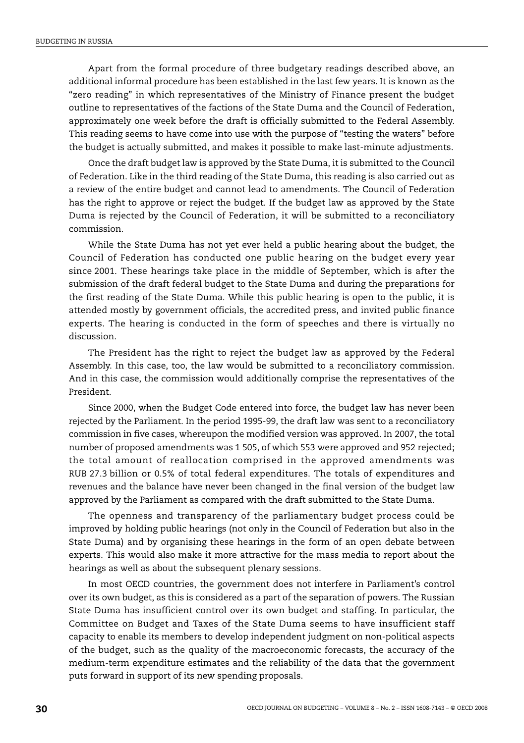Apart from the formal procedure of three budgetary readings described above, an additional informal procedure has been established in the last few years. It is known as the "zero reading" in which representatives of the Ministry of Finance present the budget outline to representatives of the factions of the State Duma and the Council of Federation, approximately one week before the draft is officially submitted to the Federal Assembly. This reading seems to have come into use with the purpose of "testing the waters" before the budget is actually submitted, and makes it possible to make last-minute adjustments.

Once the draft budget law is approved by the State Duma, it is submitted to the Council of Federation. Like in the third reading of the State Duma, this reading is also carried out as a review of the entire budget and cannot lead to amendments. The Council of Federation has the right to approve or reject the budget. If the budget law as approved by the State Duma is rejected by the Council of Federation, it will be submitted to a reconciliatory commission.

While the State Duma has not yet ever held a public hearing about the budget, the Council of Federation has conducted one public hearing on the budget every year since 2001. These hearings take place in the middle of September, which is after the submission of the draft federal budget to the State Duma and during the preparations for the first reading of the State Duma. While this public hearing is open to the public, it is attended mostly by government officials, the accredited press, and invited public finance experts. The hearing is conducted in the form of speeches and there is virtually no discussion.

The President has the right to reject the budget law as approved by the Federal Assembly. In this case, too, the law would be submitted to a reconciliatory commission. And in this case, the commission would additionally comprise the representatives of the President.

Since 2000, when the Budget Code entered into force, the budget law has never been rejected by the Parliament. In the period 1995-99, the draft law was sent to a reconciliatory commission in five cases, whereupon the modified version was approved. In 2007, the total number of proposed amendments was 1 505, of which 553 were approved and 952 rejected; the total amount of reallocation comprised in the approved amendments was RUB 27.3 billion or 0.5% of total federal expenditures. The totals of expenditures and revenues and the balance have never been changed in the final version of the budget law approved by the Parliament as compared with the draft submitted to the State Duma.

The openness and transparency of the parliamentary budget process could be improved by holding public hearings (not only in the Council of Federation but also in the State Duma) and by organising these hearings in the form of an open debate between experts. This would also make it more attractive for the mass media to report about the hearings as well as about the subsequent plenary sessions.

In most OECD countries, the government does not interfere in Parliament's control over its own budget, as this is considered as a part of the separation of powers. The Russian State Duma has insufficient control over its own budget and staffing. In particular, the Committee on Budget and Taxes of the State Duma seems to have insufficient staff capacity to enable its members to develop independent judgment on non-political aspects of the budget, such as the quality of the macroeconomic forecasts, the accuracy of the medium-term expenditure estimates and the reliability of the data that the government puts forward in support of its new spending proposals.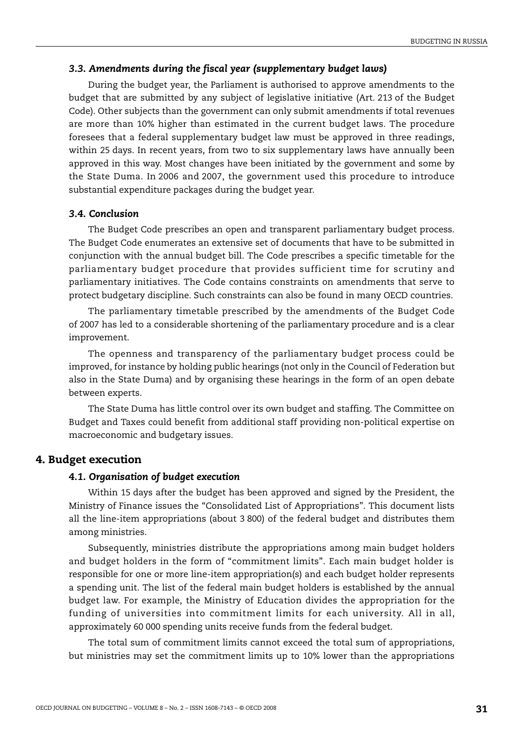## *3.3. Amendments during the fiscal year (supplementary budget laws)*

During the budget year, the Parliament is authorised to approve amendments to the budget that are submitted by any subject of legislative initiative (Art. 213 of the Budget Code). Other subjects than the government can only submit amendments if total revenues are more than 10% higher than estimated in the current budget laws. The procedure foresees that a federal supplementary budget law must be approved in three readings, within 25 days. In recent years, from two to six supplementary laws have annually been approved in this way. Most changes have been initiated by the government and some by the State Duma. In 2006 and 2007, the government used this procedure to introduce substantial expenditure packages during the budget year.

## *3.4. Conclusion*

The Budget Code prescribes an open and transparent parliamentary budget process. The Budget Code enumerates an extensive set of documents that have to be submitted in conjunction with the annual budget bill. The Code prescribes a specific timetable for the parliamentary budget procedure that provides sufficient time for scrutiny and parliamentary initiatives. The Code contains constraints on amendments that serve to protect budgetary discipline. Such constraints can also be found in many OECD countries.

The parliamentary timetable prescribed by the amendments of the Budget Code of 2007 has led to a considerable shortening of the parliamentary procedure and is a clear improvement.

The openness and transparency of the parliamentary budget process could be improved, for instance by holding public hearings (not only in the Council of Federation but also in the State Duma) and by organising these hearings in the form of an open debate between experts.

The State Duma has little control over its own budget and staffing. The Committee on Budget and Taxes could benefit from additional staff providing non-political expertise on macroeconomic and budgetary issues.

## **4. Budget execution**

## *4.1. Organisation of budget execution*

Within 15 days after the budget has been approved and signed by the President, the Ministry of Finance issues the "Consolidated List of Appropriations". This document lists all the line-item appropriations (about 3 800) of the federal budget and distributes them among ministries.

Subsequently, ministries distribute the appropriations among main budget holders and budget holders in the form of "commitment limits". Each main budget holder is responsible for one or more line-item appropriation(s) and each budget holder represents a spending unit. The list of the federal main budget holders is established by the annual budget law. For example, the Ministry of Education divides the appropriation for the funding of universities into commitment limits for each university. All in all, approximately 60 000 spending units receive funds from the federal budget.

The total sum of commitment limits cannot exceed the total sum of appropriations, but ministries may set the commitment limits up to 10% lower than the appropriations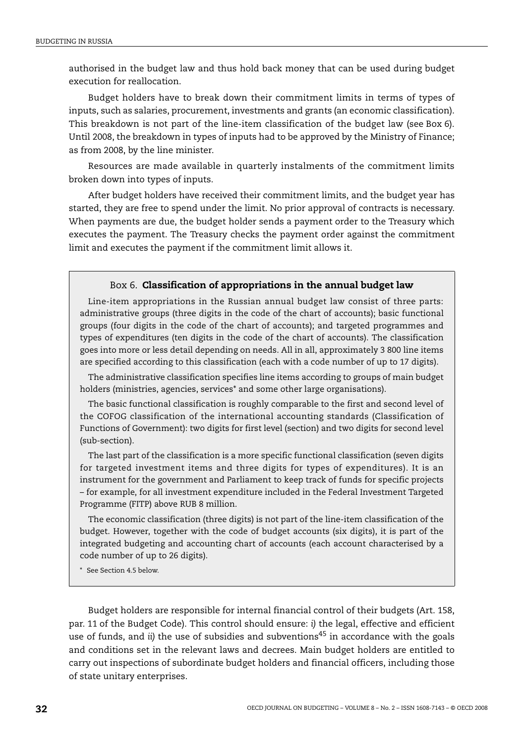authorised in the budget law and thus hold back money that can be used during budget execution for reallocation.

Budget holders have to break down their commitment limits in terms of types of inputs, such as salaries, procurement, investments and grants (an economic classification). This breakdown is not part of the line-item classification of the budget law (see [Box 6](#page-31-0)). Until 2008, the breakdown in types of inputs had to be approved by the Ministry of Finance; as from 2008, by the line minister.

Resources are made available in quarterly instalments of the commitment limits broken down into types of inputs.

After budget holders have received their commitment limits, and the budget year has started, they are free to spend under the limit. No prior approval of contracts is necessary. When payments are due, the budget holder sends a payment order to the Treasury which executes the payment. The Treasury checks the payment order against the commitment limit and executes the payment if the commitment limit allows it.

## Box 6. **Classification of appropriations in the annual budget law**

<span id="page-31-0"></span>Line-item appropriations in the Russian annual budget law consist of three parts: administrative groups (three digits in the code of the chart of accounts); basic functional groups (four digits in the code of the chart of accounts); and targeted programmes and types of expenditures (ten digits in the code of the chart of accounts). The classification goes into more or less detail depending on needs. All in all, approximately 3 800 line items are specified according to this classification (each with a code number of up to 17 digits).

The administrative classification specifies line items according to groups of main budget holders (ministries, agencies, services[\\*](#page-31-1) and some other large organisations).

The basic functional classification is roughly comparable to the first and second level of the COFOG classification of the international accounting standards (Classification of Functions of Government): two digits for first level (section) and two digits for second level (sub-section).

The last part of the classification is a more specific functional classification (seven digits for targeted investment items and three digits for types of expenditures). It is an instrument for the government and Parliament to keep track of funds for specific projects – for example, for all investment expenditure included in the Federal Investment Targeted Programme (FITP) above RUB 8 million.

The economic classification (three digits) is not part of the line-item classification of the budget. However, together with the code of budget accounts (six digits), it is part of the integrated budgeting and accounting chart of accounts (each account characterised by a code number of up to 26 digits).

<span id="page-31-1"></span>\* See Section 4.5 below.

Budget holders are responsible for internal financial control of their budgets (Art. 158, par. 11 of the Budget Code). This control should ensure: *i)* the legal, effective and efficient use of funds, and *ii*) the use of subsidies and subventions<sup>45</sup> in accordance with the goals and conditions set in the relevant laws and decrees. Main budget holders are entitled to carry out inspections of subordinate budget holders and financial officers, including those of state unitary enterprises.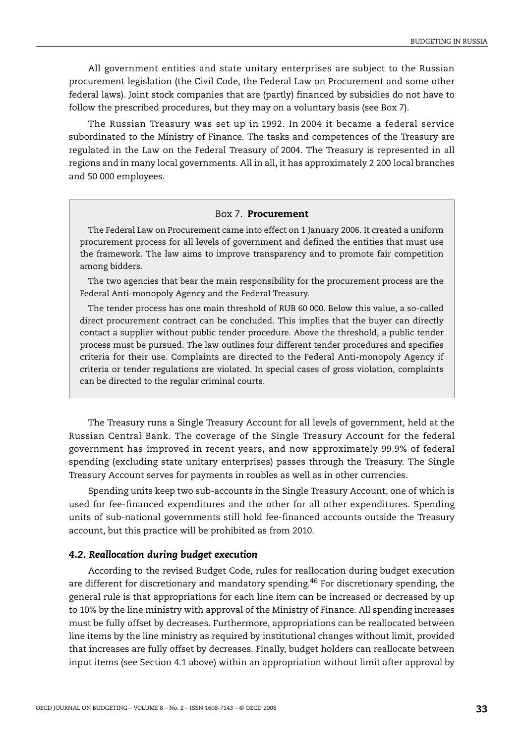All government entities and state unitary enterprises are subject to the Russian procurement legislation (the Civil Code, the Federal Law on Procurement and some other federal laws). Joint stock companies that are (partly) financed by subsidies do not have to follow the prescribed procedures, but they may on a voluntary basis (see [Box 7\)](#page-32-0).

The Russian Treasury was set up in 1992. In 2004 it became a federal service subordinated to the Ministry of Finance. The tasks and competences of the Treasury are regulated in the Law on the Federal Treasury of 2004. The Treasury is represented in all regions and in many local governments. All in all, it has approximately 2 200 local branches and 50 000 employees.

#### Box 7. **Procurement**

<span id="page-32-0"></span>The Federal Law on Procurement came into effect on 1 January 2006. It created a uniform procurement process for all levels of government and defined the entities that must use the framework. The law aims to improve transparency and to promote fair competition among bidders.

The two agencies that bear the main responsibility for the procurement process are the Federal Anti-monopoly Agency and the Federal Treasury.

The tender process has one main threshold of RUB 60 000. Below this value, a so-called direct procurement contract can be concluded. This implies that the buyer can directly contact a supplier without public tender procedure. Above the threshold, a public tender process must be pursued. The law outlines four different tender procedures and specifies criteria for their use. Complaints are directed to the Federal Anti-monopoly Agency if criteria or tender regulations are violated. In special cases of gross violation, complaints can be directed to the regular criminal courts.

The Treasury runs a Single Treasury Account for all levels of government, held at the Russian Central Bank. The coverage of the Single Treasury Account for the federal government has improved in recent years, and now approximately 99.9% of federal spending (excluding state unitary enterprises) passes through the Treasury. The Single Treasury Account serves for payments in roubles as well as in other currencies.

Spending units keep two sub-accounts in the Single Treasury Account, one of which is used for fee-financed expenditures and the other for all other expenditures. Spending units of sub-national governments still hold fee-financed accounts outside the Treasury account, but this practice will be prohibited as from 2010.

#### *4.2. Reallocation during budget execution*

According to the revised Budget Code, rules for reallocation during budget execution are different for discretionary and mandatory spending.<sup>46</sup> For discretionary spending, the general rule is that appropriations for each line item can be increased or decreased by up to 10% by the line ministry with approval of the Ministry of Finance. All spending increases must be fully offset by decreases. Furthermore, appropriations can be reallocated between line items by the line ministry as required by institutional changes without limit, provided that increases are fully offset by decreases. Finally, budget holders can reallocate between input items (see Section 4.1 above) within an appropriation without limit after approval by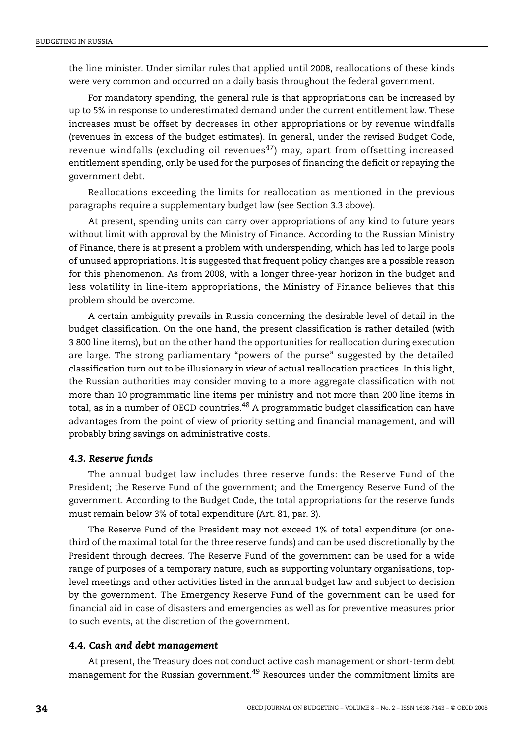the line minister. Under similar rules that applied until 2008, reallocations of these kinds were very common and occurred on a daily basis throughout the federal government.

For mandatory spending, the general rule is that appropriations can be increased by up to 5% in response to underestimated demand under the current entitlement law. These increases must be offset by decreases in other appropriations or by revenue windfalls (revenues in excess of the budget estimates). In general, under the revised Budget Code, revenue windfalls (excluding oil revenues<sup>[47](#page-55-18)</sup>) may, apart from offsetting increased entitlement spending, only be used for the purposes of financing the deficit or repaying the government debt.

Reallocations exceeding the limits for reallocation as mentioned in the previous paragraphs require a supplementary budget law (see Section 3.3 above).

At present, spending units can carry over appropriations of any kind to future years without limit with approval by the Ministry of Finance. According to the Russian Ministry of Finance, there is at present a problem with underspending, which has led to large pools of unused appropriations. It is suggested that frequent policy changes are a possible reason for this phenomenon. As from 2008, with a longer three-year horizon in the budget and less volatility in line-item appropriations, the Ministry of Finance believes that this problem should be overcome.

A certain ambiguity prevails in Russia concerning the desirable level of detail in the budget classification. On the one hand, the present classification is rather detailed (with 3 800 line items), but on the other hand the opportunities for reallocation during execution are large. The strong parliamentary "powers of the purse" suggested by the detailed classification turn out to be illusionary in view of actual reallocation practices. In this light, the Russian authorities may consider moving to a more aggregate classification with not more than 10 programmatic line items per ministry and not more than 200 line items in total, as in a number of OECD countries.<sup>48</sup> A programmatic budget classification can have advantages from the point of view of priority setting and financial management, and will probably bring savings on administrative costs.

## *4.3. Reserve funds*

The annual budget law includes three reserve funds: the Reserve Fund of the President; the Reserve Fund of the government; and the Emergency Reserve Fund of the government. According to the Budget Code, the total appropriations for the reserve funds must remain below 3% of total expenditure (Art. 81, par. 3).

The Reserve Fund of the President may not exceed 1% of total expenditure (or onethird of the maximal total for the three reserve funds) and can be used discretionally by the President through decrees. The Reserve Fund of the government can be used for a wide range of purposes of a temporary nature, such as supporting voluntary organisations, toplevel meetings and other activities listed in the annual budget law and subject to decision by the government. The Emergency Reserve Fund of the government can be used for financial aid in case of disasters and emergencies as well as for preventive measures prior to such events, at the discretion of the government.

#### *4.4. Cash and debt management*

At present, the Treasury does not conduct active cash management or short-term debt management for the Russian government.<sup>49</sup> Resources under the commitment limits are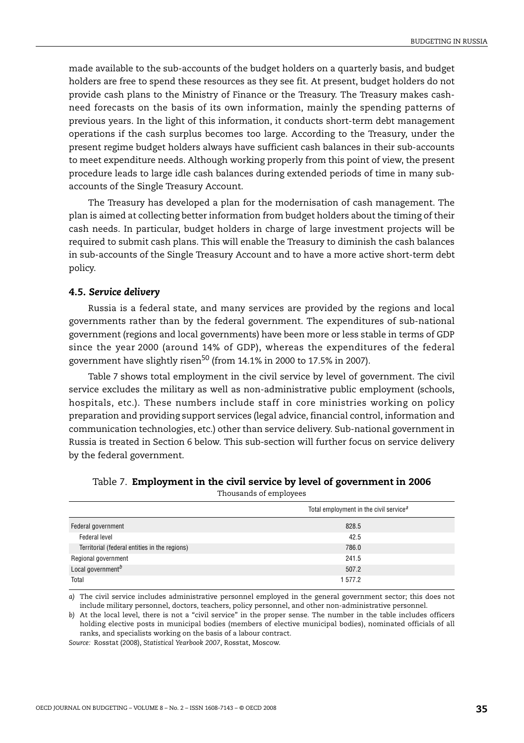made available to the sub-accounts of the budget holders on a quarterly basis, and budget holders are free to spend these resources as they see fit. At present, budget holders do not provide cash plans to the Ministry of Finance or the Treasury. The Treasury makes cashneed forecasts on the basis of its own information, mainly the spending patterns of previous years. In the light of this information, it conducts short-term debt management operations if the cash surplus becomes too large. According to the Treasury, under the present regime budget holders always have sufficient cash balances in their sub-accounts to meet expenditure needs. Although working properly from this point of view, the present procedure leads to large idle cash balances during extended periods of time in many subaccounts of the Single Treasury Account.

The Treasury has developed a plan for the modernisation of cash management. The plan is aimed at collecting better information from budget holders about the timing of their cash needs. In particular, budget holders in charge of large investment projects will be required to submit cash plans. This will enable the Treasury to diminish the cash balances in sub-accounts of the Single Treasury Account and to have a more active short-term debt policy.

#### *4.5. Service delivery*

Russia is a federal state, and many services are provided by the regions and local governments rather than by the federal government. The expenditures of sub-national government (regions and local governments) have been more or less stable in terms of GDP since the year 2000 (around 14% of GDP), whereas the expenditures of the federal government have slightly risen<sup>50</sup> (from  $14.1\%$  in 2000 to 17.5% in 2007).

[Table 7](#page-34-2) shows total employment in the civil service by level of government. The civil service excludes the military as well as non-administrative public employment (schools, hospitals, etc.). These numbers include staff in core ministries working on policy preparation and providing support services (legal advice, financial control, information and communication technologies, etc.) other than service delivery. Sub-national government in Russia is treated in Section 6 below. This sub-section will further focus on service delivery by the federal government.

|                                               | Total employment in the civil service <sup><math>a</math></sup> |
|-----------------------------------------------|-----------------------------------------------------------------|
| Federal government                            | 828.5                                                           |
| Federal level                                 | 42.5                                                            |
| Territorial (federal entities in the regions) | 786.0                                                           |
| Regional government                           | 241.5                                                           |
| Local government <sup>b</sup>                 | 507.2                                                           |
| Total                                         | 1577.2                                                          |

<span id="page-34-2"></span>

| Table 7. Employment in the civil service by level of government in 2006 |                        |  |  |  |
|-------------------------------------------------------------------------|------------------------|--|--|--|
|                                                                         | Thousands of employees |  |  |  |

<span id="page-34-0"></span>*a)* The civil service includes administrative personnel employed in the general government sector; this does not include military personnel, doctors, teachers, policy personnel, and other non-administrative personnel.

<span id="page-34-1"></span>*b)* At the local level, there is not a "civil service" in the proper sense. The number in the table includes officers holding elective posts in municipal bodies (members of elective municipal bodies), nominated officials of all ranks, and specialists working on the basis of a labour contract.

*Source:* Rosstat (2008), *Statistical Yearbook 2007*, Rosstat, Moscow.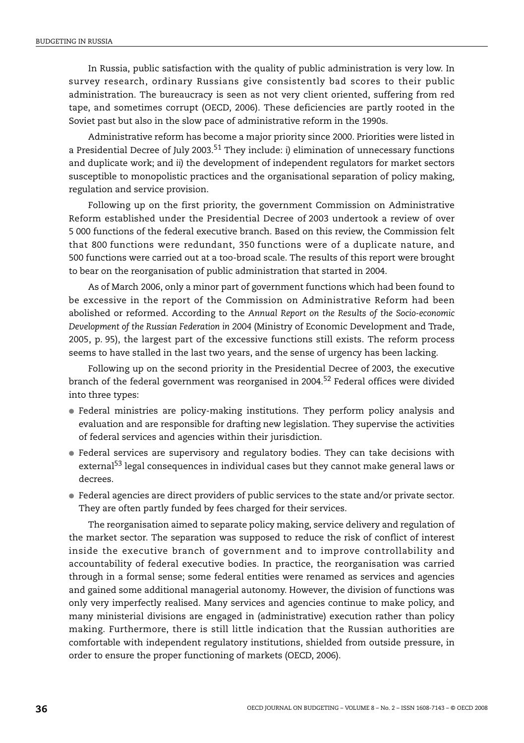In Russia, public satisfaction with the quality of public administration is very low. In survey research, ordinary Russians give consistently bad scores to their public administration. The bureaucracy is seen as not very client oriented, suffering from red tape, and sometimes corrupt (OECD, 2006). These deficiencies are partly rooted in the Soviet past but also in the slow pace of administrative reform in the 1990s.

Administrative reform has become a major priority since 2000. Priorities were listed in a Presidential Decree of July 2003.[51](#page-55-22) They include: *i)* elimination of unnecessary functions and duplicate work; and *ii)* the development of independent regulators for market sectors susceptible to monopolistic practices and the organisational separation of policy making, regulation and service provision.

Following up on the first priority, the government Commission on Administrative Reform established under the Presidential Decree of 2003 undertook a review of over 5 000 functions of the federal executive branch. Based on this review, the Commission felt that 800 functions were redundant, 350 functions were of a duplicate nature, and 500 functions were carried out at a too-broad scale. The results of this report were brought to bear on the reorganisation of public administration that started in 2004.

As of March 2006, only a minor part of government functions which had been found to be excessive in the report of the Commission on Administrative Reform had been abolished or reformed. According to the *Annual Report on the Results of the Socio-economic Development of the Russian Federation in 2004* (Ministry of Economic Development and Trade, 2005, p. 95), the largest part of the excessive functions still exists. The reform process seems to have stalled in the last two years, and the sense of urgency has been lacking.

Following up on the second priority in the Presidential Decree of 2003, the executive branch of the federal government was reorganised in 2004.<sup>52</sup> Federal offices were divided into three types:

- Federal ministries are policy-making institutions. They perform policy analysis and evaluation and are responsible for drafting new legislation. They supervise the activities of federal services and agencies within their jurisdiction.
- Federal services are supervisory and regulatory bodies. They can take decisions with external<sup>53</sup> legal consequences in individual cases but they cannot make general laws or decrees.
- Federal agencies are direct providers of public services to the state and/or private sector. They are often partly funded by fees charged for their services.

The reorganisation aimed to separate policy making, service delivery and regulation of the market sector. The separation was supposed to reduce the risk of conflict of interest inside the executive branch of government and to improve controllability and accountability of federal executive bodies. In practice, the reorganisation was carried through in a formal sense; some federal entities were renamed as services and agencies and gained some additional managerial autonomy. However, the division of functions was only very imperfectly realised. Many services and agencies continue to make policy, and many ministerial divisions are engaged in (administrative) execution rather than policy making. Furthermore, there is still little indication that the Russian authorities are comfortable with independent regulatory institutions, shielded from outside pressure, in order to ensure the proper functioning of markets (OECD, 2006).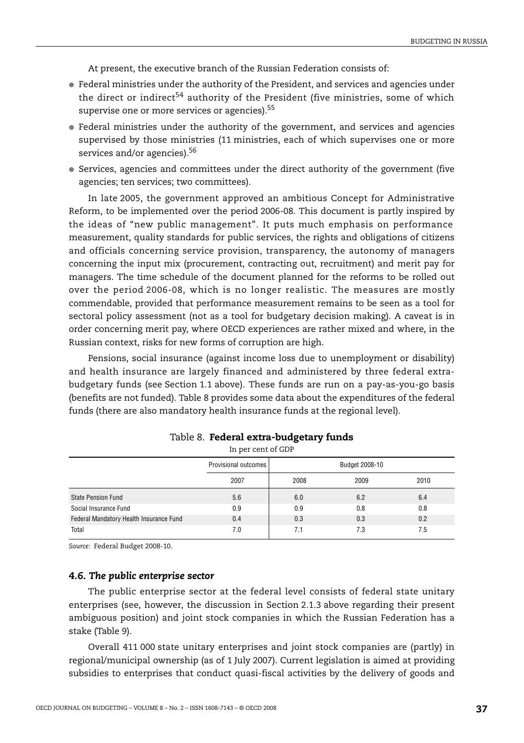At present, the executive branch of the Russian Federation consists of:

- Federal ministries under the authority of the President, and services and agencies under the direct or indirect<sup>[54](#page-56-2)</sup> authority of the President (five ministries, some of which supervise one or more services or agencies).<sup>[55](#page-56-3)</sup>
- Federal ministries under the authority of the government, and services and agencies supervised by those ministries (11 ministries, each of which supervises one or more services and/or agencies).<sup>56</sup>
- Services, agencies and committees under the direct authority of the government (five agencies; ten services; two committees).

In late 2005, the government approved an ambitious Concept for Administrative Reform, to be implemented over the period 2006-08. This document is partly inspired by the ideas of "new public management". It puts much emphasis on performance measurement, quality standards for public services, the rights and obligations of citizens and officials concerning service provision, transparency, the autonomy of managers concerning the input mix (procurement, contracting out, recruitment) and merit pay for managers. The time schedule of the document planned for the reforms to be rolled out over the period 2006-08, which is no longer realistic. The measures are mostly commendable, provided that performance measurement remains to be seen as a tool for sectoral policy assessment (not as a tool for budgetary decision making). A caveat is in order concerning merit pay, where OECD experiences are rather mixed and where, in the Russian context, risks for new forms of corruption are high.

Pensions, social insurance (against income loss due to unemployment or disability) and health insurance are largely financed and administered by three federal extrabudgetary funds (see Section 1.1 above). These funds are run on a pay-as-you-go basis (benefits are not funded). [Table 8](#page-36-0) provides some data about the expenditures of the federal funds (there are also mandatory health insurance funds at the regional level).

<span id="page-36-0"></span>

|                                         | Provisional outcomes |      |      |      |
|-----------------------------------------|----------------------|------|------|------|
|                                         | 2007                 | 2008 | 2009 | 2010 |
| <b>State Pension Fund</b>               | 5.6                  | 6.0  | 6.2  | 6.4  |
| Social Insurance Fund                   | 0.9                  | 0.9  | 0.8  | 0.8  |
| Federal Mandatory Health Insurance Fund | 0.4                  | 0.3  | 0.3  | 0.2  |
| Total                                   | 7.0                  | 7.1  | 7.3  | 7.5  |

#### Table 8. **Federal extra-budgetary funds** In per cent of GDP

*Source:* Federal Budget 2008-10.

#### *4.6. The public enterprise sector*

The public enterprise sector at the federal level consists of federal state unitary enterprises (see, however, the discussion in Section 2.1.3 above regarding their present ambiguous position) and joint stock companies in which the Russian Federation has a stake ([Table 9](#page-37-0)).

Overall 411 000 state unitary enterprises and joint stock companies are (partly) in regional/municipal ownership (as of 1 July 2007). Current legislation is aimed at providing subsidies to enterprises that conduct quasi-fiscal activities by the delivery of goods and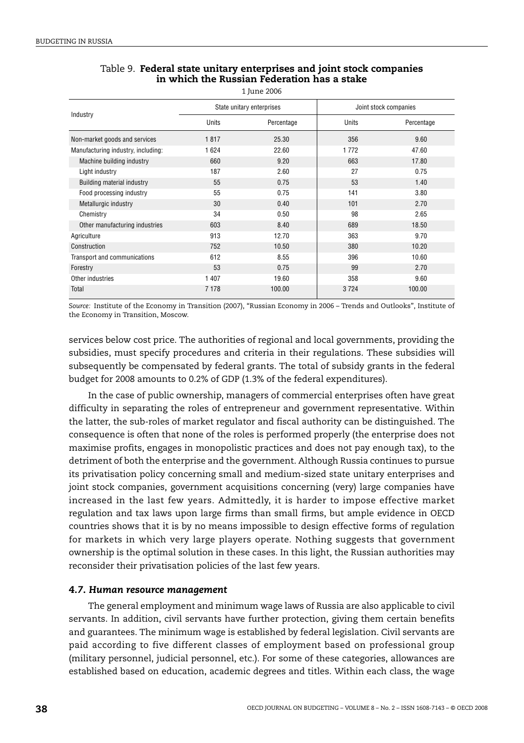|                                    |         | State unitary enterprises | Joint stock companies |            |  |
|------------------------------------|---------|---------------------------|-----------------------|------------|--|
| Industry                           | Units   | Percentage                | Units                 | Percentage |  |
| Non-market goods and services      | 1817    | 25.30                     | 356                   | 9.60       |  |
| Manufacturing industry, including: | 1 6 2 4 | 22.60                     | 1772                  | 47.60      |  |
| Machine building industry          | 660     | 9.20                      | 663                   | 17.80      |  |
| Light industry                     | 187     | 2.60                      | 27                    | 0.75       |  |
| Building material industry         | 55      | 0.75                      | 53                    | 1.40       |  |
| Food processing industry           | 55      | 0.75                      | 141                   | 3.80       |  |
| Metallurgic industry               | 30      | 0.40                      | 101                   | 2.70       |  |
| Chemistry                          | 34      | 0.50                      | 98                    | 2.65       |  |
| Other manufacturing industries     | 603     | 8.40                      | 689                   | 18.50      |  |
| Agriculture                        | 913     | 12.70                     | 363                   | 9.70       |  |
| Construction                       | 752     | 10.50                     | 380                   | 10.20      |  |
| Transport and communications       | 612     | 8.55                      | 396                   | 10.60      |  |
| Forestry                           | 53      | 0.75                      | 99                    | 2.70       |  |
| Other industries                   | 1 407   | 19.60                     | 358                   | 9.60       |  |
| Total                              | 7 1 7 8 | 100.00                    | 3724                  | 100.00     |  |

## <span id="page-37-0"></span>Table 9. **Federal state unitary enterprises and joint stock companies in which the Russian Federation has a stake**

1 June 2006

*Source:* Institute of the Economy in Transition (2007), "Russian Economy in 2006 – Trends and Outlooks", Institute of the Economy in Transition, Moscow.

services below cost price. The authorities of regional and local governments, providing the subsidies, must specify procedures and criteria in their regulations. These subsidies will subsequently be compensated by federal grants. The total of subsidy grants in the federal budget for 2008 amounts to 0.2% of GDP (1.3% of the federal expenditures).

In the case of public ownership, managers of commercial enterprises often have great difficulty in separating the roles of entrepreneur and government representative. Within the latter, the sub-roles of market regulator and fiscal authority can be distinguished. The consequence is often that none of the roles is performed properly (the enterprise does not maximise profits, engages in monopolistic practices and does not pay enough tax), to the detriment of both the enterprise and the government. Although Russia continues to pursue its privatisation policy concerning small and medium-sized state unitary enterprises and joint stock companies, government acquisitions concerning (very) large companies have increased in the last few years. Admittedly, it is harder to impose effective market regulation and tax laws upon large firms than small firms, but ample evidence in OECD countries shows that it is by no means impossible to design effective forms of regulation for markets in which very large players operate. Nothing suggests that government ownership is the optimal solution in these cases. In this light, the Russian authorities may reconsider their privatisation policies of the last few years.

## *4.7. Human resource management*

The general employment and minimum wage laws of Russia are also applicable to civil servants. In addition, civil servants have further protection, giving them certain benefits and guarantees. The minimum wage is established by federal legislation. Civil servants are paid according to five different classes of employment based on professional group (military personnel, judicial personnel, etc.). For some of these categories, allowances are established based on education, academic degrees and titles. Within each class, the wage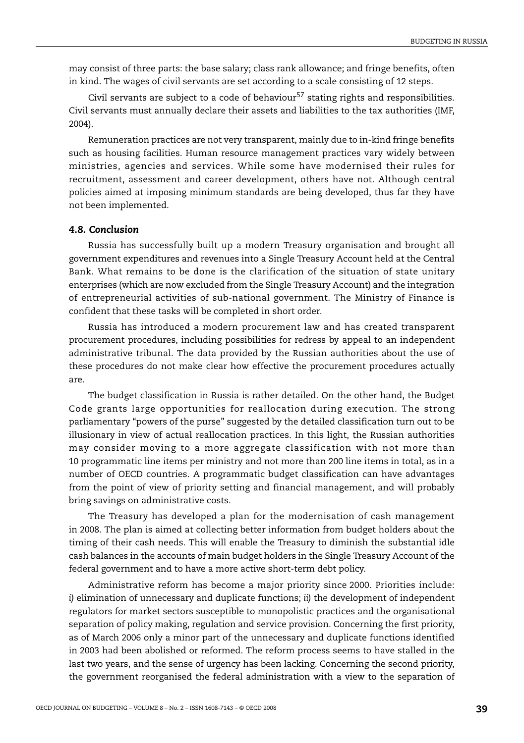may consist of three parts: the base salary; class rank allowance; and fringe benefits, often in kind. The wages of civil servants are set according to a scale consisting of 12 steps.

Civil servants are subject to a code of behaviour<sup>[57](#page-56-5)</sup> stating rights and responsibilities. Civil servants must annually declare their assets and liabilities to the tax authorities (IMF, 2004).

Remuneration practices are not very transparent, mainly due to in-kind fringe benefits such as housing facilities. Human resource management practices vary widely between ministries, agencies and services. While some have modernised their rules for recruitment, assessment and career development, others have not. Although central policies aimed at imposing minimum standards are being developed, thus far they have not been implemented.

## *4.8. Conclusion*

Russia has successfully built up a modern Treasury organisation and brought all government expenditures and revenues into a Single Treasury Account held at the Central Bank. What remains to be done is the clarification of the situation of state unitary enterprises (which are now excluded from the Single Treasury Account) and the integration of entrepreneurial activities of sub-national government. The Ministry of Finance is confident that these tasks will be completed in short order.

Russia has introduced a modern procurement law and has created transparent procurement procedures, including possibilities for redress by appeal to an independent administrative tribunal. The data provided by the Russian authorities about the use of these procedures do not make clear how effective the procurement procedures actually are.

The budget classification in Russia is rather detailed. On the other hand, the Budget Code grants large opportunities for reallocation during execution. The strong parliamentary "powers of the purse" suggested by the detailed classification turn out to be illusionary in view of actual reallocation practices. In this light, the Russian authorities may consider moving to a more aggregate classification with not more than 10 programmatic line items per ministry and not more than 200 line items in total, as in a number of OECD countries. A programmatic budget classification can have advantages from the point of view of priority setting and financial management, and will probably bring savings on administrative costs.

The Treasury has developed a plan for the modernisation of cash management in 2008. The plan is aimed at collecting better information from budget holders about the timing of their cash needs. This will enable the Treasury to diminish the substantial idle cash balances in the accounts of main budget holders in the Single Treasury Account of the federal government and to have a more active short-term debt policy.

Administrative reform has become a major priority since 2000. Priorities include: *i)* elimination of unnecessary and duplicate functions; *ii)* the development of independent regulators for market sectors susceptible to monopolistic practices and the organisational separation of policy making, regulation and service provision. Concerning the first priority, as of March 2006 only a minor part of the unnecessary and duplicate functions identified in 2003 had been abolished or reformed. The reform process seems to have stalled in the last two years, and the sense of urgency has been lacking. Concerning the second priority, the government reorganised the federal administration with a view to the separation of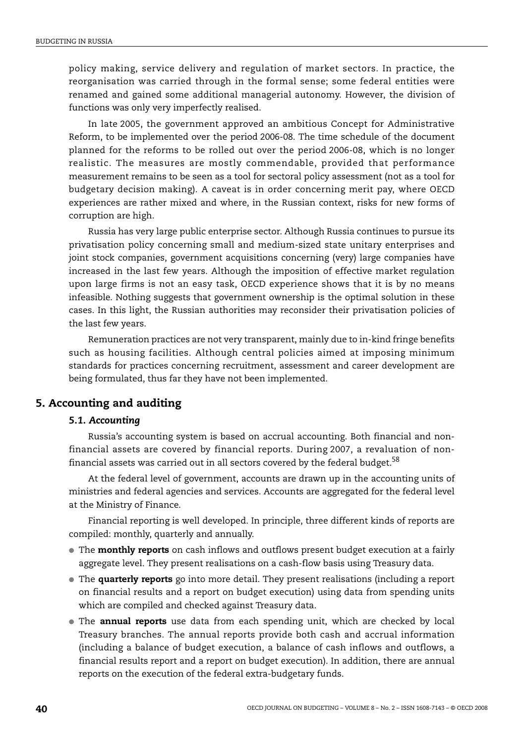policy making, service delivery and regulation of market sectors. In practice, the reorganisation was carried through in the formal sense; some federal entities were renamed and gained some additional managerial autonomy. However, the division of functions was only very imperfectly realised.

In late 2005, the government approved an ambitious Concept for Administrative Reform, to be implemented over the period 2006-08. The time schedule of the document planned for the reforms to be rolled out over the period 2006-08, which is no longer realistic. The measures are mostly commendable, provided that performance measurement remains to be seen as a tool for sectoral policy assessment (not as a tool for budgetary decision making). A caveat is in order concerning merit pay, where OECD experiences are rather mixed and where, in the Russian context, risks for new forms of corruption are high.

Russia has very large public enterprise sector. Although Russia continues to pursue its privatisation policy concerning small and medium-sized state unitary enterprises and joint stock companies, government acquisitions concerning (very) large companies have increased in the last few years. Although the imposition of effective market regulation upon large firms is not an easy task, OECD experience shows that it is by no means infeasible. Nothing suggests that government ownership is the optimal solution in these cases. In this light, the Russian authorities may reconsider their privatisation policies of the last few years.

Remuneration practices are not very transparent, mainly due to in-kind fringe benefits such as housing facilities. Although central policies aimed at imposing minimum standards for practices concerning recruitment, assessment and career development are being formulated, thus far they have not been implemented.

## **5. Accounting and auditing**

#### *5.1. Accounting*

Russia's accounting system is based on accrual accounting. Both financial and nonfinancial assets are covered by financial reports. During 2007, a revaluation of non-financial assets was carried out in all sectors covered by the federal budget.<sup>[58](#page-56-6)</sup>

At the federal level of government, accounts are drawn up in the accounting units of ministries and federal agencies and services. Accounts are aggregated for the federal level at the Ministry of Finance.

Financial reporting is well developed. In principle, three different kinds of reports are compiled: monthly, quarterly and annually.

- The **monthly reports** on cash inflows and outflows present budget execution at a fairly aggregate level. They present realisations on a cash-flow basis using Treasury data.
- The **quarterly reports** go into more detail. They present realisations (including a report on financial results and a report on budget execution) using data from spending units which are compiled and checked against Treasury data.
- The **annual reports** use data from each spending unit, which are checked by local Treasury branches. The annual reports provide both cash and accrual information (including a balance of budget execution, a balance of cash inflows and outflows, a financial results report and a report on budget execution). In addition, there are annual reports on the execution of the federal extra-budgetary funds.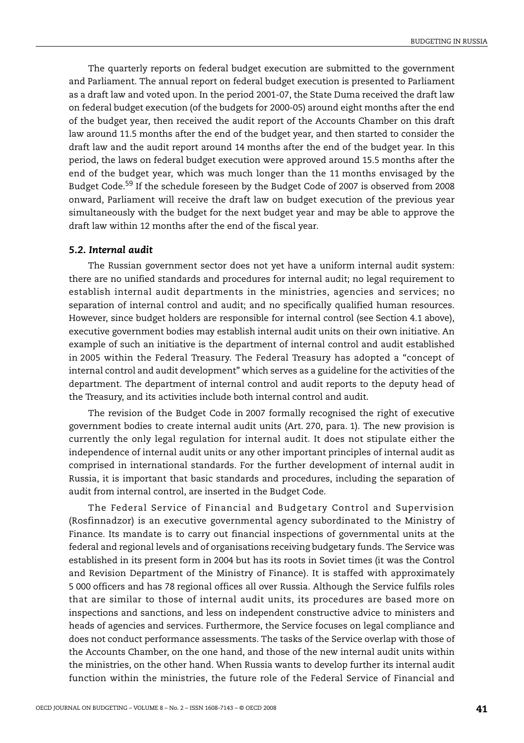The quarterly reports on federal budget execution are submitted to the government and Parliament. The annual report on federal budget execution is presented to Parliament as a draft law and voted upon. In the period 2001-07, the State Duma received the draft law on federal budget execution (of the budgets for 2000-05) around eight months after the end of the budget year, then received the audit report of the Accounts Chamber on this draft law around 11.5 months after the end of the budget year, and then started to consider the draft law and the audit report around 14 months after the end of the budget year. In this period, the laws on federal budget execution were approved around 15.5 months after the end of the budget year, which was much longer than the 11 months envisaged by the Budget Code.[59](#page-56-7) If the schedule foreseen by the Budget Code of 2007 is observed from 2008 onward, Parliament will receive the draft law on budget execution of the previous year simultaneously with the budget for the next budget year and may be able to approve the draft law within 12 months after the end of the fiscal year.

## *5.2. Internal audit*

The Russian government sector does not yet have a uniform internal audit system: there are no unified standards and procedures for internal audit; no legal requirement to establish internal audit departments in the ministries, agencies and services; no separation of internal control and audit; and no specifically qualified human resources. However, since budget holders are responsible for internal control (see Section 4.1 above), executive government bodies may establish internal audit units on their own initiative. An example of such an initiative is the department of internal control and audit established in 2005 within the Federal Treasury. The Federal Treasury has adopted a "concept of internal control and audit development" which serves as a guideline for the activities of the department. The department of internal control and audit reports to the deputy head of the Treasury, and its activities include both internal control and audit.

The revision of the Budget Code in 2007 formally recognised the right of executive government bodies to create internal audit units (Art. 270, para. 1). The new provision is currently the only legal regulation for internal audit. It does not stipulate either the independence of internal audit units or any other important principles of internal audit as comprised in international standards. For the further development of internal audit in Russia, it is important that basic standards and procedures, including the separation of audit from internal control, are inserted in the Budget Code.

The Federal Service of Financial and Budgetary Control and Supervision (Rosfinnadzor) is an executive governmental agency subordinated to the Ministry of Finance. Its mandate is to carry out financial inspections of governmental units at the federal and regional levels and of organisations receiving budgetary funds. The Service was established in its present form in 2004 but has its roots in Soviet times (it was the Control and Revision Department of the Ministry of Finance). It is staffed with approximately 5 000 officers and has 78 regional offices all over Russia. Although the Service fulfils roles that are similar to those of internal audit units, its procedures are based more on inspections and sanctions, and less on independent constructive advice to ministers and heads of agencies and services. Furthermore, the Service focuses on legal compliance and does not conduct performance assessments. The tasks of the Service overlap with those of the Accounts Chamber, on the one hand, and those of the new internal audit units within the ministries, on the other hand. When Russia wants to develop further its internal audit function within the ministries, the future role of the Federal Service of Financial and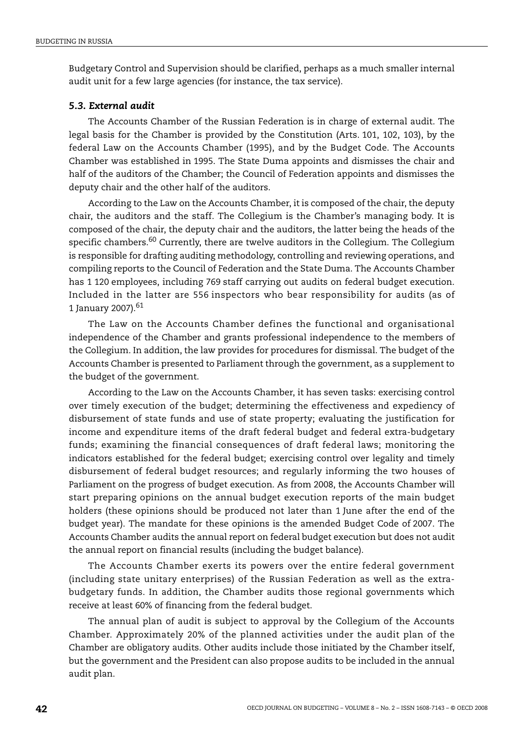Budgetary Control and Supervision should be clarified, perhaps as a much smaller internal audit unit for a few large agencies (for instance, the tax service).

#### *5.3. External audit*

The Accounts Chamber of the Russian Federation is in charge of external audit. The legal basis for the Chamber is provided by the Constitution (Arts. 101, 102, 103), by the federal Law on the Accounts Chamber (1995), and by the Budget Code. The Accounts Chamber was established in 1995. The State Duma appoints and dismisses the chair and half of the auditors of the Chamber; the Council of Federation appoints and dismisses the deputy chair and the other half of the auditors.

According to the Law on the Accounts Chamber, it is composed of the chair, the deputy chair, the auditors and the staff. The Collegium is the Chamber's managing body. It is composed of the chair, the deputy chair and the auditors, the latter being the heads of the specific chambers.<sup>60</sup> Currently, there are twelve auditors in the Collegium. The Collegium is responsible for drafting auditing methodology, controlling and reviewing operations, and compiling reports to the Council of Federation and the State Duma. The Accounts Chamber has 1 120 employees, including 769 staff carrying out audits on federal budget execution. Included in the latter are 556 inspectors who bear responsibility for audits (as of 1 January 2007).[61](#page-56-9)

The Law on the Accounts Chamber defines the functional and organisational independence of the Chamber and grants professional independence to the members of the Collegium. In addition, the law provides for procedures for dismissal. The budget of the Accounts Chamber is presented to Parliament through the government, as a supplement to the budget of the government.

According to the Law on the Accounts Chamber, it has seven tasks: exercising control over timely execution of the budget; determining the effectiveness and expediency of disbursement of state funds and use of state property; evaluating the justification for income and expenditure items of the draft federal budget and federal extra-budgetary funds; examining the financial consequences of draft federal laws; monitoring the indicators established for the federal budget; exercising control over legality and timely disbursement of federal budget resources; and regularly informing the two houses of Parliament on the progress of budget execution. As from 2008, the Accounts Chamber will start preparing opinions on the annual budget execution reports of the main budget holders (these opinions should be produced not later than 1 June after the end of the budget year). The mandate for these opinions is the amended Budget Code of 2007. The Accounts Chamber audits the annual report on federal budget execution but does not audit the annual report on financial results (including the budget balance).

The Accounts Chamber exerts its powers over the entire federal government (including state unitary enterprises) of the Russian Federation as well as the extrabudgetary funds. In addition, the Chamber audits those regional governments which receive at least 60% of financing from the federal budget.

The annual plan of audit is subject to approval by the Collegium of the Accounts Chamber. Approximately 20% of the planned activities under the audit plan of the Chamber are obligatory audits. Other audits include those initiated by the Chamber itself, but the government and the President can also propose audits to be included in the annual audit plan.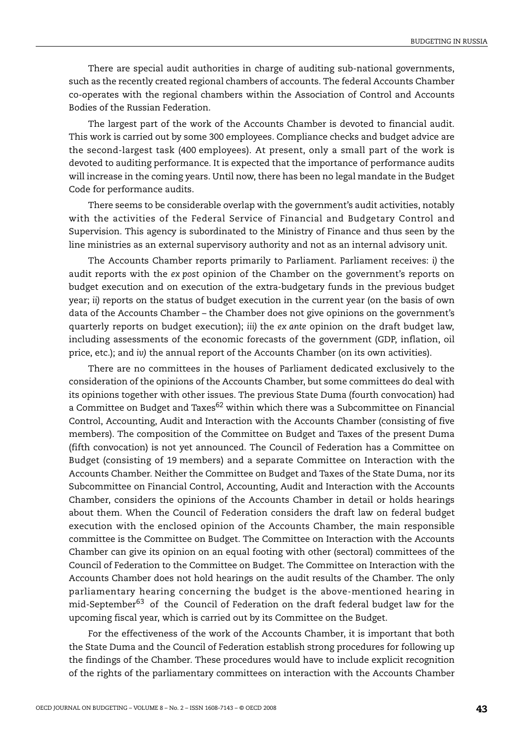There are special audit authorities in charge of auditing sub-national governments, such as the recently created regional chambers of accounts. The federal Accounts Chamber co-operates with the regional chambers within the Association of Control and Accounts Bodies of the Russian Federation.

The largest part of the work of the Accounts Chamber is devoted to financial audit. This work is carried out by some 300 employees. Compliance checks and budget advice are the second-largest task (400 employees). At present, only a small part of the work is devoted to auditing performance. It is expected that the importance of performance audits will increase in the coming years. Until now, there has been no legal mandate in the Budget Code for performance audits.

There seems to be considerable overlap with the government's audit activities, notably with the activities of the Federal Service of Financial and Budgetary Control and Supervision. This agency is subordinated to the Ministry of Finance and thus seen by the line ministries as an external supervisory authority and not as an internal advisory unit.

The Accounts Chamber reports primarily to Parliament. Parliament receives: *i)* the audit reports with the *ex post* opinion of the Chamber on the government's reports on budget execution and on execution of the extra-budgetary funds in the previous budget year; *ii)* reports on the status of budget execution in the current year (on the basis of own data of the Accounts Chamber – the Chamber does not give opinions on the government's quarterly reports on budget execution); *iii)* the *ex ante* opinion on the draft budget law, including assessments of the economic forecasts of the government (GDP, inflation, oil price, etc.); and *iv)* the annual report of the Accounts Chamber (on its own activities).

There are no committees in the houses of Parliament dedicated exclusively to the consideration of the opinions of the Accounts Chamber, but some committees do deal with its opinions together with other issues. The previous State Duma (fourth convocation) had a Committee on Budget and Taxes<sup>62</sup> within which there was a Subcommittee on Financial Control, Accounting, Audit and Interaction with the Accounts Chamber (consisting of five members). The composition of the Committee on Budget and Taxes of the present Duma (fifth convocation) is not yet announced. The Council of Federation has a Committee on Budget (consisting of 19 members) and a separate Committee on Interaction with the Accounts Chamber. Neither the Committee on Budget and Taxes of the State Duma, nor its Subcommittee on Financial Control, Accounting, Audit and Interaction with the Accounts Chamber, considers the opinions of the Accounts Chamber in detail or holds hearings about them. When the Council of Federation considers the draft law on federal budget execution with the enclosed opinion of the Accounts Chamber, the main responsible committee is the Committee on Budget. The Committee on Interaction with the Accounts Chamber can give its opinion on an equal footing with other (sectoral) committees of the Council of Federation to the Committee on Budget. The Committee on Interaction with the Accounts Chamber does not hold hearings on the audit results of the Chamber. The only parliamentary hearing concerning the budget is the above-mentioned hearing in  $mid-September^{63}$  of the Council of Federation on the draft federal budget law for the upcoming fiscal year, which is carried out by its Committee on the Budget.

For the effectiveness of the work of the Accounts Chamber, it is important that both the State Duma and the Council of Federation establish strong procedures for following up the findings of the Chamber. These procedures would have to include explicit recognition of the rights of the parliamentary committees on interaction with the Accounts Chamber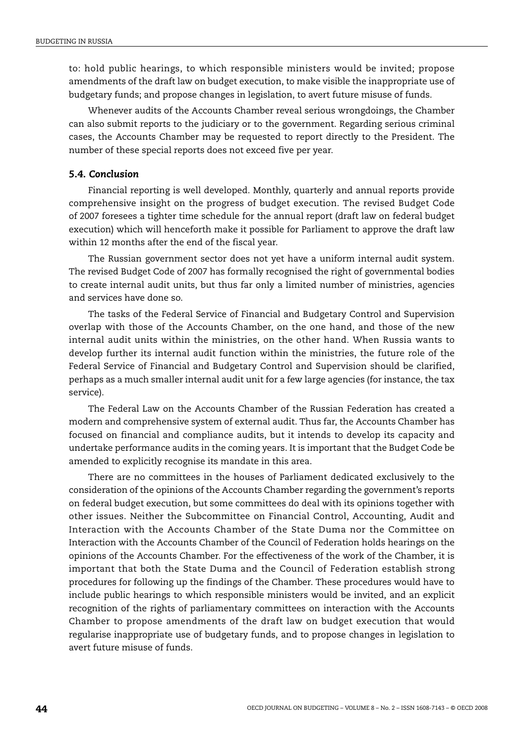to: hold public hearings, to which responsible ministers would be invited; propose amendments of the draft law on budget execution, to make visible the inappropriate use of budgetary funds; and propose changes in legislation, to avert future misuse of funds.

Whenever audits of the Accounts Chamber reveal serious wrongdoings, the Chamber can also submit reports to the judiciary or to the government. Regarding serious criminal cases, the Accounts Chamber may be requested to report directly to the President. The number of these special reports does not exceed five per year.

## *5.4. Conclusion*

Financial reporting is well developed. Monthly, quarterly and annual reports provide comprehensive insight on the progress of budget execution. The revised Budget Code of 2007 foresees a tighter time schedule for the annual report (draft law on federal budget execution) which will henceforth make it possible for Parliament to approve the draft law within 12 months after the end of the fiscal year.

The Russian government sector does not yet have a uniform internal audit system. The revised Budget Code of 2007 has formally recognised the right of governmental bodies to create internal audit units, but thus far only a limited number of ministries, agencies and services have done so.

The tasks of the Federal Service of Financial and Budgetary Control and Supervision overlap with those of the Accounts Chamber, on the one hand, and those of the new internal audit units within the ministries, on the other hand. When Russia wants to develop further its internal audit function within the ministries, the future role of the Federal Service of Financial and Budgetary Control and Supervision should be clarified, perhaps as a much smaller internal audit unit for a few large agencies (for instance, the tax service).

The Federal Law on the Accounts Chamber of the Russian Federation has created a modern and comprehensive system of external audit. Thus far, the Accounts Chamber has focused on financial and compliance audits, but it intends to develop its capacity and undertake performance audits in the coming years. It is important that the Budget Code be amended to explicitly recognise its mandate in this area.

There are no committees in the houses of Parliament dedicated exclusively to the consideration of the opinions of the Accounts Chamber regarding the government's reports on federal budget execution, but some committees do deal with its opinions together with other issues. Neither the Subcommittee on Financial Control, Accounting, Audit and Interaction with the Accounts Chamber of the State Duma nor the Committee on Interaction with the Accounts Chamber of the Council of Federation holds hearings on the opinions of the Accounts Chamber. For the effectiveness of the work of the Chamber, it is important that both the State Duma and the Council of Federation establish strong procedures for following up the findings of the Chamber. These procedures would have to include public hearings to which responsible ministers would be invited, and an explicit recognition of the rights of parliamentary committees on interaction with the Accounts Chamber to propose amendments of the draft law on budget execution that would regularise inappropriate use of budgetary funds, and to propose changes in legislation to avert future misuse of funds.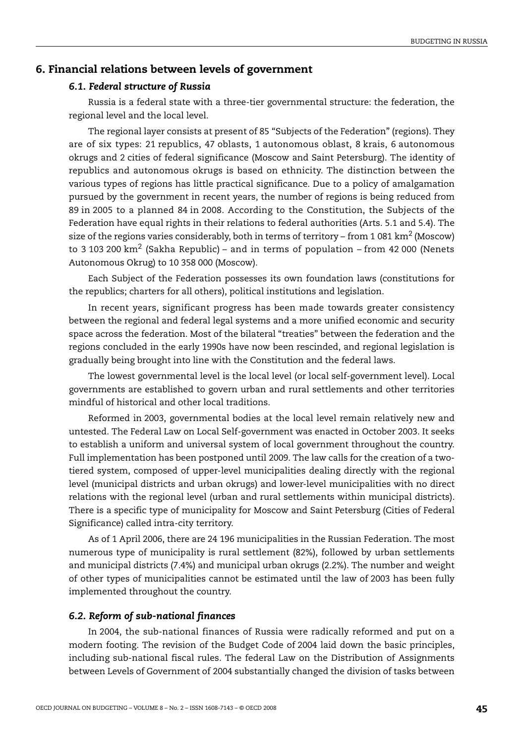## **6. Financial relations between levels of government**

#### *6.1. Federal structure of Russia*

Russia is a federal state with a three-tier governmental structure: the federation, the regional level and the local level.

The regional layer consists at present of 85 "Subjects of the Federation" (regions). They are of six types: 21 republics, 47 oblasts, 1 autonomous oblast, 8 krais, 6 autonomous okrugs and 2 cities of federal significance (Moscow and Saint Petersburg). The identity of republics and autonomous okrugs is based on ethnicity. The distinction between the various types of regions has little practical significance. Due to a policy of amalgamation pursued by the government in recent years, the number of regions is being reduced from 89 in 2005 to a planned 84 in 2008. According to the Constitution, the Subjects of the Federation have equal rights in their relations to federal authorities (Arts. 5.1 and 5.4). The size of the regions varies considerably, both in terms of territory – from 1 081 km<sup>2</sup> (Moscow) to 3 103 200  $\text{km}^2$  (Sakha Republic) – and in terms of population – from 42 000 (Nenets Autonomous Okrug) to 10 358 000 (Moscow).

Each Subject of the Federation possesses its own foundation laws (constitutions for the republics; charters for all others), political institutions and legislation.

In recent years, significant progress has been made towards greater consistency between the regional and federal legal systems and a more unified economic and security space across the federation. Most of the bilateral "treaties" between the federation and the regions concluded in the early 1990s have now been rescinded, and regional legislation is gradually being brought into line with the Constitution and the federal laws.

The lowest governmental level is the local level (or local self-government level). Local governments are established to govern urban and rural settlements and other territories mindful of historical and other local traditions.

Reformed in 2003, governmental bodies at the local level remain relatively new and untested. The Federal Law on Local Self-government was enacted in October 2003. It seeks to establish a uniform and universal system of local government throughout the country. Full implementation has been postponed until 2009. The law calls for the creation of a twotiered system, composed of upper-level municipalities dealing directly with the regional level (municipal districts and urban okrugs) and lower-level municipalities with no direct relations with the regional level (urban and rural settlements within municipal districts). There is a specific type of municipality for Moscow and Saint Petersburg (Cities of Federal Significance) called intra-city territory.

As of 1 April 2006, there are 24 196 municipalities in the Russian Federation. The most numerous type of municipality is rural settlement (82%), followed by urban settlements and municipal districts (7.4%) and municipal urban okrugs (2.2%). The number and weight of other types of municipalities cannot be estimated until the law of 2003 has been fully implemented throughout the country.

#### *6.2. Reform of sub-national finances*

In 2004, the sub-national finances of Russia were radically reformed and put on a modern footing. The revision of the Budget Code of 2004 laid down the basic principles, including sub-national fiscal rules. The federal Law on the Distribution of Assignments between Levels of Government of 2004 substantially changed the division of tasks between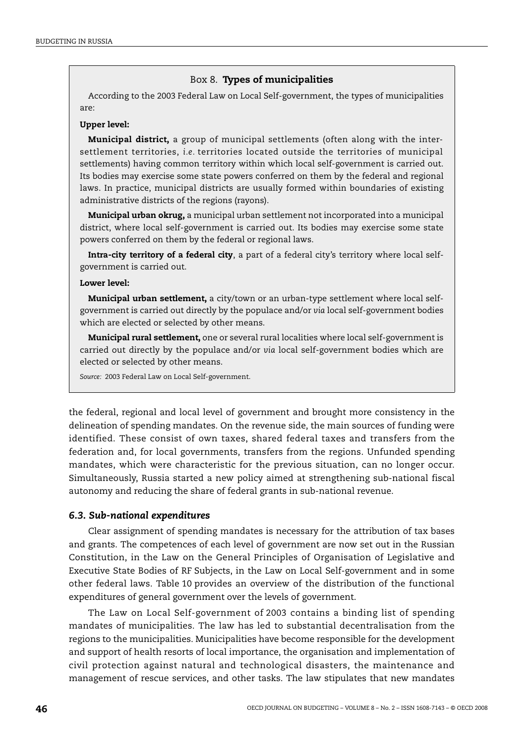#### Box 8. **Types of municipalities**

According to the 2003 Federal Law on Local Self-government, the types of municipalities are:

#### **Upper level:**

**Municipal district,** a group of municipal settlements (often along with the intersettlement territories, *i.e.* territories located outside the territories of municipal settlements) having common territory within which local self-government is carried out. Its bodies may exercise some state powers conferred on them by the federal and regional laws. In practice, municipal districts are usually formed within boundaries of existing administrative districts of the regions (rayons).

**Municipal urban okrug,** a municipal urban settlement not incorporated into a municipal district, where local self-government is carried out. Its bodies may exercise some state powers conferred on them by the federal or regional laws.

**Intra-city territory of a federal city**, a part of a federal city's territory where local selfgovernment is carried out.

#### **Lower level:**

**Municipal urban settlement,** a city/town or an urban-type settlement where local selfgovernment is carried out directly by the populace and/or *via* local self-government bodies which are elected or selected by other means.

**Municipal rural settlement,** one or several rural localities where local self-government is carried out directly by the populace and/or *via* local self-government bodies which are elected or selected by other means.

*Source:* 2003 Federal Law on Local Self-government.

the federal, regional and local level of government and brought more consistency in the delineation of spending mandates. On the revenue side, the main sources of funding were identified. These consist of own taxes, shared federal taxes and transfers from the federation and, for local governments, transfers from the regions. Unfunded spending mandates, which were characteristic for the previous situation, can no longer occur. Simultaneously, Russia started a new policy aimed at strengthening sub-national fiscal autonomy and reducing the share of federal grants in sub-national revenue.

#### *6.3. Sub-national expenditures*

Clear assignment of spending mandates is necessary for the attribution of tax bases and grants. The competences of each level of government are now set out in the Russian Constitution, in the Law on the General Principles of Organisation of Legislative and Executive State Bodies of RF Subjects, in the Law on Local Self-government and in some other federal laws. [Table 10](#page-46-0) provides an overview of the distribution of the functional expenditures of general government over the levels of government.

The Law on Local Self-government of 2003 contains a binding list of spending mandates of municipalities. The law has led to substantial decentralisation from the regions to the municipalities. Municipalities have become responsible for the development and support of health resorts of local importance, the organisation and implementation of civil protection against natural and technological disasters, the maintenance and management of rescue services, and other tasks. The law stipulates that new mandates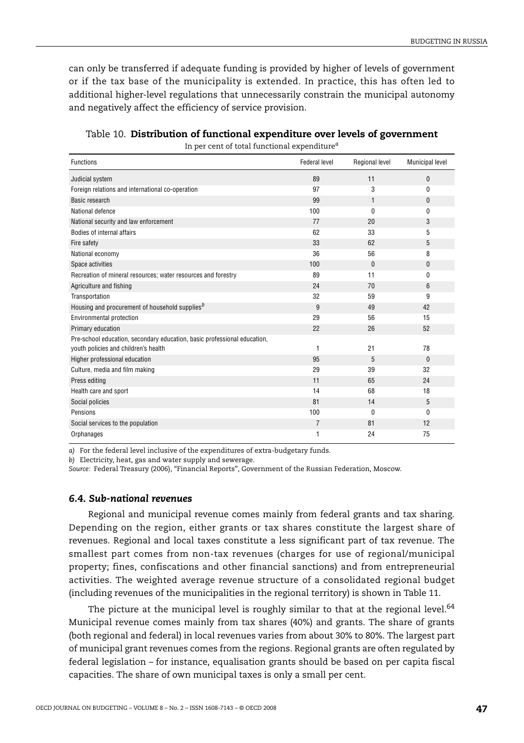can only be transferred if adequate funding is provided by higher of levels of government or if the tax base of the municipality is extended. In practice, this has often led to additional higher-level regulations that unnecessarily constrain the municipal autonomy and negatively affect the efficiency of service provision.

| <b>Functions</b>                                                                                                 | Federal level | Regional level | Municipal level |
|------------------------------------------------------------------------------------------------------------------|---------------|----------------|-----------------|
| Judicial system                                                                                                  | 89            | 11             | $\mathbf{0}$    |
| Foreign relations and international co-operation                                                                 | 97            | 3              | 0               |
| Basic research                                                                                                   | 99            | 1              | $\mathbf{0}$    |
| National defence                                                                                                 | 100           | $\Omega$       | $\mathbf{0}$    |
| National security and law enforcement                                                                            | 77            | 20             | 3               |
| Bodies of internal affairs                                                                                       | 62            | 33             | 5               |
| Fire safety                                                                                                      | 33            | 62             | 5               |
| National economy                                                                                                 | 36            | 56             | 8               |
| Space activities                                                                                                 | 100           | $\mathbf{0}$   | $\mathbf{0}$    |
| Recreation of mineral resources; water resources and forestry                                                    | 89            | 11             | 0               |
| Agriculture and fishing                                                                                          | 24            | 70             | 6               |
| Transportation                                                                                                   | 32            | 59             | 9               |
| Housing and procurement of household supplies $b$                                                                | 9             | 49             | 42              |
| Environmental protection                                                                                         | 29            | 56             | 15              |
| Primary education                                                                                                | 22            | 26             | 52              |
| Pre-school education, secondary education, basic professional education,<br>youth policies and children's health | 1             | 21             | 78              |
| Higher professional education                                                                                    | 95            | 5              | $\Omega$        |
| Culture, media and film making                                                                                   | 29            | 39             | 32              |
| Press editing                                                                                                    | 11            | 65             | 24              |
| Health care and sport                                                                                            | 14            | 68             | 18              |
| Social policies                                                                                                  | 81            | 14             | 5               |
| Pensions                                                                                                         | 100           | $\mathbf{0}$   | $\mathbf{0}$    |
| Social services to the population                                                                                | 7             | 81             | 12              |
| Orphanages                                                                                                       | 1             | 24             | 75              |

<span id="page-46-0"></span>Table 10. **Distribution of functional expenditure over levels of government**

In per cent of total functional expenditure*[a](#page-46-1)*

<span id="page-46-1"></span>*a)* For the federal level inclusive of the expenditures of extra-budgetary funds.

<span id="page-46-2"></span>*b)* Electricity, heat, gas and water supply and sewerage.

*Source:* Federal Treasury (2006), "Financial Reports", Government of the Russian Federation, Moscow.

## *6.4. Sub-national revenues*

Regional and municipal revenue comes mainly from federal grants and tax sharing. Depending on the region, either grants or tax shares constitute the largest share of revenues. Regional and local taxes constitute a less significant part of tax revenue. The smallest part comes from non-tax revenues (charges for use of regional/municipal property; fines, confiscations and other financial sanctions) and from entrepreneurial activities. The weighted average revenue structure of a consolidated regional budget (including revenues of the municipalities in the regional territory) is shown in [Table 11](#page-47-0).

The picture at the municipal level is roughly similar to that at the regional level. $64$ Municipal revenue comes mainly from tax shares (40%) and grants. The share of grants (both regional and federal) in local revenues varies from about 30% to 80%. The largest part of municipal grant revenues comes from the regions. Regional grants are often regulated by federal legislation – for instance, equalisation grants should be based on per capita fiscal capacities. The share of own municipal taxes is only a small per cent.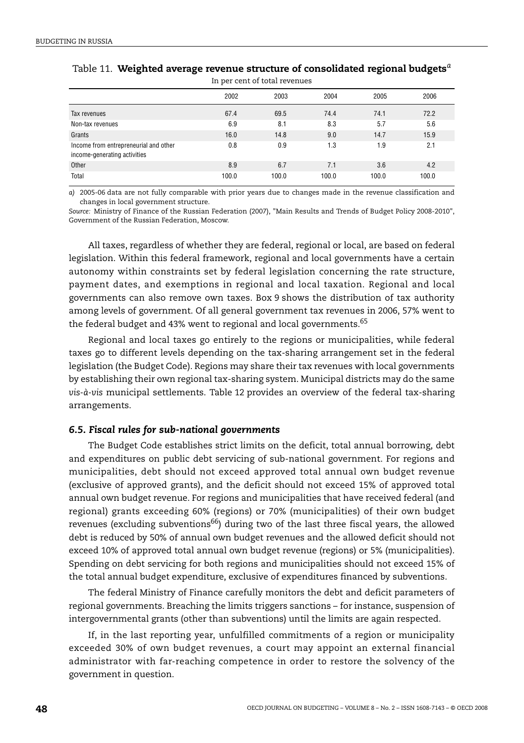|                                                                       | 2002  | 2003  | 2004  | 2005  | 2006  |
|-----------------------------------------------------------------------|-------|-------|-------|-------|-------|
| Tax revenues                                                          | 67.4  | 69.5  | 74.4  | 74.1  | 72.2  |
| Non-tax revenues                                                      | 6.9   | 8.1   | 8.3   | 5.7   | 5.6   |
| Grants                                                                | 16.0  | 14.8  | 9.0   | 14.7  | 15.9  |
| Income from entrepreneurial and other<br>income-generating activities | 0.8   | 0.9   | 1.3   | 1.9   | 2.1   |
| Other                                                                 | 8.9   | 6.7   | 7.1   | 3.6   | 4.2   |
| Total                                                                 | 100.0 | 100.0 | 100.0 | 100.0 | 100.0 |

#### <span id="page-47-0"></span>Table 11. **Weighted average revenue structure of consolidated regional budgets***[a](#page-47-1)* In per cent of total revenues

<span id="page-47-1"></span>*a)* 2005-06 data are not fully comparable with prior years due to changes made in the revenue classification and changes in local government structure.

*Source:* Ministry of Finance of the Russian Federation (2007), "Main Results and Trends of Budget Policy 2008-2010", Government of the Russian Federation, Moscow.

All taxes, regardless of whether they are federal, regional or local, are based on federal legislation. Within this federal framework, regional and local governments have a certain autonomy within constraints set by federal legislation concerning the rate structure, payment dates, and exemptions in regional and local taxation. Regional and local governments can also remove own taxes. [Box 9](#page-48-0) shows the distribution of tax authority among levels of government. Of all general government tax revenues in 2006, 57% went to the federal budget and 43% went to regional and local governments.<sup>[65](#page-56-13)</sup>

Regional and local taxes go entirely to the regions or municipalities, while federal taxes go to different levels depending on the tax-sharing arrangement set in the federal legislation (the Budget Code). Regions may share their tax revenues with local governments by establishing their own regional tax-sharing system. Municipal districts may do the same *vis-à-vis* municipal settlements. [Table 12](#page-49-0) provides an overview of the federal tax-sharing arrangements.

#### *6.5. Fiscal rules for sub-national governments*

The Budget Code establishes strict limits on the deficit, total annual borrowing, debt and expenditures on public debt servicing of sub-national government. For regions and municipalities, debt should not exceed approved total annual own budget revenue (exclusive of approved grants), and the deficit should not exceed 15% of approved total annual own budget revenue. For regions and municipalities that have received federal (and regional) grants exceeding 60% (regions) or 70% (municipalities) of their own budget revenues (excluding subventions<sup>66</sup>) during two of the last three fiscal years, the allowed debt is reduced by 50% of annual own budget revenues and the allowed deficit should not exceed 10% of approved total annual own budget revenue (regions) or 5% (municipalities). Spending on debt servicing for both regions and municipalities should not exceed 15% of the total annual budget expenditure, exclusive of expenditures financed by subventions.

The federal Ministry of Finance carefully monitors the debt and deficit parameters of regional governments. Breaching the limits triggers sanctions – for instance, suspension of intergovernmental grants (other than subventions) until the limits are again respected.

If, in the last reporting year, unfulfilled commitments of a region or municipality exceeded 30% of own budget revenues, a court may appoint an external financial administrator with far-reaching competence in order to restore the solvency of the government in question.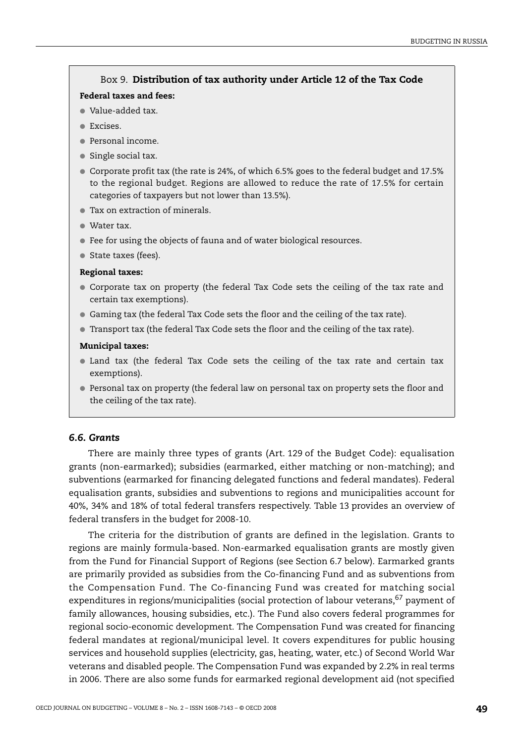## Box 9. **Distribution of tax authority under Article 12 of the Tax Code**

#### <span id="page-48-0"></span>**Federal taxes and fees:**

- Value-added tax.
- Excises.
- Personal income.
- Single social tax.
- Corporate profit tax (the rate is 24%, of which 6.5% goes to the federal budget and 17.5% to the regional budget. Regions are allowed to reduce the rate of 17.5% for certain categories of taxpayers but not lower than 13.5%).
- Tax on extraction of minerals.
- Water tax.
- Fee for using the objects of fauna and of water biological resources.
- State taxes (fees).

#### **Regional taxes:**

- Corporate tax on property (the federal Tax Code sets the ceiling of the tax rate and certain tax exemptions).
- Gaming tax (the federal Tax Code sets the floor and the ceiling of the tax rate).
- Transport tax (the federal Tax Code sets the floor and the ceiling of the tax rate).

#### **Municipal taxes:**

- Land tax (the federal Tax Code sets the ceiling of the tax rate and certain tax exemptions).
- Personal tax on property (the federal law on personal tax on property sets the floor and the ceiling of the tax rate).

#### *6.6. Grants*

There are mainly three types of grants (Art. 129 of the Budget Code): equalisation grants (non-earmarked); subsidies (earmarked, either matching or non-matching); and subventions (earmarked for financing delegated functions and federal mandates). Federal equalisation grants, subsidies and subventions to regions and municipalities account for 40%, 34% and 18% of total federal transfers respectively. [Table 13](#page-50-0) provides an overview of federal transfers in the budget for 2008-10.

The criteria for the distribution of grants are defined in the legislation. Grants to regions are mainly formula-based. Non-earmarked equalisation grants are mostly given from the Fund for Financial Support of Regions (see Section 6.7 below). Earmarked grants are primarily provided as subsidies from the Co-financing Fund and as subventions from the Compensation Fund. The Co-financing Fund was created for matching social expenditures in regions/municipalities (social protection of labour veterans,  $67$  payment of family allowances, housing subsidies, etc.). The Fund also covers federal programmes for regional socio-economic development. The Compensation Fund was created for financing federal mandates at regional/municipal level. It covers expenditures for public housing services and household supplies (electricity, gas, heating, water, etc.) of Second World War veterans and disabled people. The Compensation Fund was expanded by 2.2% in real terms in 2006. There are also some funds for earmarked regional development aid (not specified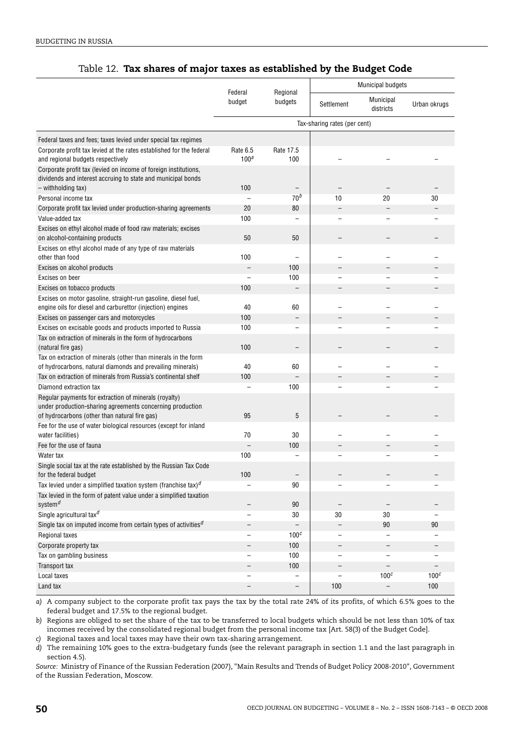## Table 12. **Tax shares of major taxes as established by the Budget Code**

<span id="page-49-0"></span>

|                                                                                                                                 |                              |                          | <b>Municipal budgets</b> |                          |                          |
|---------------------------------------------------------------------------------------------------------------------------------|------------------------------|--------------------------|--------------------------|--------------------------|--------------------------|
|                                                                                                                                 | Federal<br>budget            | Regional<br>budgets      | Settlement               | Municipal<br>districts   | Urban okrugs             |
|                                                                                                                                 | Tax-sharing rates (per cent) |                          |                          |                          |                          |
| Federal taxes and fees; taxes levied under special tax regimes                                                                  |                              |                          |                          |                          |                          |
| Corporate profit tax levied at the rates established for the federal<br>and regional budgets respectively                       | Rate 6.5<br>100 <sup>a</sup> | Rate 17.5<br>100         |                          |                          |                          |
| Corporate profit tax (levied on income of foreign institutions,<br>dividends and interest accruing to state and municipal bonds |                              |                          |                          |                          |                          |
| - withholding tax)                                                                                                              | 100                          |                          |                          |                          |                          |
| Personal income tax                                                                                                             |                              | 70 <sup>b</sup>          | 10                       | 20                       | 30                       |
| Corporate profit tax levied under production-sharing agreements                                                                 | 20                           | 80                       | $\overline{\phantom{0}}$ |                          |                          |
| Value-added tax                                                                                                                 | 100                          |                          |                          |                          |                          |
| Excises on ethyl alcohol made of food raw materials; excises<br>on alcohol-containing products                                  | 50                           | 50                       |                          |                          |                          |
| Excises on ethyl alcohol made of any type of raw materials                                                                      |                              |                          |                          |                          |                          |
| other than food                                                                                                                 | 100                          |                          |                          |                          |                          |
| Excises on alcohol products                                                                                                     | $\overline{\phantom{0}}$     | 100                      |                          |                          |                          |
| Excises on beer                                                                                                                 | $\overline{a}$               | 100                      | -                        |                          |                          |
| Excises on tobacco products                                                                                                     | 100                          |                          |                          |                          |                          |
| Excises on motor gasoline, straight-run gasoline, diesel fuel,                                                                  |                              |                          |                          |                          |                          |
| engine oils for diesel and carburettor (injection) engines                                                                      | 40                           | 60                       |                          |                          |                          |
| Excises on passenger cars and motorcycles                                                                                       | 100                          |                          |                          |                          |                          |
| Excises on excisable goods and products imported to Russia                                                                      | 100                          |                          |                          |                          |                          |
| Tax on extraction of minerals in the form of hydrocarbons<br>(natural fire gas)                                                 | 100                          |                          |                          |                          |                          |
| Tax on extraction of minerals (other than minerals in the form                                                                  |                              |                          |                          |                          |                          |
| of hydrocarbons, natural diamonds and prevailing minerals)                                                                      | 40                           | 60                       |                          |                          |                          |
| Tax on extraction of minerals from Russia's continental shelf                                                                   | 100                          |                          |                          |                          |                          |
| Diamond extraction tax                                                                                                          | $\overline{a}$               | 100                      |                          |                          |                          |
| Regular payments for extraction of minerals (royalty)                                                                           |                              |                          |                          |                          |                          |
| under production-sharing agreements concerning production<br>of hydrocarbons (other than natural fire gas)                      | 95                           | 5                        |                          |                          |                          |
| Fee for the use of water biological resources (except for inland                                                                |                              |                          |                          |                          |                          |
| water facilities)                                                                                                               | 70                           | 30                       |                          |                          |                          |
| Fee for the use of fauna                                                                                                        |                              | 100                      |                          |                          |                          |
| Water tax                                                                                                                       | 100                          |                          |                          |                          |                          |
| Single social tax at the rate established by the Russian Tax Code                                                               |                              |                          |                          |                          |                          |
| for the federal budget                                                                                                          | 100                          |                          |                          |                          |                          |
| Tax levied under a simplified taxation system (franchise tax) $d$                                                               |                              | 90                       |                          |                          |                          |
| Tax levied in the form of patent value under a simplified taxation                                                              |                              |                          |                          |                          |                          |
| system <sup>d</sup>                                                                                                             |                              | 90                       |                          |                          |                          |
| Single agricultural tax <sup>d</sup>                                                                                            |                              | 30                       | 30                       | 30                       |                          |
| Single tax on imputed income from certain types of activities <sup><math>d</math></sup>                                         | $\overline{\phantom{a}}$     | $\overline{\phantom{0}}$ | $\overline{\phantom{0}}$ | 90                       | 90                       |
| Regional taxes                                                                                                                  | $\overline{\phantom{0}}$     | 100 <sup>c</sup>         | $\overline{a}$           |                          |                          |
| Corporate property tax                                                                                                          | $\qquad \qquad -$            | 100                      | $\overline{\phantom{0}}$ | $\overline{\phantom{0}}$ | $\overline{\phantom{a}}$ |
| Tax on gambling business                                                                                                        | $\qquad \qquad -$            | 100                      | $\overline{a}$           |                          |                          |
| Transport tax                                                                                                                   | $\qquad \qquad -$            | 100                      | $\qquad \qquad -$        | $\overline{\phantom{0}}$ | $\overline{\phantom{a}}$ |
| Local taxes                                                                                                                     | $\overline{\phantom{0}}$     |                          | $\overline{\phantom{0}}$ | 100 <sup>c</sup>         | 100 <sup>c</sup>         |
| Land tax                                                                                                                        | $\overline{\phantom{a}}$     | $\overline{\phantom{0}}$ | 100                      | $\overline{\phantom{0}}$ | 100                      |
|                                                                                                                                 |                              |                          |                          |                          |                          |

<span id="page-49-1"></span>*a)* A company subject to the corporate profit tax pays the tax by the total rate 24% of its profits, of which 6.5% goes to the federal budget and 17.5% to the regional budget.

<span id="page-49-2"></span>*b)* Regions are obliged to set the share of the tax to be transferred to local budgets which should be not less than 10% of tax incomes received by the consolidated regional budget from the personal income tax [Art. 58(3) of the Budget Code].

<span id="page-49-3"></span>*c)* Regional taxes and local taxes may have their own tax-sharing arrangement.

<span id="page-49-4"></span>*d)* The remaining 10% goes to the extra-budgetary funds (see the relevant paragraph in section 1.1 and the last paragraph in section 4.5).

*Source:* Ministry of Finance of the Russian Federation (2007), "Main Results and Trends of Budget Policy 2008-2010", Government of the Russian Federation, Moscow.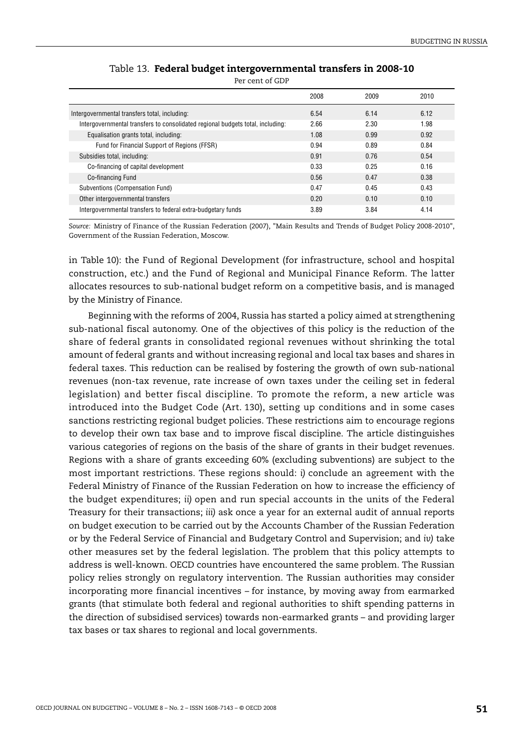<span id="page-50-0"></span>

|                                                                                | 2008 | 2009 | 2010 |
|--------------------------------------------------------------------------------|------|------|------|
| Intergovernmental transfers total, including:                                  | 6.54 | 6.14 | 6.12 |
| Intergovernmental transfers to consolidated regional budgets total, including: | 2.66 | 2.30 | 1.98 |
| Equalisation grants total, including:                                          | 1.08 | 0.99 | 0.92 |
| Fund for Financial Support of Regions (FFSR)                                   | 0.94 | 0.89 | 0.84 |
| Subsidies total, including:                                                    | 0.91 | 0.76 | 0.54 |
| Co-financing of capital development                                            | 0.33 | 0.25 | 0.16 |
| Co-financing Fund                                                              | 0.56 | 0.47 | 0.38 |
| Subventions (Compensation Fund)                                                | 0.47 | 0.45 | 0.43 |
| Other intergovernmental transfers                                              | 0.20 | 0.10 | 0.10 |
| Intergovernmental transfers to federal extra-budgetary funds                   | 3.89 | 3.84 | 4.14 |

| Table 13. Federal budget intergovernmental transfers in 2008-10 |
|-----------------------------------------------------------------|
| Per cent of GDP                                                 |

*Source:* Ministry of Finance of the Russian Federation (2007), "Main Results and Trends of Budget Policy 2008-2010", Government of the Russian Federation, Moscow.

in [Table 10\)](#page-46-0): the Fund of Regional Development (for infrastructure, school and hospital construction, etc.) and the Fund of Regional and Municipal Finance Reform. The latter allocates resources to sub-national budget reform on a competitive basis, and is managed by the Ministry of Finance.

Beginning with the reforms of 2004, Russia has started a policy aimed at strengthening sub-national fiscal autonomy. One of the objectives of this policy is the reduction of the share of federal grants in consolidated regional revenues without shrinking the total amount of federal grants and without increasing regional and local tax bases and shares in federal taxes. This reduction can be realised by fostering the growth of own sub-national revenues (non-tax revenue, rate increase of own taxes under the ceiling set in federal legislation) and better fiscal discipline. To promote the reform, a new article was introduced into the Budget Code (Art. 130), setting up conditions and in some cases sanctions restricting regional budget policies. These restrictions aim to encourage regions to develop their own tax base and to improve fiscal discipline. The article distinguishes various categories of regions on the basis of the share of grants in their budget revenues. Regions with a share of grants exceeding 60% (excluding subventions) are subject to the most important restrictions. These regions should: *i)* conclude an agreement with the Federal Ministry of Finance of the Russian Federation on how to increase the efficiency of the budget expenditures; *ii)* open and run special accounts in the units of the Federal Treasury for their transactions; *iii)* ask once a year for an external audit of annual reports on budget execution to be carried out by the Accounts Chamber of the Russian Federation or by the Federal Service of Financial and Budgetary Control and Supervision; and *iv)* take other measures set by the federal legislation. The problem that this policy attempts to address is well-known. OECD countries have encountered the same problem. The Russian policy relies strongly on regulatory intervention. The Russian authorities may consider incorporating more financial incentives – for instance, by moving away from earmarked grants (that stimulate both federal and regional authorities to shift spending patterns in the direction of subsidised services) towards non-earmarked grants – and providing larger tax bases or tax shares to regional and local governments.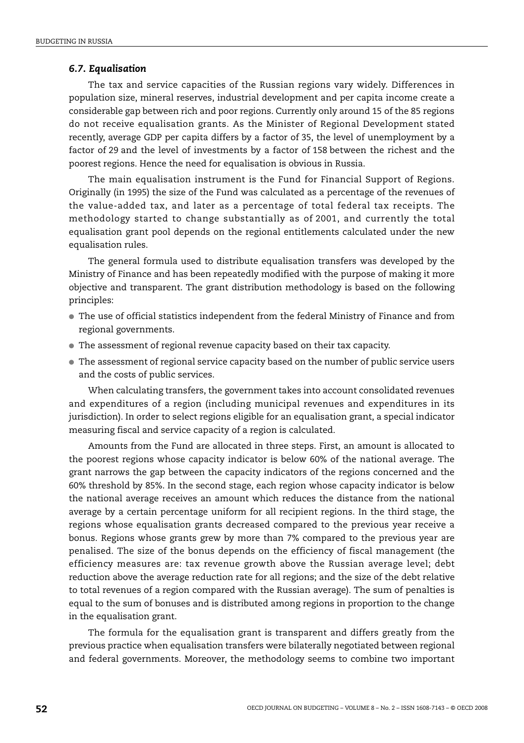#### *6.7. Equalisation*

The tax and service capacities of the Russian regions vary widely. Differences in population size, mineral reserves, industrial development and per capita income create a considerable gap between rich and poor regions. Currently only around 15 of the 85 regions do not receive equalisation grants. As the Minister of Regional Development stated recently, average GDP per capita differs by a factor of 35, the level of unemployment by a factor of 29 and the level of investments by a factor of 158 between the richest and the poorest regions. Hence the need for equalisation is obvious in Russia.

The main equalisation instrument is the Fund for Financial Support of Regions. Originally (in 1995) the size of the Fund was calculated as a percentage of the revenues of the value-added tax, and later as a percentage of total federal tax receipts. The methodology started to change substantially as of 2001, and currently the total equalisation grant pool depends on the regional entitlements calculated under the new equalisation rules.

The general formula used to distribute equalisation transfers was developed by the Ministry of Finance and has been repeatedly modified with the purpose of making it more objective and transparent. The grant distribution methodology is based on the following principles:

- The use of official statistics independent from the federal Ministry of Finance and from regional governments.
- The assessment of regional revenue capacity based on their tax capacity.
- The assessment of regional service capacity based on the number of public service users and the costs of public services.

When calculating transfers, the government takes into account consolidated revenues and expenditures of a region (including municipal revenues and expenditures in its jurisdiction). In order to select regions eligible for an equalisation grant, a special indicator measuring fiscal and service capacity of a region is calculated.

Amounts from the Fund are allocated in three steps. First, an amount is allocated to the poorest regions whose capacity indicator is below 60% of the national average. The grant narrows the gap between the capacity indicators of the regions concerned and the 60% threshold by 85%. In the second stage, each region whose capacity indicator is below the national average receives an amount which reduces the distance from the national average by a certain percentage uniform for all recipient regions. In the third stage, the regions whose equalisation grants decreased compared to the previous year receive a bonus. Regions whose grants grew by more than 7% compared to the previous year are penalised. The size of the bonus depends on the efficiency of fiscal management (the efficiency measures are: tax revenue growth above the Russian average level; debt reduction above the average reduction rate for all regions; and the size of the debt relative to total revenues of a region compared with the Russian average). The sum of penalties is equal to the sum of bonuses and is distributed among regions in proportion to the change in the equalisation grant.

The formula for the equalisation grant is transparent and differs greatly from the previous practice when equalisation transfers were bilaterally negotiated between regional and federal governments. Moreover, the methodology seems to combine two important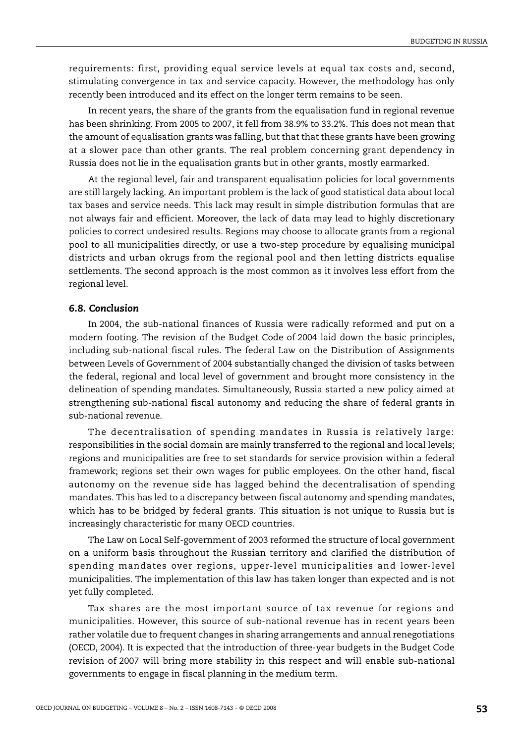requirements: first, providing equal service levels at equal tax costs and, second, stimulating convergence in tax and service capacity. However, the methodology has only recently been introduced and its effect on the longer term remains to be seen.

In recent years, the share of the grants from the equalisation fund in regional revenue has been shrinking. From 2005 to 2007, it fell from 38.9% to 33.2%. This does not mean that the amount of equalisation grants was falling, but that that these grants have been growing at a slower pace than other grants. The real problem concerning grant dependency in Russia does not lie in the equalisation grants but in other grants, mostly earmarked.

At the regional level, fair and transparent equalisation policies for local governments are still largely lacking. An important problem is the lack of good statistical data about local tax bases and service needs. This lack may result in simple distribution formulas that are not always fair and efficient. Moreover, the lack of data may lead to highly discretionary policies to correct undesired results. Regions may choose to allocate grants from a regional pool to all municipalities directly, or use a two-step procedure by equalising municipal districts and urban okrugs from the regional pool and then letting districts equalise settlements. The second approach is the most common as it involves less effort from the regional level.

## *6.8. Conclusion*

In 2004, the sub-national finances of Russia were radically reformed and put on a modern footing. The revision of the Budget Code of 2004 laid down the basic principles, including sub-national fiscal rules. The federal Law on the Distribution of Assignments between Levels of Government of 2004 substantially changed the division of tasks between the federal, regional and local level of government and brought more consistency in the delineation of spending mandates. Simultaneously, Russia started a new policy aimed at strengthening sub-national fiscal autonomy and reducing the share of federal grants in sub-national revenue.

The decentralisation of spending mandates in Russia is relatively large: responsibilities in the social domain are mainly transferred to the regional and local levels; regions and municipalities are free to set standards for service provision within a federal framework; regions set their own wages for public employees. On the other hand, fiscal autonomy on the revenue side has lagged behind the decentralisation of spending mandates. This has led to a discrepancy between fiscal autonomy and spending mandates, which has to be bridged by federal grants. This situation is not unique to Russia but is increasingly characteristic for many OECD countries.

The Law on Local Self-government of 2003 reformed the structure of local government on a uniform basis throughout the Russian territory and clarified the distribution of spending mandates over regions, upper-level municipalities and lower-level municipalities. The implementation of this law has taken longer than expected and is not yet fully completed.

Tax shares are the most important source of tax revenue for regions and municipalities. However, this source of sub-national revenue has in recent years been rather volatile due to frequent changes in sharing arrangements and annual renegotiations (OECD, 2004). It is expected that the introduction of three-year budgets in the Budget Code revision of 2007 will bring more stability in this respect and will enable sub-national governments to engage in fiscal planning in the medium term.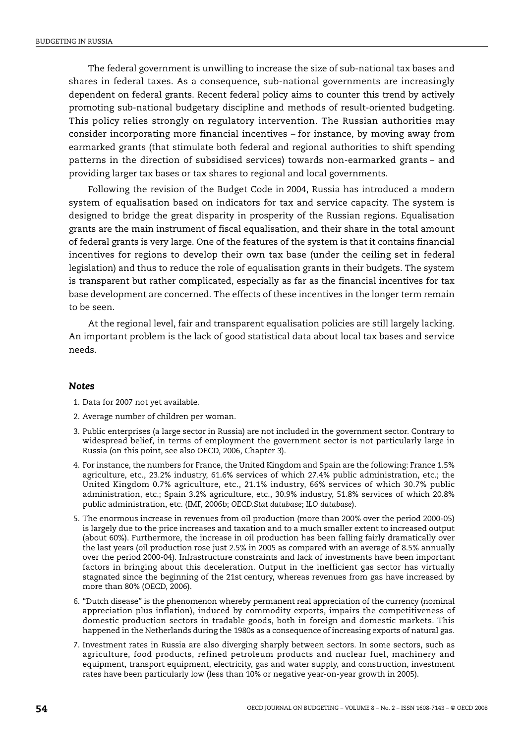The federal government is unwilling to increase the size of sub-national tax bases and shares in federal taxes. As a consequence, sub-national governments are increasingly dependent on federal grants. Recent federal policy aims to counter this trend by actively promoting sub-national budgetary discipline and methods of result-oriented budgeting. This policy relies strongly on regulatory intervention. The Russian authorities may consider incorporating more financial incentives – for instance, by moving away from earmarked grants (that stimulate both federal and regional authorities to shift spending patterns in the direction of subsidised services) towards non-earmarked grants – and providing larger tax bases or tax shares to regional and local governments.

Following the revision of the Budget Code in 2004, Russia has introduced a modern system of equalisation based on indicators for tax and service capacity. The system is designed to bridge the great disparity in prosperity of the Russian regions. Equalisation grants are the main instrument of fiscal equalisation, and their share in the total amount of federal grants is very large. One of the features of the system is that it contains financial incentives for regions to develop their own tax base (under the ceiling set in federal legislation) and thus to reduce the role of equalisation grants in their budgets. The system is transparent but rather complicated, especially as far as the financial incentives for tax base development are concerned. The effects of these incentives in the longer term remain to be seen.

At the regional level, fair and transparent equalisation policies are still largely lacking. An important problem is the lack of good statistical data about local tax bases and service needs.

#### *Notes*

- <span id="page-53-0"></span>1. Data for 2007 not yet available.
- <span id="page-53-1"></span>2. Average number of children per woman.
- <span id="page-53-2"></span>3. Public enterprises (a large sector in Russia) are not included in the government sector. Contrary to widespread belief, in terms of employment the government sector is not particularly large in Russia (on this point, see also OECD, 2006, Chapter 3).
- <span id="page-53-3"></span>4. For instance, the numbers for France, the United Kingdom and Spain are the following: France 1.5% agriculture, etc., 23.2% industry, 61.6% services of which 27.4% public administration, etc.; the United Kingdom 0.7% agriculture, etc., 21.1% industry, 66% services of which 30.7% public administration, etc.; Spain 3.2% agriculture, etc., 30.9% industry, 51.8% services of which 20.8% public administration, etc. (IMF, 2006b; *OECD.Stat database*; *ILO database*).
- <span id="page-53-4"></span>5. The enormous increase in revenues from oil production (more than 200% over the period 2000-05) is largely due to the price increases and taxation and to a much smaller extent to increased output (about 60%). Furthermore, the increase in oil production has been falling fairly dramatically over the last years (oil production rose just 2.5% in 2005 as compared with an average of 8.5% annually over the period 2000-04). Infrastructure constraints and lack of investments have been important factors in bringing about this deceleration. Output in the inefficient gas sector has virtually stagnated since the beginning of the 21st century, whereas revenues from gas have increased by more than 80% (OECD, 2006).
- <span id="page-53-5"></span>6. "Dutch disease" is the phenomenon whereby permanent real appreciation of the currency (nominal appreciation plus inflation), induced by commodity exports, impairs the competitiveness of domestic production sectors in tradable goods, both in foreign and domestic markets. This happened in the Netherlands during the 1980s as a consequence of increasing exports of natural gas.
- <span id="page-53-6"></span>7. Investment rates in Russia are also diverging sharply between sectors. In some sectors, such as agriculture, food products, refined petroleum products and nuclear fuel, machinery and equipment, transport equipment, electricity, gas and water supply, and construction, investment rates have been particularly low (less than 10% or negative year-on-year growth in 2005).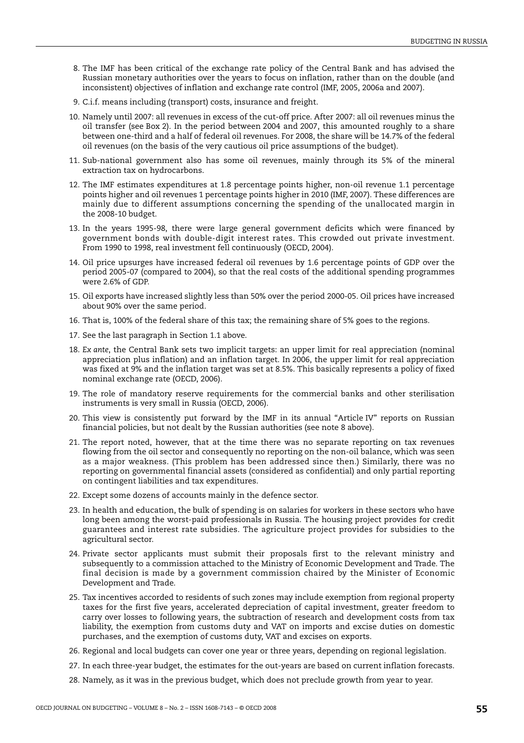- <span id="page-54-0"></span>8. The IMF has been critical of the exchange rate policy of the Central Bank and has advised the Russian monetary authorities over the years to focus on inflation, rather than on the double (and inconsistent) objectives of inflation and exchange rate control (IMF, 2005, 2006a and 2007).
- <span id="page-54-1"></span>9. C.i.f. means including (transport) costs, insurance and freight.
- <span id="page-54-2"></span>10. Namely until 2007: all revenues in excess of the cut-off price. After 2007: all oil revenues minus the oil transfer (see [Box 2](#page-14-0)). In the period between 2004 and 2007, this amounted roughly to a share between one-third and a half of federal oil revenues. For 2008, the share will be 14.7% of the federal oil revenues (on the basis of the very cautious oil price assumptions of the budget).
- <span id="page-54-3"></span>11. Sub-national government also has some oil revenues, mainly through its 5% of the mineral extraction tax on hydrocarbons.
- <span id="page-54-4"></span>12. The IMF estimates expenditures at 1.8 percentage points higher, non-oil revenue 1.1 percentage points higher and oil revenues 1 percentage points higher in 2010 (IMF, 2007). These differences are mainly due to different assumptions concerning the spending of the unallocated margin in the 2008-10 budget.
- <span id="page-54-5"></span>13. In the years 1995-98, there were large general government deficits which were financed by government bonds with double-digit interest rates. This crowded out private investment. From 1990 to 1998, real investment fell continuously (OECD, 2004).
- <span id="page-54-6"></span>14. Oil price upsurges have increased federal oil revenues by 1.6 percentage points of GDP over the period 2005-07 (compared to 2004), so that the real costs of the additional spending programmes were 2.6% of GDP.
- <span id="page-54-7"></span>15. Oil exports have increased slightly less than 50% over the period 2000-05. Oil prices have increased about 90% over the same period.
- <span id="page-54-8"></span>16. That is, 100% of the federal share of this tax; the remaining share of 5% goes to the regions.
- <span id="page-54-9"></span>17. See the last paragraph in Section 1.1 above.
- <span id="page-54-10"></span>18. *Ex ante*, the Central Bank sets two implicit targets: an upper limit for real appreciation (nominal appreciation plus inflation) and an inflation target. In 2006, the upper limit for real appreciation was fixed at 9% and the inflation target was set at 8.5%. This basically represents a policy of fixed nominal exchange rate (OECD, 2006).
- <span id="page-54-11"></span>19. The role of mandatory reserve requirements for the commercial banks and other sterilisation instruments is very small in Russia (OECD, 2006).
- <span id="page-54-12"></span>20. This view is consistently put forward by the IMF in its annual "Article IV" reports on Russian financial policies, but not dealt by the Russian authorities (see note 8 above).
- <span id="page-54-13"></span>21. The report noted, however, that at the time there was no separate reporting on tax revenues flowing from the oil sector and consequently no reporting on the non-oil balance, which was seen as a major weakness. (This problem has been addressed since then.) Similarly, there was no reporting on governmental financial assets (considered as confidential) and only partial reporting on contingent liabilities and tax expenditures.
- <span id="page-54-14"></span>22. Except some dozens of accounts mainly in the defence sector.
- <span id="page-54-15"></span>23. In health and education, the bulk of spending is on salaries for workers in these sectors who have long been among the worst-paid professionals in Russia. The housing project provides for credit guarantees and interest rate subsidies. The agriculture project provides for subsidies to the agricultural sector.
- <span id="page-54-16"></span>24. Private sector applicants must submit their proposals first to the relevant ministry and subsequently to a commission attached to the Ministry of Economic Development and Trade. The final decision is made by a government commission chaired by the Minister of Economic Development and Trade.
- <span id="page-54-17"></span>25. Tax incentives accorded to residents of such zones may include exemption from regional property taxes for the first five years, accelerated depreciation of capital investment, greater freedom to carry over losses to following years, the subtraction of research and development costs from tax liability, the exemption from customs duty and VAT on imports and excise duties on domestic purchases, and the exemption of customs duty, VAT and excises on exports.
- <span id="page-54-18"></span>26. Regional and local budgets can cover one year or three years, depending on regional legislation.
- <span id="page-54-19"></span>27. In each three-year budget, the estimates for the out-years are based on current inflation forecasts.
- <span id="page-54-20"></span>28. Namely, as it was in the previous budget, which does not preclude growth from year to year.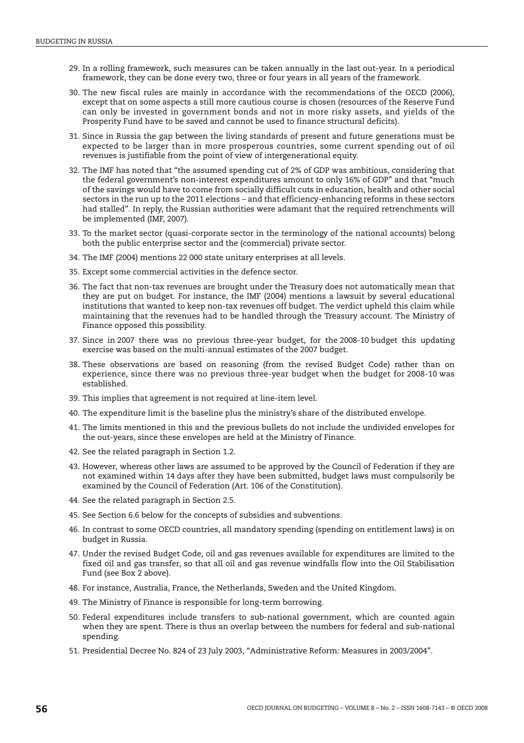- <span id="page-55-0"></span>29. In a rolling framework, such measures can be taken annually in the last out-year. In a periodical framework, they can be done every two, three or four years in all years of the framework.
- <span id="page-55-1"></span>30. The new fiscal rules are mainly in accordance with the recommendations of the OECD (2006), except that on some aspects a still more cautious course is chosen (resources of the Reserve Fund can only be invested in government bonds and not in more risky assets, and yields of the Prosperity Fund have to be saved and cannot be used to finance structural deficits).
- <span id="page-55-2"></span>31. Since in Russia the gap between the living standards of present and future generations must be expected to be larger than in more prosperous countries, some current spending out of oil revenues is justifiable from the point of view of intergenerational equity.
- <span id="page-55-3"></span>32. The IMF has noted that "the assumed spending cut of 2% of GDP was ambitious, considering that the federal government's non-interest expenditures amount to only 16% of GDP" and that "much of the savings would have to come from socially difficult cuts in education, health and other social sectors in the run up to the 2011 elections – and that efficiency-enhancing reforms in these sectors had stalled". In reply, the Russian authorities were adamant that the required retrenchments will be implemented (IMF, 2007).
- <span id="page-55-4"></span>33. To the market sector (quasi-corporate sector in the terminology of the national accounts) belong both the public enterprise sector and the (commercial) private sector.
- <span id="page-55-5"></span>34. The IMF (2004) mentions 22 000 state unitary enterprises at all levels.
- <span id="page-55-6"></span>35. Except some commercial activities in the defence sector.
- <span id="page-55-7"></span>36. The fact that non-tax revenues are brought under the Treasury does not automatically mean that they are put on budget. For instance, the IMF (2004) mentions a lawsuit by several educational institutions that wanted to keep non-tax revenues off budget. The verdict upheld this claim while maintaining that the revenues had to be handled through the Treasury account. The Ministry of Finance opposed this possibility.
- <span id="page-55-8"></span>37. Since in 2007 there was no previous three-year budget, for the 2008-10 budget this updating exercise was based on the multi-annual estimates of the 2007 budget.
- <span id="page-55-9"></span>38. These observations are based on reasoning (from the revised Budget Code) rather than on experience, since there was no previous three-year budget when the budget for 2008-10 was established.
- <span id="page-55-10"></span>39. This implies that agreement is not required at line-item level.
- <span id="page-55-11"></span>40. The expenditure limit is the baseline plus the ministry's share of the distributed envelope.
- <span id="page-55-12"></span>41. The limits mentioned in this and the previous bullets do not include the undivided envelopes for the out-years, since these envelopes are held at the Ministry of Finance.
- <span id="page-55-13"></span>42. See the related paragraph in Section 1.2.
- <span id="page-55-14"></span>43. However, whereas other laws are assumed to be approved by the Council of Federation if they are not examined within 14 days after they have been submitted, budget laws must compulsorily be examined by the Council of Federation (Art. 106 of the Constitution).
- <span id="page-55-15"></span>44. See the related paragraph in Section 2.5.
- <span id="page-55-16"></span>45. See Section 6.6 below for the concepts of subsidies and subventions.
- <span id="page-55-17"></span>46. In contrast to some OECD countries, all mandatory spending (spending on entitlement laws) is on budget in Russia.
- <span id="page-55-18"></span>47. Under the revised Budget Code, oil and gas revenues available for expenditures are limited to the fixed oil and gas transfer, so that all oil and gas revenue windfalls flow into the Oil Stabilisation Fund (see [Box 2](#page-14-0) above).
- <span id="page-55-19"></span>48. For instance, Australia, France, the Netherlands, Sweden and the United Kingdom.
- <span id="page-55-20"></span>49. The Ministry of Finance is responsible for long-term borrowing.
- <span id="page-55-21"></span>50. Federal expenditures include transfers to sub-national government, which are counted again when they are spent. There is thus an overlap between the numbers for federal and sub-national spending.
- <span id="page-55-22"></span>51. Presidential Decree No. 824 of 23 July 2003, "Administrative Reform: Measures in 2003/2004".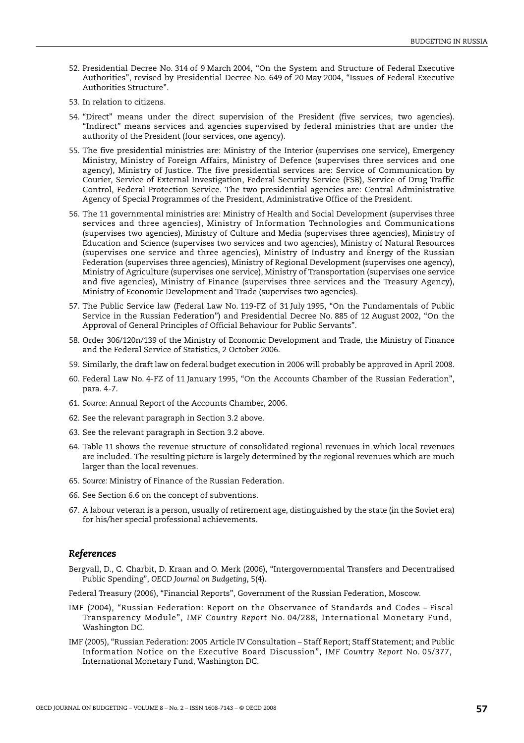- <span id="page-56-0"></span>52. Presidential Decree No. 314 of 9 March 2004, "On the System and Structure of Federal Executive Authorities", revised by Presidential Decree No. 649 of 20 May 2004, "Issues of Federal Executive Authorities Structure".
- <span id="page-56-1"></span>53. In relation to citizens.
- <span id="page-56-2"></span>54. "Direct" means under the direct supervision of the President (five services, two agencies). "Indirect" means services and agencies supervised by federal ministries that are under the authority of the President (four services, one agency).
- <span id="page-56-3"></span>55. The five presidential ministries are: Ministry of the Interior (supervises one service), Emergency Ministry, Ministry of Foreign Affairs, Ministry of Defence (supervises three services and one agency), Ministry of Justice. The five presidential services are: Service of Communication by Courier, Service of External Investigation, Federal Security Service (FSB), Service of Drug Traffic Control, Federal Protection Service. The two presidential agencies are: Central Administrative Agency of Special Programmes of the President, Administrative Office of the President.
- <span id="page-56-4"></span>56. The 11 governmental ministries are: Ministry of Health and Social Development (supervises three services and three agencies), Ministry of Information Technologies and Communications (supervises two agencies), Ministry of Culture and Media (supervises three agencies), Ministry of Education and Science (supervises two services and two agencies), Ministry of Natural Resources (supervises one service and three agencies), Ministry of Industry and Energy of the Russian Federation (supervises three agencies), Ministry of Regional Development (supervises one agency), Ministry of Agriculture (supervises one service), Ministry of Transportation (supervises one service and five agencies), Ministry of Finance (supervises three services and the Treasury Agency), Ministry of Economic Development and Trade (supervises two agencies).
- <span id="page-56-5"></span>57. The Public Service law (Federal Law No. 119-FZ of 31 July 1995, "On the Fundamentals of Public Service in the Russian Federation") and Presidential Decree No. 885 of 12 August 2002, "On the Approval of General Principles of Official Behaviour for Public Servants".
- <span id="page-56-6"></span>58. Order 306/120n/139 of the Ministry of Economic Development and Trade, the Ministry of Finance and the Federal Service of Statistics, 2 October 2006.
- <span id="page-56-7"></span>59. Similarly, the draft law on federal budget execution in 2006 will probably be approved in April 2008.
- <span id="page-56-8"></span>60. Federal Law No. 4-FZ of 11 January 1995, "On the Accounts Chamber of the Russian Federation", para. 4-7.
- <span id="page-56-9"></span>61. *Source:* Annual Report of the Accounts Chamber, 2006.
- <span id="page-56-10"></span>62. See the relevant paragraph in Section 3.2 above.
- <span id="page-56-11"></span>63. See the relevant paragraph in Section 3.2 above.
- <span id="page-56-12"></span>64. [Table 11](#page-47-0) shows the revenue structure of consolidated regional revenues in which local revenues are included. The resulting picture is largely determined by the regional revenues which are much larger than the local revenues.
- <span id="page-56-13"></span>65. *Source:* Ministry of Finance of the Russian Federation.
- <span id="page-56-14"></span>66. See Section 6.6 on the concept of subventions.
- <span id="page-56-15"></span>67. A labour veteran is a person, usually of retirement age, distinguished by the state (in the Soviet era) for his/her special professional achievements.

#### *References*

Bergvall, D., C. Charbit, D. Kraan and O. Merk (2006), "Intergovernmental Transfers and Decentralised Public Spending", *OECD Journal on Budgeting*, 5(4).

Federal Treasury (2006), "Financial Reports", Government of the Russian Federation, Moscow.

- IMF (2004), "Russian Federation: Report on the Observance of Standards and Codes Fiscal Transparency Module", *IMF Country Report* No. 04/288, International Monetary Fund, Washington DC.
- IMF (2005), "Russian Federation: 2005 Article IV Consultation Staff Report; Staff Statement; and Public Information Notice on the Executive Board Discussion", *IMF Country Report* No. 05/377, International Monetary Fund, Washington DC.